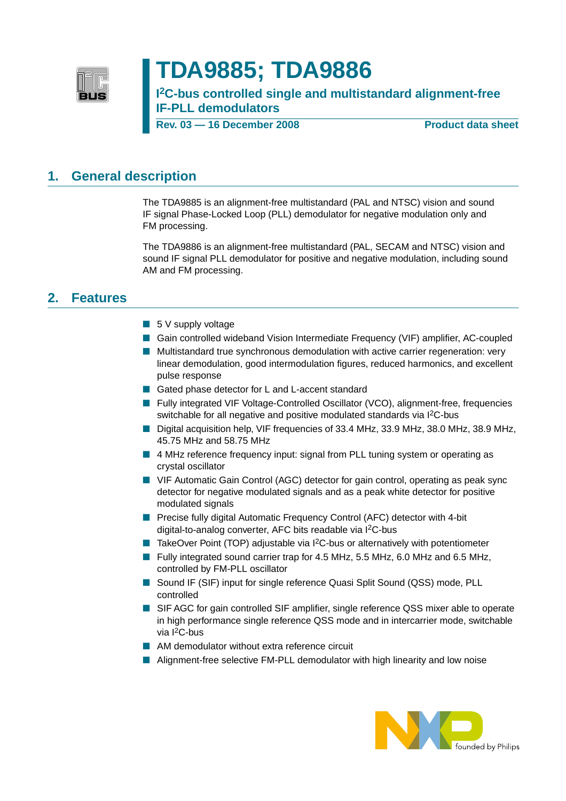

# **TDA9885; TDA9886**

**I 2C-bus controlled single and multistandard alignment-free IF-PLL demodulators**

**Rev. 03 – 16 December 2008** Product data sheet

## <span id="page-0-0"></span>**1. General description**

The TDA9885 is an alignment-free multistandard (PAL and NTSC) vision and sound IF signal Phase-Locked Loop (PLL) demodulator for negative modulation only and FM processing.

The TDA9886 is an alignment-free multistandard (PAL, SECAM and NTSC) vision and sound IF signal PLL demodulator for positive and negative modulation, including sound AM and FM processing.

## <span id="page-0-1"></span>**2. Features**

- 5 V supply voltage
- Gain controlled wideband Vision Intermediate Frequency (VIF) amplifier, AC-coupled
- Multistandard true synchronous demodulation with active carrier regeneration: very linear demodulation, good intermodulation figures, reduced harmonics, and excellent pulse response
- Gated phase detector for L and L-accent standard
- Fully integrated VIF Voltage-Controlled Oscillator (VCO), alignment-free, frequencies switchable for all negative and positive modulated standards via I<sup>2</sup>C-bus
- Digital acquisition help, VIF frequencies of 33.4 MHz, 33.9 MHz, 38.0 MHz, 38.9 MHz, 45.75 MHz and 58.75 MHz
- 4 MHz reference frequency input: signal from PLL tuning system or operating as crystal oscillator
- VIF Automatic Gain Control (AGC) detector for gain control, operating as peak sync detector for negative modulated signals and as a peak white detector for positive modulated signals
- Precise fully digital Automatic Frequency Control (AFC) detector with 4-bit digital-to-analog converter, AFC bits readable via I<sup>2</sup>C-bus
- TakeOver Point (TOP) adjustable via I<sup>2</sup>C-bus or alternatively with potentiometer
- Fully integrated sound carrier trap for 4.5 MHz, 5.5 MHz, 6.0 MHz and 6.5 MHz, controlled by FM-PLL oscillator
- Sound IF (SIF) input for single reference Quasi Split Sound (QSS) mode, PLL controlled
- SIF AGC for gain controlled SIF amplifier, single reference QSS mixer able to operate in high performance single reference QSS mode and in intercarrier mode, switchable via I2C-bus
- AM demodulator without extra reference circuit
- Alignment-free selective FM-PLL demodulator with high linearity and low noise

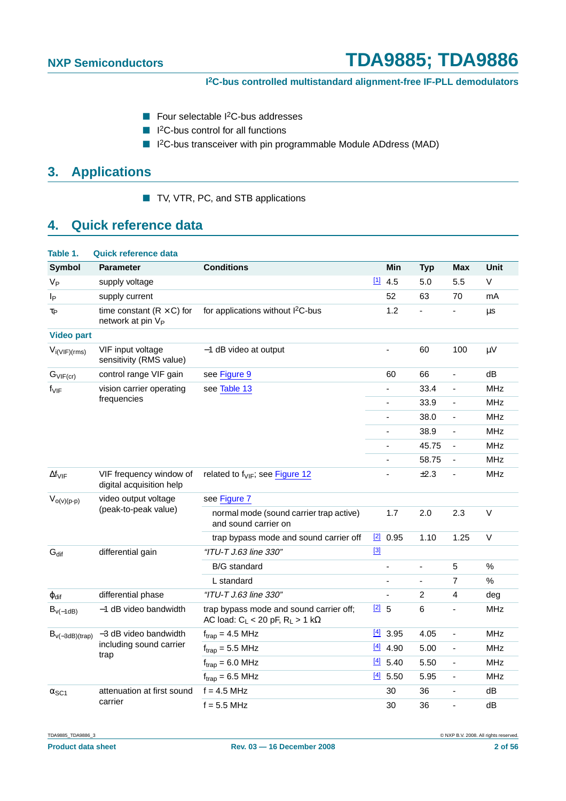- Four selectable <sup>2</sup>C-bus addresses
- I<sup>2</sup>C-bus control for all functions
- I<sup>2</sup>C-bus transceiver with pin programmable Module ADdress (MAD)

## <span id="page-1-0"></span>**3. Applications**

■ TV, VTR, PC, and STB applications

## <span id="page-1-1"></span>**4. Quick reference data**

| Table 1.                | Quick reference data                                                |                                                                                         |         |                          |                          |                          |            |
|-------------------------|---------------------------------------------------------------------|-----------------------------------------------------------------------------------------|---------|--------------------------|--------------------------|--------------------------|------------|
| <b>Symbol</b>           | <b>Parameter</b>                                                    | <b>Conditions</b>                                                                       |         | Min                      | <b>Typ</b>               | <b>Max</b>               | Unit       |
| V <sub>P</sub>          | supply voltage                                                      |                                                                                         |         | 114.5                    | 5.0                      | 5.5                      | $\vee$     |
| Ιp                      | supply current                                                      |                                                                                         |         | 52                       | 63                       | 70                       | mA         |
| τ <sub>P</sub>          | time constant ( $R \times C$ ) for<br>network at pin V <sub>P</sub> | for applications without I <sup>2</sup> C-bus                                           |         | 1.2                      | $\overline{\phantom{0}}$ | -                        | μs         |
| <b>Video part</b>       |                                                                     |                                                                                         |         |                          |                          |                          |            |
| $V_{i(VIF)(rms)}$       | VIF input voltage<br>sensitivity (RMS value)                        | -1 dB video at output                                                                   |         | $\overline{\phantom{0}}$ | 60                       | 100                      | μV         |
| $G_{VIF (cr)}$          | control range VIF gain                                              | see Figure 9                                                                            |         | 60                       | 66                       | $\overline{\phantom{a}}$ | dB         |
| $f_{VIF}$               | vision carrier operating                                            | see Table 13                                                                            |         |                          | 33.4                     | $\blacksquare$           | <b>MHz</b> |
|                         | frequencies                                                         |                                                                                         |         |                          | 33.9                     | $\overline{\phantom{a}}$ | <b>MHz</b> |
|                         |                                                                     |                                                                                         |         |                          | 38.0                     | $\blacksquare$           | <b>MHz</b> |
|                         |                                                                     |                                                                                         |         | $\overline{\phantom{0}}$ | 38.9                     | $\blacksquare$           | MHz        |
|                         |                                                                     |                                                                                         |         |                          | 45.75                    | $\overline{\phantom{a}}$ | <b>MHz</b> |
|                         |                                                                     |                                                                                         |         | $\blacksquare$           | 58.75                    | $\blacksquare$           | <b>MHz</b> |
| $\Delta f_{VIF}$        | VIF frequency window of<br>digital acquisition help                 | related to $f_{VIF}$ ; see Figure 12                                                    |         |                          | ±2.3                     | ÷,                       | <b>MHz</b> |
| $V_{o(v)(p-p)}$         | video output voltage                                                | see Figure 7                                                                            |         |                          |                          |                          |            |
|                         | (peak-to-peak value)                                                | normal mode (sound carrier trap active)<br>and sound carrier on                         |         | 1.7                      | 2.0                      | 2.3                      | $\vee$     |
|                         |                                                                     | trap bypass mode and sound carrier off                                                  | $[2]$   | 0.95                     | 1.10                     | 1.25                     | $\vee$     |
| $G_{dif}$               | differential gain                                                   | "ITU-T J.63 line 330"                                                                   | $[3]$   |                          |                          |                          |            |
|                         |                                                                     | <b>B/G</b> standard                                                                     |         | ÷,                       | $\blacksquare$           | 5                        | $\%$       |
|                         |                                                                     | L standard                                                                              |         |                          | ÷,                       | $\overline{7}$           | $\%$       |
| φdif                    | differential phase                                                  | "ITU-T J.63 line 330"                                                                   |         |                          | $\overline{c}$           | $\overline{4}$           | deg        |
| $B_{v(-1dB)}$           | -1 dB video bandwidth                                               | trap bypass mode and sound carrier off;<br>AC load: $C_L < 20$ pF, $R_L > 1$ k $\Omega$ | $[2]$ 5 |                          | 6                        | $\blacksquare$           | MHz        |
| $B_{\nu(-3dB)(trap)}$   | -3 dB video bandwidth                                               | $f_{trap} = 4.5 \text{ MHz}$                                                            |         | $[4]$ 3.95               | 4.05                     | $\blacksquare$           | <b>MHz</b> |
|                         | including sound carrier                                             | $f_{trap} = 5.5$ MHz                                                                    | $[4]$   | 4.90                     | 5.00                     | $\blacksquare$           | <b>MHz</b> |
|                         | trap                                                                | $f_{trap} = 6.0$ MHz                                                                    | $[4]$   | 5.40                     | 5.50                     | ÷,                       | <b>MHz</b> |
|                         |                                                                     | $f_{trap} = 6.5 \text{ MHz}$                                                            |         | $[4]$ 5.50               | 5.95                     | $\blacksquare$           | <b>MHz</b> |
| $\alpha$ <sub>SC1</sub> | attenuation at first sound                                          | $f = 4.5$ MHz                                                                           |         | 30                       | 36                       | $\overline{\phantom{a}}$ | dB         |
|                         | carrier                                                             | $f = 5.5$ MHz                                                                           |         | 30                       | 36                       |                          | dB         |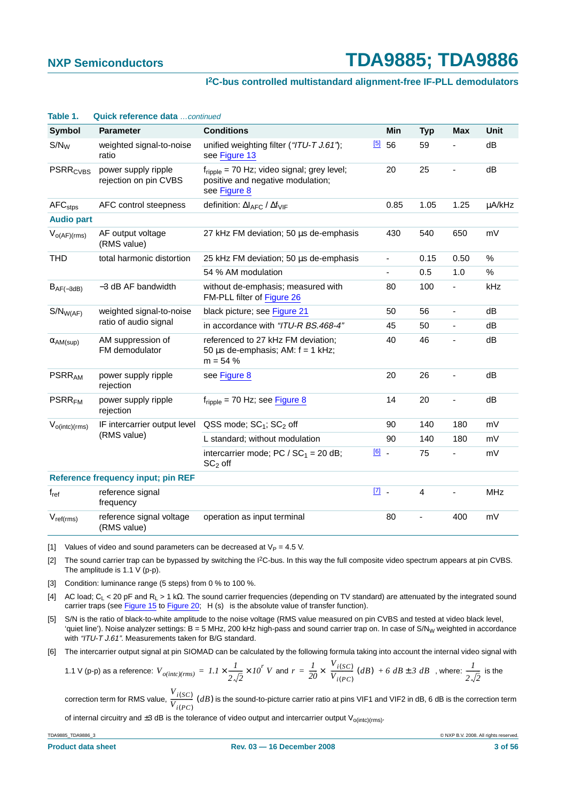#### **I 2C-bus controlled multistandard alignment-free IF-PLL demodulators**

| Table 1.                   | Quick reference data  continued              |                                                                                                             |             |                          |            |                              |             |
|----------------------------|----------------------------------------------|-------------------------------------------------------------------------------------------------------------|-------------|--------------------------|------------|------------------------------|-------------|
| Symbol                     | <b>Parameter</b>                             | <b>Conditions</b>                                                                                           |             | <b>Min</b>               | <b>Typ</b> | <b>Max</b>                   | <b>Unit</b> |
| $S/N_W$                    | weighted signal-to-noise<br>ratio            | unified weighting filter ("ITU-T J.61");<br>see Figure 13                                                   | [5]         | 56                       | 59         |                              | dB          |
| <b>PSRR<sub>CVBS</sub></b> | power supply ripple<br>rejection on pin CVBS | $f_{\text{ripole}}$ = 70 Hz; video signal; grey level;<br>positive and negative modulation;<br>see Figure 8 |             | 20                       | 25         |                              | dB          |
| AFC <sub>stps</sub>        | AFC control steepness                        | definition: $\Delta I_{\text{AFC}}$ / $\Delta f_{\text{VIF}}$                                               |             | 0.85                     | 1.05       | 1.25                         | µA/kHz      |
| <b>Audio part</b>          |                                              |                                                                                                             |             |                          |            |                              |             |
| $V_{O(AF)(rms)}$           | AF output voltage<br>(RMS value)             | 27 kHz FM deviation; 50 us de-emphasis                                                                      |             | 430                      | 540        | 650                          | mV          |
| <b>THD</b>                 | total harmonic distortion                    | 25 kHz FM deviation; 50 us de-emphasis                                                                      |             | $\overline{\phantom{a}}$ | 0.15       | 0.50                         | $\%$        |
|                            |                                              | 54 % AM modulation                                                                                          |             | $\blacksquare$           | 0.5        | 1.0                          | %           |
| $B_{AF(-3dB)}$             | -3 dB AF bandwidth                           | without de-emphasis; measured with<br>FM-PLL filter of Figure 26                                            |             | 80                       | 100        | $\qquad \qquad \blacksquare$ | kHz         |
| $S/N_{W(AF)}$              | weighted signal-to-noise                     | black picture; see Figure 21                                                                                |             | 50                       | 56         | -                            | dB          |
| ratio of audio signal      |                                              | in accordance with "ITU-R BS.468-4"                                                                         |             | 45                       | 50         | ÷,                           | dB          |
| $\alpha$ AM(sup)           | AM suppression of<br>FM demodulator          | referenced to 27 kHz FM deviation;<br>50 $\mu$ s de-emphasis; AM: $f = 1$ kHz;<br>$m = 54%$                 |             | 40                       | 46         | ÷,                           | dB          |
| <b>PSRR<sub>AM</sub></b>   | power supply ripple<br>rejection             | see Figure 8                                                                                                |             | 20                       | 26         | $\overline{a}$               | dB          |
| <b>PSRR<sub>FM</sub></b>   | power supply ripple<br>rejection             | $f_{\text{ripole}}$ = 70 Hz; see Figure 8                                                                   |             | 14                       | 20         |                              | dB          |
| $V_{o(intc)(rms)}$         | IF intercarrier output level                 | QSS mode; SC <sub>1</sub> ; SC <sub>2</sub> off                                                             |             | 90                       | 140        | 180                          | mV          |
|                            | (RMS value)                                  | L standard; without modulation                                                                              |             | 90                       | 140        | 180                          | mV          |
|                            |                                              | intercarrier mode; PC / $SC_1 = 20$ dB;<br>$SC2$ off                                                        | $[6]$ .     |                          | 75         | $\qquad \qquad \blacksquare$ | mV          |
|                            | <b>Reference frequency input; pin REF</b>    |                                                                                                             |             |                          |            |                              |             |
| $f_{ref}$                  | reference signal<br>frequency                |                                                                                                             | $\boxed{7}$ |                          | 4          | $\overline{\phantom{a}}$     | <b>MHz</b>  |
| $V_{ref(rms)}$             | reference signal voltage<br>(RMS value)      | operation as input terminal                                                                                 |             | 80                       |            | 400                          | mV          |

<span id="page-2-0"></span>[1] Values of video and sound parameters can be decreased at  $V_P = 4.5$  V.

<span id="page-2-1"></span>[2] The sound carrier trap can be bypassed by switching the I<sup>2</sup>C-bus. In this way the full composite video spectrum appears at pin CVBS. The amplitude is 1.1 V (p-p).

<span id="page-2-2"></span>[3] Condition: luminance range (5 steps) from 0 % to 100 %.

<span id="page-2-3"></span>[4] AC load; CL < 20 pF and RL >1kΩ. The sound carrier frequencies (depending on TV standard) are attenuated by the integrated sound carrier traps (see [Figure](#page-40-0) 15 to Figure 20;  $|H(s)|$  is the absolute value of transfer function).

- <span id="page-2-4"></span>[5] S/N is the ratio of black-to-white amplitude to the noise voltage (RMS value measured on pin CVBS and tested at video black level, 'quiet line'). Noise analyzer settings:  $B = 5$  MHz, 200 kHz high-pass and sound carrier trap on. In case of S/N<sub>W</sub> weighted in accordance with "ITU-T J.61". Measurements taken for B/G standard.
- <span id="page-2-5"></span>[6] The intercarrier output signal at pin SIOMAD can be calculated by the following formula taking into account the internal video signal with

1.1 V (p-p) as a reference: 
$$
V_{o(intc)(rms)} = 1.1 \times \frac{1}{2\sqrt{2}} \times 10^r
$$
 V and  $r = \frac{1}{20} \times \left(\frac{V_{i(SC)}}{V_{i(PC)}} (dB) + 6 dB \pm 3 dB\right)$ , where:  $\frac{1}{2\sqrt{2}}$  is the

correction term for RMS value,  $\frac{V_{i(SC)} }{V_{i(SC)}}$  (*dB*) is the sound-to-picture carrier ratio at pins VIF1 and VIF2 in dB, 6 dB is the correction term  $\frac{i(3C)}{V_{i(PC)}}$  (*dB*)

of internal circuitry and  $\pm 3$  dB is the tolerance of video output and intercarrier output  $V_{\text{o}(\text{inter})(\text{rms})}$ .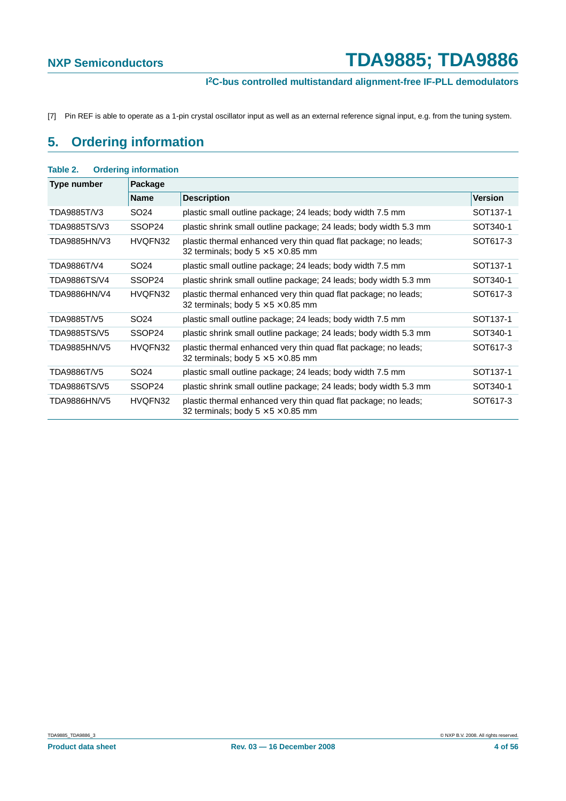#### **I 2C-bus controlled multistandard alignment-free IF-PLL demodulators**

<span id="page-3-0"></span>[7] Pin REF is able to operate as a 1-pin crystal oscillator input as well as an external reference signal input, e.g. from the tuning system.

## <span id="page-3-1"></span>**5. Ordering information**

| Table 2.     | <b>Ordering information</b> |                                                                                                                   |                      |  |  |  |  |  |  |  |
|--------------|-----------------------------|-------------------------------------------------------------------------------------------------------------------|----------------------|--|--|--|--|--|--|--|
| Type number  | Package                     |                                                                                                                   |                      |  |  |  |  |  |  |  |
|              | <b>Name</b>                 | <b>Description</b>                                                                                                | <b>Version</b>       |  |  |  |  |  |  |  |
| TDA9885T/V3  | SO24                        | plastic small outline package; 24 leads; body width 7.5 mm                                                        | SOT <sub>137-1</sub> |  |  |  |  |  |  |  |
| TDA9885TS/V3 | SSOP24                      | plastic shrink small outline package; 24 leads; body width 5.3 mm                                                 | SOT340-1             |  |  |  |  |  |  |  |
| TDA9885HN/V3 | HVQFN32                     | plastic thermal enhanced very thin quad flat package; no leads;<br>32 terminals; body $5 \times 5 \times 0.85$ mm | SOT617-3             |  |  |  |  |  |  |  |
| TDA9886T/V4  | SO <sub>24</sub>            | plastic small outline package; 24 leads; body width 7.5 mm                                                        | SOT <sub>137-1</sub> |  |  |  |  |  |  |  |
| TDA9886TS/V4 | SSOP24                      | plastic shrink small outline package; 24 leads; body width 5.3 mm                                                 | SOT340-1             |  |  |  |  |  |  |  |
| TDA9886HN/V4 | HVQFN32                     | plastic thermal enhanced very thin quad flat package; no leads;<br>32 terminals; body $5 \times 5 \times 0.85$ mm | SOT617-3             |  |  |  |  |  |  |  |
| TDA9885T/V5  | SO <sub>24</sub>            | plastic small outline package; 24 leads; body width 7.5 mm                                                        | SOT <sub>137-1</sub> |  |  |  |  |  |  |  |
| TDA9885TS/V5 | SSOP24                      | plastic shrink small outline package; 24 leads; body width 5.3 mm                                                 | SOT340-1             |  |  |  |  |  |  |  |
| TDA9885HN/V5 | HVQFN32                     | plastic thermal enhanced very thin quad flat package; no leads;<br>32 terminals; body $5 \times 5 \times 0.85$ mm | SOT617-3             |  |  |  |  |  |  |  |
| TDA9886T/V5  | SO <sub>24</sub>            | plastic small outline package; 24 leads; body width 7.5 mm                                                        | SOT <sub>137-1</sub> |  |  |  |  |  |  |  |
| TDA9886TS/V5 | SSOP24                      | plastic shrink small outline package; 24 leads; body width 5.3 mm                                                 | SOT340-1             |  |  |  |  |  |  |  |
| TDA9886HN/V5 | HVQFN32                     | plastic thermal enhanced very thin quad flat package; no leads;<br>32 terminals; body $5 \times 5 \times 0.85$ mm | SOT617-3             |  |  |  |  |  |  |  |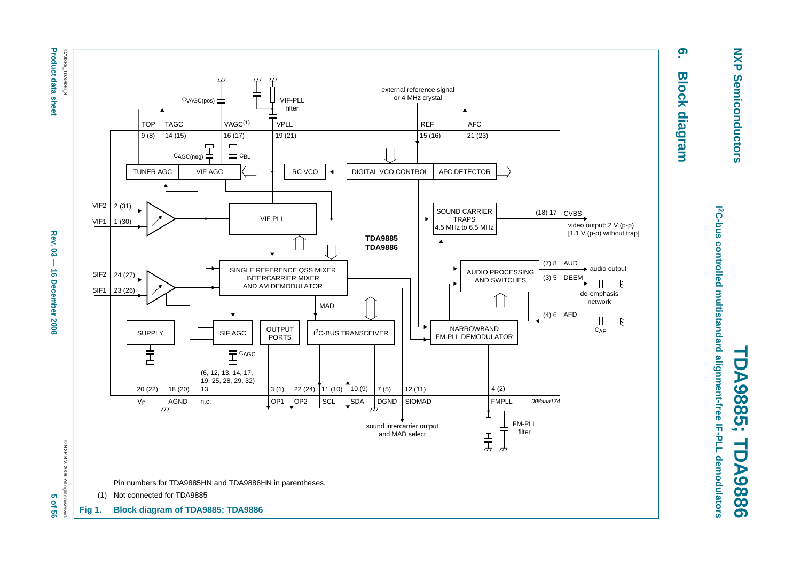<span id="page-4-1"></span>

**NXP NXP Semiconductors Semiconductors** 

**6. Block diagram**

**Block diagram** 

<u>၈</u>

<span id="page-4-0"></span>*I***<sup>2</sup>C-bus controlled multistandard alignment-free IF-PLL demodulators 2C-bus controlled multistandard alignment-free IF-PLL demodulators TDA9885; TDA9886** ▀ DA9885;  $\rightarrow$ **DA9886**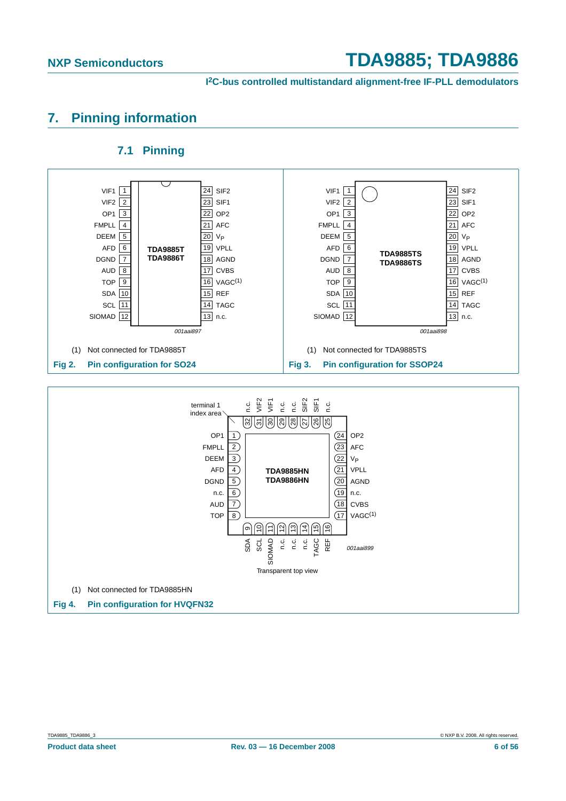**I 2C-bus controlled multistandard alignment-free IF-PLL demodulators**

## <span id="page-5-0"></span>**7. Pinning information**

<span id="page-5-1"></span>

#### **7.1 Pinning**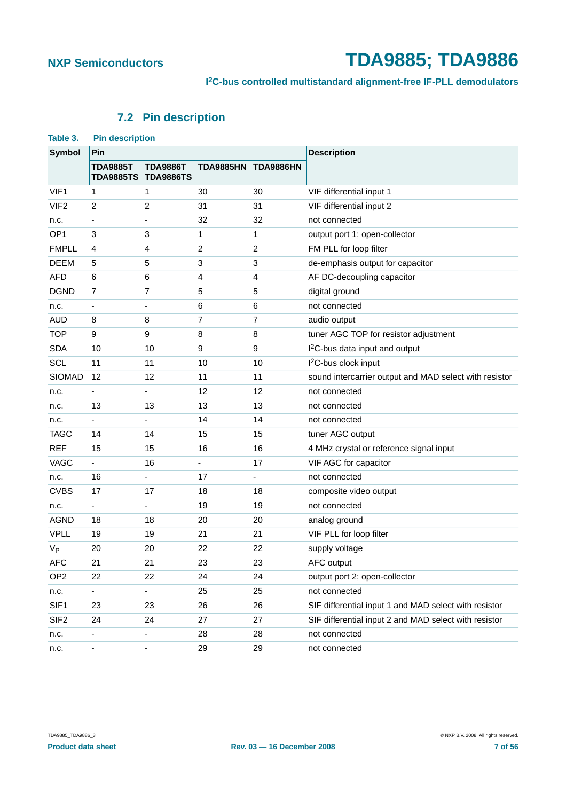## **7.2 Pin description**

<span id="page-6-0"></span>

| Table 3.         | <b>Pin description</b>              |                                     |                  |                  |                                                        |  |  |
|------------------|-------------------------------------|-------------------------------------|------------------|------------------|--------------------------------------------------------|--|--|
| <b>Symbol</b>    | Pin                                 |                                     |                  |                  | <b>Description</b>                                     |  |  |
|                  | <b>TDA9885T</b><br><b>TDA9885TS</b> | <b>TDA9886T</b><br><b>TDA9886TS</b> | <b>TDA9885HN</b> | <b>TDA9886HN</b> |                                                        |  |  |
| VIF1             | 1                                   | 1                                   | 30               | 30               | VIF differential input 1                               |  |  |
| VIF <sub>2</sub> | 2                                   | 2                                   | 31               | 31               | VIF differential input 2                               |  |  |
| n.c.             |                                     |                                     | 32               | 32               | not connected                                          |  |  |
| OP <sub>1</sub>  | 3                                   | 3                                   | 1                | 1                | output port 1; open-collector                          |  |  |
| <b>FMPLL</b>     | 4                                   | 4                                   | $\overline{c}$   | $\overline{c}$   | FM PLL for loop filter                                 |  |  |
| <b>DEEM</b>      | 5                                   | 5                                   | 3                | 3                | de-emphasis output for capacitor                       |  |  |
| <b>AFD</b>       | 6                                   | 6                                   | 4                | 4                | AF DC-decoupling capacitor                             |  |  |
| <b>DGND</b>      | 7                                   | 7                                   | 5                | 5                | digital ground                                         |  |  |
| n.c.             |                                     |                                     | 6                | 6                | not connected                                          |  |  |
| <b>AUD</b>       | 8                                   | 8                                   | $\overline{7}$   | $\overline{7}$   | audio output                                           |  |  |
| <b>TOP</b>       | 9                                   | 9                                   | 8                | 8                | tuner AGC TOP for resistor adjustment                  |  |  |
| <b>SDA</b>       | 10                                  | 10                                  | 9                | 9                | I <sup>2</sup> C-bus data input and output             |  |  |
| SCL              | 11                                  | 11                                  | 10               | 10               | I <sup>2</sup> C-bus clock input                       |  |  |
| <b>SIOMAD</b>    | 12                                  | 12                                  | 11               | 11               | sound intercarrier output and MAD select with resistor |  |  |
| n.c.             |                                     |                                     | 12               | 12               | not connected                                          |  |  |
| n.c.             | 13                                  | 13                                  | 13               | 13               | not connected                                          |  |  |
| n.c.             |                                     |                                     | 14               | 14               | not connected                                          |  |  |
| <b>TAGC</b>      | 14                                  | 14                                  | 15               | 15               | tuner AGC output                                       |  |  |
| <b>REF</b>       | 15                                  | 15                                  | 16               | 16               | 4 MHz crystal or reference signal input                |  |  |
| VAGC             | -                                   | 16                                  |                  | 17               | VIF AGC for capacitor                                  |  |  |
| n.c.             | 16                                  | ٠                                   | 17               |                  | not connected                                          |  |  |
| <b>CVBS</b>      | 17                                  | 17                                  | 18               | 18               | composite video output                                 |  |  |
| n.c.             |                                     |                                     | 19               | 19               | not connected                                          |  |  |
| <b>AGND</b>      | 18                                  | 18                                  | 20               | 20               | analog ground                                          |  |  |
| <b>VPLL</b>      | 19                                  | 19                                  | 21               | 21               | VIF PLL for loop filter                                |  |  |
| $V_{P}$          | 20                                  | 20                                  | 22               | 22               | supply voltage                                         |  |  |
| $\mathsf{AFC}$   | 21                                  | 21                                  | 23               | 23               | AFC output                                             |  |  |
| OP <sub>2</sub>  | 22                                  | 22                                  | 24               | 24               | output port 2; open-collector                          |  |  |
| n.c.             |                                     |                                     | 25               | 25               | not connected                                          |  |  |
| SIF1             | 23                                  | 23                                  | 26               | 26               | SIF differential input 1 and MAD select with resistor  |  |  |
| SIF <sub>2</sub> | 24                                  | 24                                  | 27               | 27               | SIF differential input 2 and MAD select with resistor  |  |  |
| n.c.             | -                                   | -                                   | 28               | 28               | not connected                                          |  |  |
| n.c.             |                                     |                                     | 29               | 29               | not connected                                          |  |  |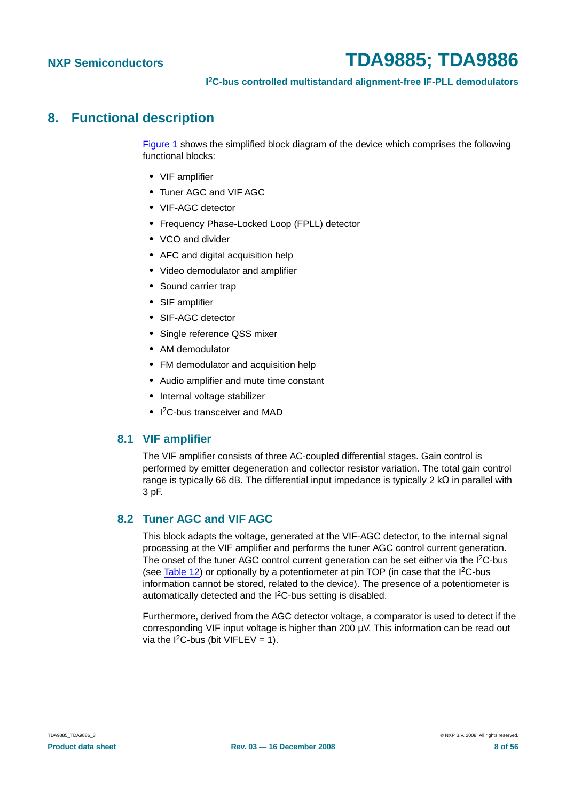### <span id="page-7-0"></span>**8. Functional description**

[Figure](#page-4-0) 1 shows the simplified block diagram of the device which comprises the following functional blocks:

- **•** VIF amplifier
- **•** Tuner AGC and VIF AGC
- **•** VIF-AGC detector
- **•** Frequency Phase-Locked Loop (FPLL) detector
- **•** VCO and divider
- **•** AFC and digital acquisition help
- **•** Video demodulator and amplifier
- **•** Sound carrier trap
- **•** SIF amplifier
- **•** SIF-AGC detector
- **•** Single reference QSS mixer
- **•** AM demodulator
- **•** FM demodulator and acquisition help
- **•** Audio amplifier and mute time constant
- **•** Internal voltage stabilizer
- **•** I 2C-bus transceiver and MAD

#### <span id="page-7-1"></span>**8.1 VIF amplifier**

The VIF amplifier consists of three AC-coupled differential stages. Gain control is performed by emitter degeneration and collector resistor variation. The total gain control range is typically 66 dB. The differential input impedance is typically 2 kΩ in parallel with 3 pF.

#### <span id="page-7-2"></span>**8.2 Tuner AGC and VIF AGC**

This block adapts the voltage, generated at the VIF-AGC detector, to the internal signal processing at the VIF amplifier and performs the tuner AGC control current generation. The onset of the tuner AGC control current generation can be set either via the I<sup>2</sup>C-bus (see [Table](#page-17-0) 12) or optionally by a potentiometer at pin TOP (in case that the I2C-bus information cannot be stored, related to the device). The presence of a potentiometer is automatically detected and the I2C-bus setting is disabled.

Furthermore, derived from the AGC detector voltage, a comparator is used to detect if the corresponding VIF input voltage is higher than 200  $\mu$ V. This information can be read out via the  $I^2C$ -bus (bit VIFLEV = 1).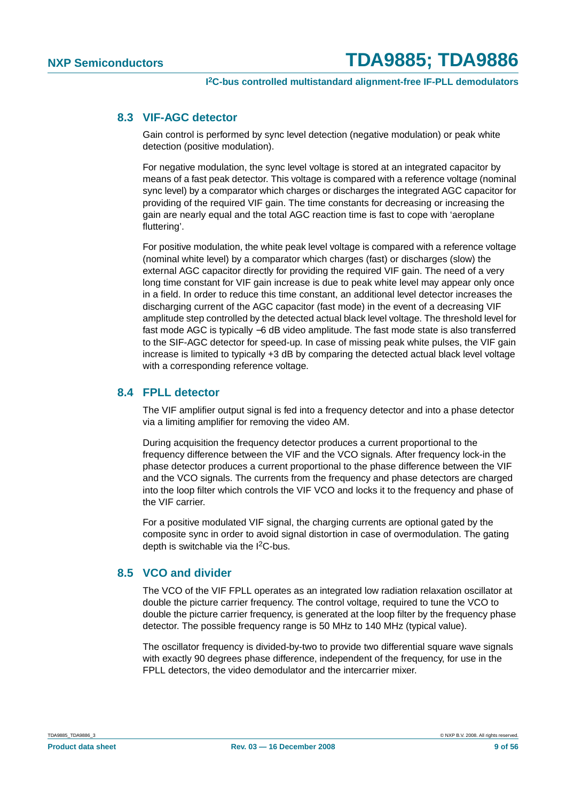#### <span id="page-8-0"></span>**8.3 VIF-AGC detector**

Gain control is performed by sync level detection (negative modulation) or peak white detection (positive modulation).

For negative modulation, the sync level voltage is stored at an integrated capacitor by means of a fast peak detector. This voltage is compared with a reference voltage (nominal sync level) by a comparator which charges or discharges the integrated AGC capacitor for providing of the required VIF gain. The time constants for decreasing or increasing the gain are nearly equal and the total AGC reaction time is fast to cope with 'aeroplane fluttering'.

For positive modulation, the white peak level voltage is compared with a reference voltage (nominal white level) by a comparator which charges (fast) or discharges (slow) the external AGC capacitor directly for providing the required VIF gain. The need of a very long time constant for VIF gain increase is due to peak white level may appear only once in a field. In order to reduce this time constant, an additional level detector increases the discharging current of the AGC capacitor (fast mode) in the event of a decreasing VIF amplitude step controlled by the detected actual black level voltage. The threshold level for fast mode AGC is typically −6 dB video amplitude. The fast mode state is also transferred to the SIF-AGC detector for speed-up. In case of missing peak white pulses, the VIF gain increase is limited to typically +3 dB by comparing the detected actual black level voltage with a corresponding reference voltage.

#### <span id="page-8-1"></span>**8.4 FPLL detector**

The VIF amplifier output signal is fed into a frequency detector and into a phase detector via a limiting amplifier for removing the video AM.

During acquisition the frequency detector produces a current proportional to the frequency difference between the VIF and the VCO signals. After frequency lock-in the phase detector produces a current proportional to the phase difference between the VIF and the VCO signals. The currents from the frequency and phase detectors are charged into the loop filter which controls the VIF VCO and locks it to the frequency and phase of the VIF carrier.

For a positive modulated VIF signal, the charging currents are optional gated by the composite sync in order to avoid signal distortion in case of overmodulation. The gating depth is switchable via the I<sup>2</sup>C-bus.

#### <span id="page-8-2"></span>**8.5 VCO and divider**

The VCO of the VIF FPLL operates as an integrated low radiation relaxation oscillator at double the picture carrier frequency. The control voltage, required to tune the VCO to double the picture carrier frequency, is generated at the loop filter by the frequency phase detector. The possible frequency range is 50 MHz to 140 MHz (typical value).

The oscillator frequency is divided-by-two to provide two differential square wave signals with exactly 90 degrees phase difference, independent of the frequency, for use in the FPLL detectors, the video demodulator and the intercarrier mixer.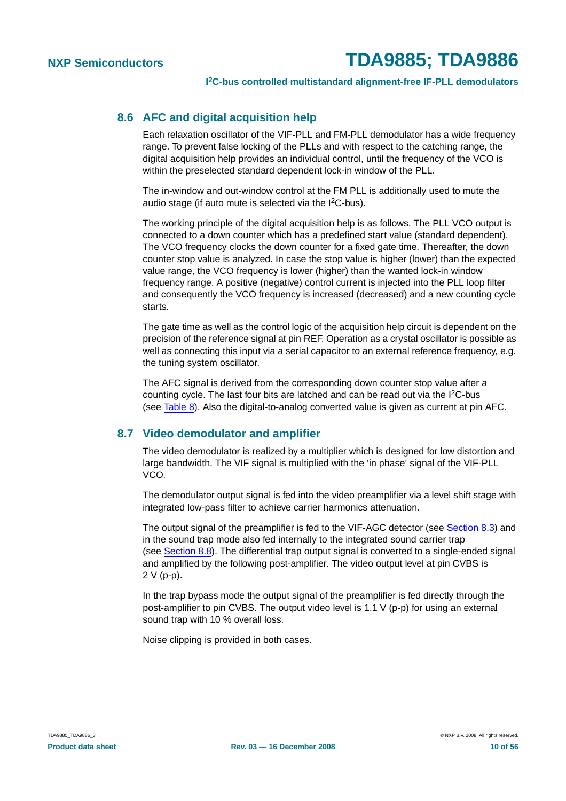#### <span id="page-9-0"></span>**8.6 AFC and digital acquisition help**

Each relaxation oscillator of the VIF-PLL and FM-PLL demodulator has a wide frequency range. To prevent false locking of the PLLs and with respect to the catching range, the digital acquisition help provides an individual control, until the frequency of the VCO is within the preselected standard dependent lock-in window of the PLL.

The in-window and out-window control at the FM PLL is additionally used to mute the audio stage (if auto mute is selected via the I2C-bus).

The working principle of the digital acquisition help is as follows. The PLL VCO output is connected to a down counter which has a predefined start value (standard dependent). The VCO frequency clocks the down counter for a fixed gate time. Thereafter, the down counter stop value is analyzed. In case the stop value is higher (lower) than the expected value range, the VCO frequency is lower (higher) than the wanted lock-in window frequency range. A positive (negative) control current is injected into the PLL loop filter and consequently the VCO frequency is increased (decreased) and a new counting cycle starts.

The gate time as well as the control logic of the acquisition help circuit is dependent on the precision of the reference signal at pin REF. Operation as a crystal oscillator is possible as well as connecting this input via a serial capacitor to an external reference frequency, e.g. the tuning system oscillator.

The AFC signal is derived from the corresponding down counter stop value after a counting cycle. The last four bits are latched and can be read out via the I2C-bus (see [Table](#page-15-0) 8). Also the digital-to-analog converted value is given as current at pin AFC.

#### <span id="page-9-1"></span>**8.7 Video demodulator and amplifier**

The video demodulator is realized by a multiplier which is designed for low distortion and large bandwidth. The VIF signal is multiplied with the 'in phase' signal of the VIF-PLL VCO.

The demodulator output signal is fed into the video preamplifier via a level shift stage with integrated low-pass filter to achieve carrier harmonics attenuation.

The output signal of the preamplifier is fed to the VIF-AGC detector (see [Section](#page-8-0) 8.3) and in the sound trap mode also fed internally to the integrated sound carrier trap (see [Section](#page-10-0) 8.8). The differential trap output signal is converted to a single-ended signal and amplified by the following post-amplifier. The video output level at pin CVBS is 2 V (p-p).

In the trap bypass mode the output signal of the preamplifier is fed directly through the post-amplifier to pin CVBS. The output video level is 1.1 V (p-p) for using an external sound trap with 10 % overall loss.

Noise clipping is provided in both cases.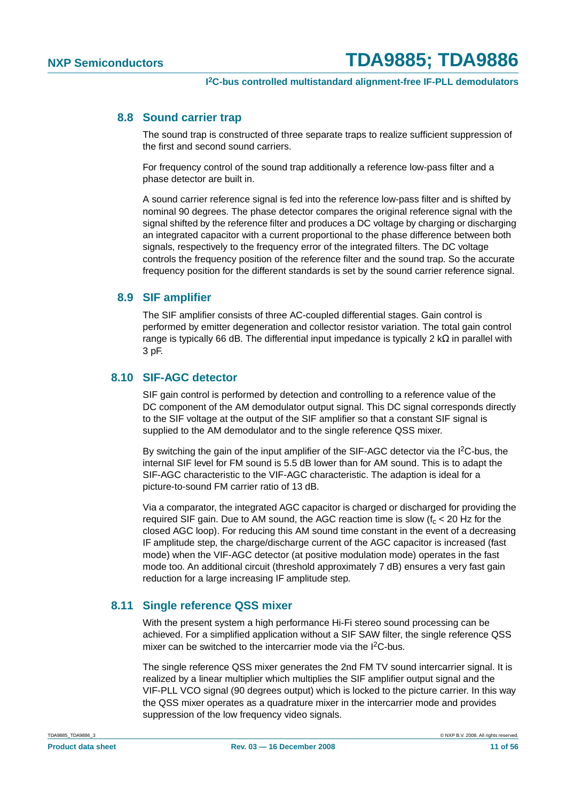#### <span id="page-10-0"></span>**8.8 Sound carrier trap**

The sound trap is constructed of three separate traps to realize sufficient suppression of the first and second sound carriers.

For frequency control of the sound trap additionally a reference low-pass filter and a phase detector are built in.

A sound carrier reference signal is fed into the reference low-pass filter and is shifted by nominal 90 degrees. The phase detector compares the original reference signal with the signal shifted by the reference filter and produces a DC voltage by charging or discharging an integrated capacitor with a current proportional to the phase difference between both signals, respectively to the frequency error of the integrated filters. The DC voltage controls the frequency position of the reference filter and the sound trap. So the accurate frequency position for the different standards is set by the sound carrier reference signal.

#### <span id="page-10-1"></span>**8.9 SIF amplifier**

The SIF amplifier consists of three AC-coupled differential stages. Gain control is performed by emitter degeneration and collector resistor variation. The total gain control range is typically 66 dB. The differential input impedance is typically 2 k $\Omega$  in parallel with 3 pF.

#### <span id="page-10-2"></span>**8.10 SIF-AGC detector**

SIF gain control is performed by detection and controlling to a reference value of the DC component of the AM demodulator output signal. This DC signal corresponds directly to the SIF voltage at the output of the SIF amplifier so that a constant SIF signal is supplied to the AM demodulator and to the single reference QSS mixer.

By switching the gain of the input amplifier of the SIF-AGC detector via the I<sup>2</sup>C-bus, the internal SIF level for FM sound is 5.5 dB lower than for AM sound. This is to adapt the SIF-AGC characteristic to the VIF-AGC characteristic. The adaption is ideal for a picture-to-sound FM carrier ratio of 13 dB.

Via a comparator, the integrated AGC capacitor is charged or discharged for providing the required SIF gain. Due to AM sound, the AGC reaction time is slow  $(f_c < 20$  Hz for the closed AGC loop). For reducing this AM sound time constant in the event of a decreasing IF amplitude step, the charge/discharge current of the AGC capacitor is increased (fast mode) when the VIF-AGC detector (at positive modulation mode) operates in the fast mode too. An additional circuit (threshold approximately 7 dB) ensures a very fast gain reduction for a large increasing IF amplitude step.

#### <span id="page-10-3"></span>**8.11 Single reference QSS mixer**

With the present system a high performance Hi-Fi stereo sound processing can be achieved. For a simplified application without a SIF SAW filter, the single reference QSS mixer can be switched to the intercarrier mode via the I<sup>2</sup>C-bus.

The single reference QSS mixer generates the 2nd FM TV sound intercarrier signal. It is realized by a linear multiplier which multiplies the SIF amplifier output signal and the VIF-PLL VCO signal (90 degrees output) which is locked to the picture carrier. In this way the QSS mixer operates as a quadrature mixer in the intercarrier mode and provides suppression of the low frequency video signals.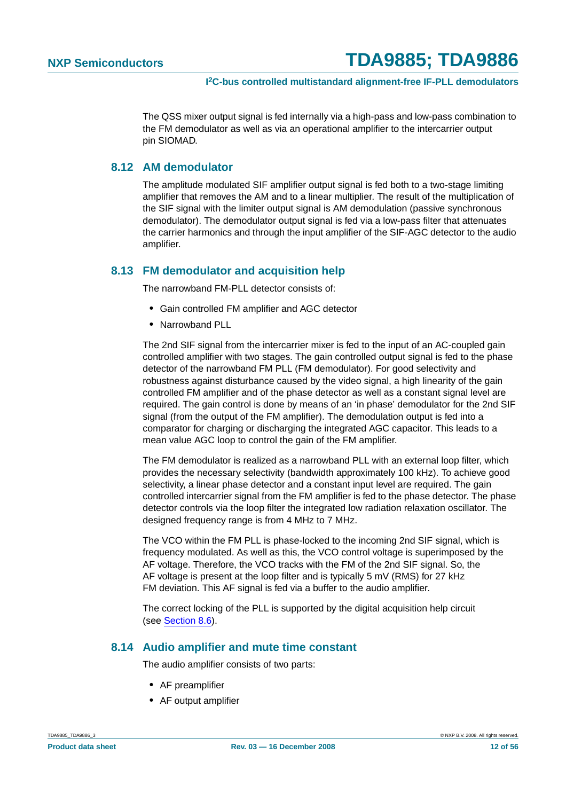The QSS mixer output signal is fed internally via a high-pass and low-pass combination to the FM demodulator as well as via an operational amplifier to the intercarrier output pin SIOMAD.

#### <span id="page-11-0"></span>**8.12 AM demodulator**

The amplitude modulated SIF amplifier output signal is fed both to a two-stage limiting amplifier that removes the AM and to a linear multiplier. The result of the multiplication of the SIF signal with the limiter output signal is AM demodulation (passive synchronous demodulator). The demodulator output signal is fed via a low-pass filter that attenuates the carrier harmonics and through the input amplifier of the SIF-AGC detector to the audio amplifier.

#### <span id="page-11-1"></span>**8.13 FM demodulator and acquisition help**

The narrowband FM-PLL detector consists of:

- **•** Gain controlled FM amplifier and AGC detector
- **•** Narrowband PLL

The 2nd SIF signal from the intercarrier mixer is fed to the input of an AC-coupled gain controlled amplifier with two stages. The gain controlled output signal is fed to the phase detector of the narrowband FM PLL (FM demodulator). For good selectivity and robustness against disturbance caused by the video signal, a high linearity of the gain controlled FM amplifier and of the phase detector as well as a constant signal level are required. The gain control is done by means of an 'in phase' demodulator for the 2nd SIF signal (from the output of the FM amplifier). The demodulation output is fed into a comparator for charging or discharging the integrated AGC capacitor. This leads to a mean value AGC loop to control the gain of the FM amplifier.

The FM demodulator is realized as a narrowband PLL with an external loop filter, which provides the necessary selectivity (bandwidth approximately 100 kHz). To achieve good selectivity, a linear phase detector and a constant input level are required. The gain controlled intercarrier signal from the FM amplifier is fed to the phase detector. The phase detector controls via the loop filter the integrated low radiation relaxation oscillator. The designed frequency range is from 4 MHz to 7 MHz.

The VCO within the FM PLL is phase-locked to the incoming 2nd SIF signal, which is frequency modulated. As well as this, the VCO control voltage is superimposed by the AF voltage. Therefore, the VCO tracks with the FM of the 2nd SIF signal. So, the AF voltage is present at the loop filter and is typically 5 mV (RMS) for 27 kHz FM deviation. This AF signal is fed via a buffer to the audio amplifier.

The correct locking of the PLL is supported by the digital acquisition help circuit (see [Section](#page-9-0) 8.6).

#### <span id="page-11-2"></span>**8.14 Audio amplifier and mute time constant**

The audio amplifier consists of two parts:

- **•** AF preamplifier
- **•** AF output amplifier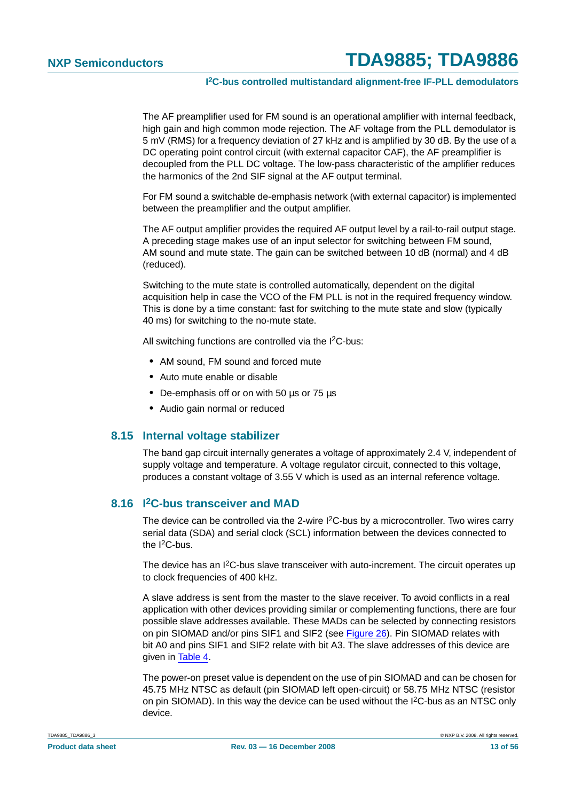The AF preamplifier used for FM sound is an operational amplifier with internal feedback, high gain and high common mode rejection. The AF voltage from the PLL demodulator is 5 mV (RMS) for a frequency deviation of 27 kHz and is amplified by 30 dB. By the use of a DC operating point control circuit (with external capacitor CAF), the AF preamplifier is decoupled from the PLL DC voltage. The low-pass characteristic of the amplifier reduces the harmonics of the 2nd SIF signal at the AF output terminal.

For FM sound a switchable de-emphasis network (with external capacitor) is implemented between the preamplifier and the output amplifier.

The AF output amplifier provides the required AF output level by a rail-to-rail output stage. A preceding stage makes use of an input selector for switching between FM sound, AM sound and mute state. The gain can be switched between 10 dB (normal) and 4 dB (reduced).

Switching to the mute state is controlled automatically, dependent on the digital acquisition help in case the VCO of the FM PLL is not in the required frequency window. This is done by a time constant: fast for switching to the mute state and slow (typically 40 ms) for switching to the no-mute state.

All switching functions are controlled via the I<sup>2</sup>C-bus:

- **•** AM sound, FM sound and forced mute
- **•** Auto mute enable or disable
- **•** De-emphasis off or on with 50 µs or 75 µs
- **•** Audio gain normal or reduced

#### <span id="page-12-0"></span>**8.15 Internal voltage stabilizer**

The band gap circuit internally generates a voltage of approximately 2.4 V, independent of supply voltage and temperature. A voltage regulator circuit, connected to this voltage, produces a constant voltage of 3.55 V which is used as an internal reference voltage.

#### <span id="page-12-1"></span>**8.16 I2C-bus transceiver and MAD**

The device can be controlled via the 2-wire I<sup>2</sup>C-bus by a microcontroller. Two wires carry serial data (SDA) and serial clock (SCL) information between the devices connected to the  $I^2C$ -bus.

The device has an I<sup>2</sup>C-bus slave transceiver with auto-increment. The circuit operates up to clock frequencies of 400 kHz.

A slave address is sent from the master to the slave receiver. To avoid conflicts in a real application with other devices providing similar or complementing functions, there are four possible slave addresses available. These MADs can be selected by connecting resistors on pin SIOMAD and/or pins SIF1 and SIF2 (see [Figure](#page-45-0) 26). Pin SIOMAD relates with bit A0 and pins SIF1 and SIF2 relate with bit A3. The slave addresses of this device are given in [Table](#page-13-0) 4.

The power-on preset value is dependent on the use of pin SIOMAD and can be chosen for 45.75 MHz NTSC as default (pin SIOMAD left open-circuit) or 58.75 MHz NTSC (resistor on pin SIOMAD). In this way the device can be used without the I2C-bus as an NTSC only device.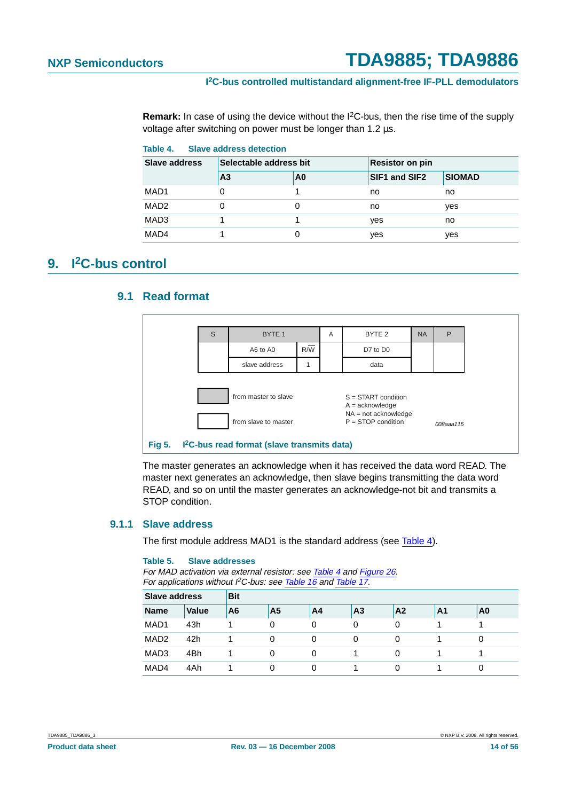**Remark:** In case of using the device without the I2C-bus, then the rise time of the supply voltage after switching on power must be longer than 1.2 µs.

<span id="page-13-0"></span>

| Table 4.<br>Slave address detection |                        |    |                      |               |  |  |  |  |  |
|-------------------------------------|------------------------|----|----------------------|---------------|--|--|--|--|--|
| Slave address                       | Selectable address bit |    | Resistor on pin      |               |  |  |  |  |  |
|                                     | A <sub>3</sub>         | A0 | <b>SIF1 and SIF2</b> | <b>SIOMAD</b> |  |  |  |  |  |
| MAD1                                | $\Omega$               |    | no                   | no            |  |  |  |  |  |
| MAD <sub>2</sub>                    |                        |    | no                   | yes           |  |  |  |  |  |
| MAD3                                |                        |    | yes                  | no            |  |  |  |  |  |
| MAD4                                |                        |    | yes                  | yes           |  |  |  |  |  |

### <span id="page-13-2"></span><span id="page-13-1"></span>**9. I2C-bus control**

#### **9.1 Read format**



The master generates an acknowledge when it has received the data word READ. The master next generates an acknowledge, then slave begins transmitting the data word READ, and so on until the master generates an acknowledge-not bit and transmits a STOP condition.

#### <span id="page-13-3"></span>**9.1.1 Slave address**

The first module address MAD1 is the standard address (see [Table](#page-13-0) 4).

#### **Table 5. Slave addresses**

For MAD activation via external resistor: see [Table](#page-13-0) 4 and [Figure](#page-45-0) 26. For applications without  ${}^12$ C-bus: see [Table](#page-19-1) 16 and Table 17.

| <b>Slave address</b> |              | <b>Bit</b> |                |    |                |                |    |    |  |  |  |
|----------------------|--------------|------------|----------------|----|----------------|----------------|----|----|--|--|--|
| <b>Name</b>          | <b>Value</b> | A6         | A <sub>5</sub> | A4 | A <sub>3</sub> | A <sub>2</sub> | A1 | A0 |  |  |  |
| MAD1                 | 43h          |            | 0              | 0  | 0              | 0              |    |    |  |  |  |
| MAD <sub>2</sub>     | 42h          |            | 0              | 0  | 0              | 0              |    |    |  |  |  |
| MAD <sub>3</sub>     | 4Bh          |            |                | 0  |                | 0              |    |    |  |  |  |
| MAD4                 | 4Ah          |            |                | 0  |                | 0              |    |    |  |  |  |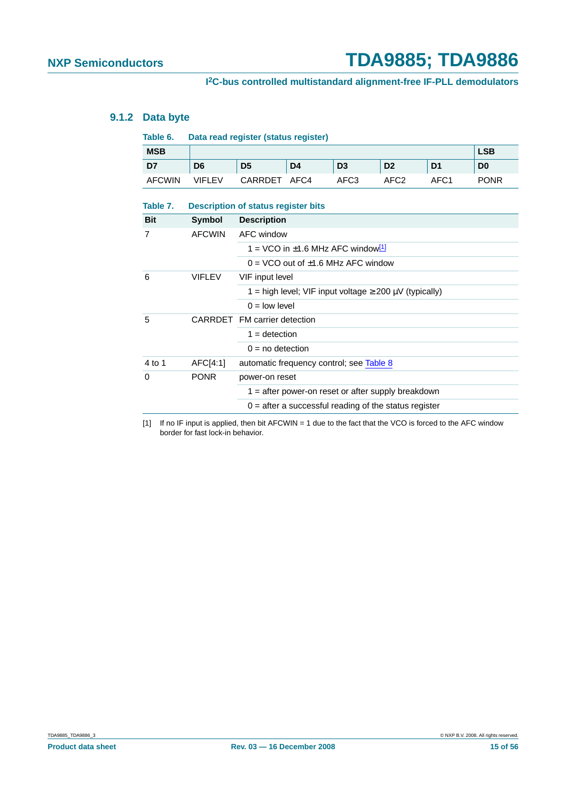#### <span id="page-14-3"></span>**9.1.2 Data byte**

<span id="page-14-2"></span><span id="page-14-1"></span>

| Table 6.      | Data read register (status register) |                                                                |      |                                                    |                  |                  |                |  |  |
|---------------|--------------------------------------|----------------------------------------------------------------|------|----------------------------------------------------|------------------|------------------|----------------|--|--|
| <b>MSB</b>    |                                      |                                                                |      |                                                    |                  |                  | <b>LSB</b>     |  |  |
| D7            | D <sub>6</sub>                       | D <sub>5</sub>                                                 | D4   | D <sub>3</sub>                                     | D <sub>2</sub>   | D <sub>1</sub>   | D <sub>0</sub> |  |  |
| <b>AFCWIN</b> | <b>VIFLEV</b>                        | CARRDET                                                        | AFC4 | AFC <sub>3</sub>                                   | AFC <sub>2</sub> | AFC <sub>1</sub> | <b>PONR</b>    |  |  |
| Table 7.      |                                      | <b>Description of status register bits</b>                     |      |                                                    |                  |                  |                |  |  |
| <b>Bit</b>    | Symbol                               | <b>Description</b>                                             |      |                                                    |                  |                  |                |  |  |
| 7             | <b>AFCWIN</b>                        | AFC window                                                     |      |                                                    |                  |                  |                |  |  |
|               |                                      | 1 = VCO in ±1.6 MHz AFC window <sup>[1]</sup>                  |      |                                                    |                  |                  |                |  |  |
|               |                                      |                                                                |      | $0 = VCO$ out of $\pm 1.6$ MHz AFC window          |                  |                  |                |  |  |
| 6             | <b>VIFLEV</b>                        | VIF input level                                                |      |                                                    |                  |                  |                |  |  |
|               |                                      | 1 = high level; VIF input voltage $\geq 200 \mu V$ (typically) |      |                                                    |                  |                  |                |  |  |
|               |                                      | $0 =$ low level                                                |      |                                                    |                  |                  |                |  |  |
| 5             |                                      | CARRDET FM carrier detection                                   |      |                                                    |                  |                  |                |  |  |
|               |                                      | $1 =$ detection                                                |      |                                                    |                  |                  |                |  |  |
|               |                                      | $0 = no$ detection                                             |      |                                                    |                  |                  |                |  |  |
| 4 to 1        | AFC[4:1]                             |                                                                |      | automatic frequency control; see Table 8           |                  |                  |                |  |  |
| 0             | <b>PONR</b>                          | power-on reset                                                 |      |                                                    |                  |                  |                |  |  |
|               |                                      |                                                                |      | 1 = after power-on reset or after supply breakdown |                  |                  |                |  |  |

<span id="page-14-0"></span>[1] If no IF input is applied, then bit AFCWIN = 1 due to the fact that the VCO is forced to the AFC window border for fast lock-in behavior.

 $0 =$  after a successful reading of the status register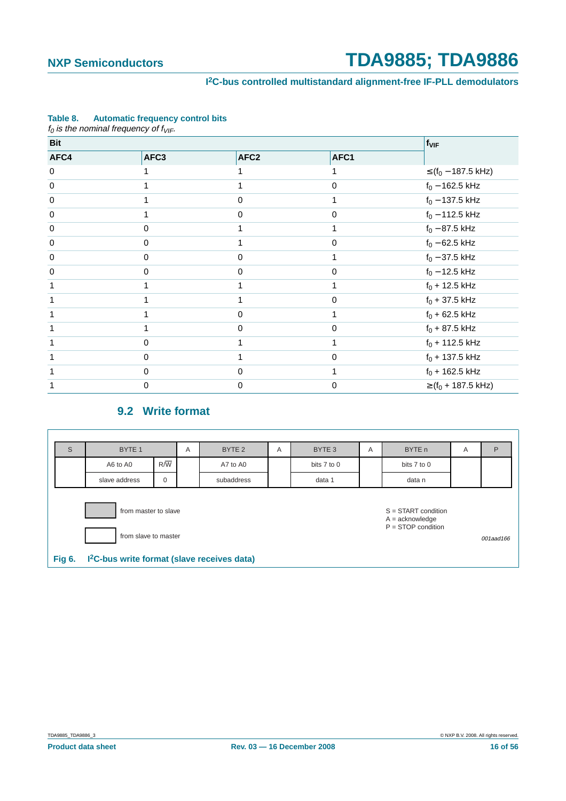#### **I 2C-bus controlled multistandard alignment-free IF-PLL demodulators**

|            | $f_0$ is the nominal frequency of $f_{VIF}$ . |                  |      |                                    |
|------------|-----------------------------------------------|------------------|------|------------------------------------|
| <b>Bit</b> |                                               | fvir             |      |                                    |
| AFC4       | AFC3                                          | AFC <sub>2</sub> | AFC1 |                                    |
| 0          |                                               |                  |      | ≤ (f <sub>0</sub> – 187.5 kHz)     |
| 0          |                                               |                  | 0    | $f_0 - 162.5$ kHz                  |
| 0          | 1                                             | 0                | 1    | $f_0 - 137.5$ kHz                  |
| 0          | 1                                             | 0                | 0    | $f_0$ – 112.5 kHz                  |
| 0          | 0                                             |                  |      | $f_0 - 87.5$ kHz                   |
| 0          | 0                                             |                  | 0    | $f_0 - 62.5$ kHz                   |
| 0          | 0                                             | 0                |      | $f_0 - 37.5$ kHz                   |
| 0          | 0                                             | 0                | 0    | $f_0 - 12.5$ kHz                   |
|            |                                               |                  |      | $f_0 + 12.5$ kHz                   |
|            |                                               |                  | 0    | $f_0 + 37.5$ kHz                   |
|            |                                               | 0                |      | $f_0 + 62.5$ kHz                   |
|            |                                               | 0                | 0    | $f_0 + 87.5$ kHz                   |
|            | 0                                             |                  |      | $f_0$ + 112.5 kHz                  |
|            | 0                                             |                  | 0    | $f_0 + 137.5$ kHz                  |
|            | 0                                             | $\Omega$         |      | $f_0$ + 162.5 kHz                  |
|            | 0                                             | 0                | 0    | $\ge$ (f <sub>0</sub> + 187.5 kHz) |

#### <span id="page-15-0"></span>**Table 8. Automatic frequency control bits**

#### **9.2 Write format**

<span id="page-15-1"></span>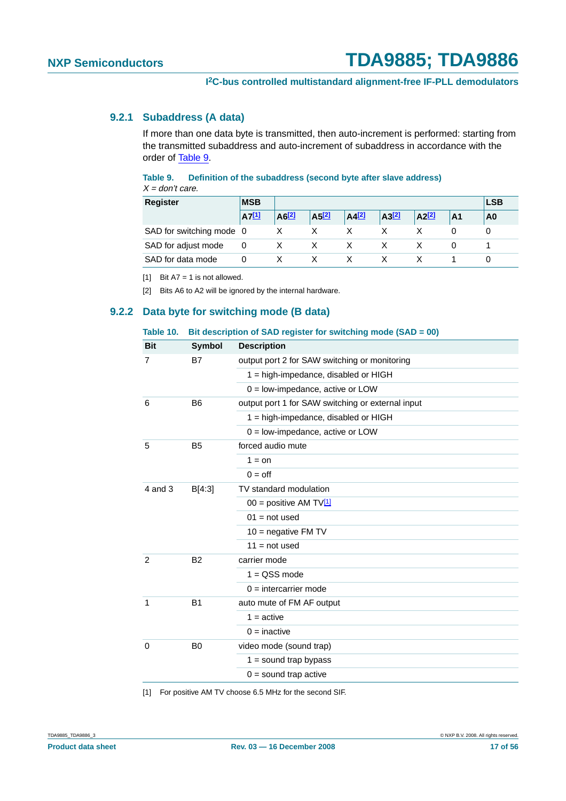#### <span id="page-16-5"></span>**9.2.1 Subaddress (A data)**

If more than one data byte is transmitted, then auto-increment is performed: starting from the transmitted subaddress and auto-increment of subaddress in accordance with the order of [Table](#page-16-3) 9.

#### <span id="page-16-3"></span>**Table 9. Definition of the subaddress (second byte after slave address)**  $\overline{X}$  don't can

| $\lambda$ = QUITTCAIL.   |            |                     |                     |                     |       |            |                |    |  |  |
|--------------------------|------------|---------------------|---------------------|---------------------|-------|------------|----------------|----|--|--|
| <b>Register</b>          | <b>MSB</b> |                     |                     |                     |       |            |                |    |  |  |
|                          | $AT^{[1]}$ | $A6$ <sup>[2]</sup> | $A5$ <sup>[2]</sup> | $A4$ <sup>[2]</sup> | A3[2] | $A2^{[2]}$ | A <sub>1</sub> | A0 |  |  |
| SAD for switching mode 0 |            |                     |                     |                     |       |            |                |    |  |  |
| SAD for adjust mode      | 0          |                     |                     |                     |       |            |                |    |  |  |
| SAD for data mode        | 0          |                     |                     |                     |       |            |                |    |  |  |

<span id="page-16-0"></span>[1] Bit  $A7 = 1$  is not allowed.

<span id="page-16-1"></span>[2] Bits A6 to A2 will be ignored by the internal hardware.

#### <span id="page-16-6"></span>**9.2.2 Data byte for switching mode (B data)**

#### <span id="page-16-4"></span>**Table 10. Bit description of SAD register for switching mode (SAD = 00)**

| <b>Bit</b>  | <b>Symbol</b>  | <b>Description</b>                                |  |  |  |  |
|-------------|----------------|---------------------------------------------------|--|--|--|--|
| 7           | <b>B7</b>      | output port 2 for SAW switching or monitoring     |  |  |  |  |
|             |                | $1 =$ high-impedance, disabled or HIGH            |  |  |  |  |
|             |                | $0 =$ low-impedance, active or LOW                |  |  |  |  |
| 6           | B <sub>6</sub> | output port 1 for SAW switching or external input |  |  |  |  |
|             |                | $1 =$ high-impedance, disabled or HIGH            |  |  |  |  |
|             |                | $0 =$ low-impedance, active or LOW                |  |  |  |  |
| 5           | <b>B5</b>      | forced audio mute                                 |  |  |  |  |
|             |                | $1 =$ on                                          |  |  |  |  |
|             |                | $0 =$ off                                         |  |  |  |  |
| $4$ and $3$ | B[4:3]         | TV standard modulation                            |  |  |  |  |
|             |                | 00 = positive AM TV $[1]$                         |  |  |  |  |
|             |                | $01 = not used$                                   |  |  |  |  |
|             |                | $10$ = negative FM TV                             |  |  |  |  |
|             |                | $11 = not used$                                   |  |  |  |  |
| 2           | <b>B2</b>      | carrier mode                                      |  |  |  |  |
|             |                | $1 = QSS mode$                                    |  |  |  |  |
|             |                | $0 =$ intercarrier mode                           |  |  |  |  |
| 1           | B <sub>1</sub> | auto mute of FM AF output                         |  |  |  |  |
|             |                | $1 =$ active                                      |  |  |  |  |
|             |                | $0 =$ inactive                                    |  |  |  |  |
| 0           | B <sub>0</sub> | video mode (sound trap)                           |  |  |  |  |
|             |                | $1 =$ sound trap bypass                           |  |  |  |  |
|             |                | $0 =$ sound trap active                           |  |  |  |  |
|             |                |                                                   |  |  |  |  |

<span id="page-16-2"></span>[1] For positive AM TV choose 6.5 MHz for the second SIF.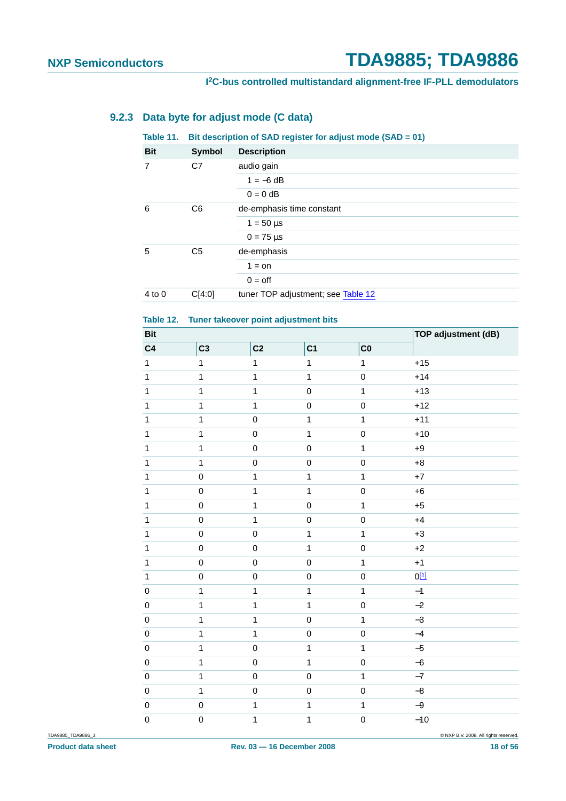#### <span id="page-17-2"></span>**9.2.3 Data byte for adjust mode (C data)**

#### <span id="page-17-1"></span>**Table 11. Bit description of SAD register for adjust mode (SAD = 01)**

| <b>Bit</b>     | Symbol         | <b>Description</b>                 |
|----------------|----------------|------------------------------------|
| $\overline{7}$ | C7             | audio gain                         |
|                |                | $1 = -6$ dB                        |
|                |                | $0 = 0$ dB                         |
| 6              | C <sub>6</sub> | de-emphasis time constant          |
|                |                | $1 = 50 \,\text{µs}$               |
|                |                | $0 = 75 \,\mu s$                   |
| 5              | C <sub>5</sub> | de-emphasis                        |
|                |                | $1 =$ on                           |
|                |                | $0 =$ off                          |
| $4$ to 0       | C[4:0]         | tuner TOP adjustment; see Table 12 |

#### <span id="page-17-0"></span>**Table 12. Tuner takeover point adjustment bits**

| <b>Bit</b>     |                | <b>TOP adjustment (dB)</b> |                |                |                  |
|----------------|----------------|----------------------------|----------------|----------------|------------------|
| C <sub>4</sub> | C <sub>3</sub> | C <sub>2</sub>             | C <sub>1</sub> | C <sub>0</sub> |                  |
| $\mathbf 1$    | $\mathbf{1}$   | $\mathbf{1}$               | $\mathbf{1}$   | $\mathbf{1}$   | $+15$            |
| $\mathbf{1}$   | 1              | $\mathbf{1}$               | $\mathbf{1}$   | $\pmb{0}$      | $+14$            |
| $\mathbf{1}$   | 1              | $\mathbf{1}$               | $\mathbf 0$    | $\mathbf 1$    | $+13$            |
| $\mathbf{1}$   | $\mathbf{1}$   | $\mathbf{1}$               | $\mathsf 0$    | $\mathsf 0$    | $+12$            |
| $\mathbf{1}$   | 1              | $\mathbf 0$                | $\mathbf{1}$   | $\mathbf{1}$   | $+11$            |
| $\mathbf{1}$   | 1              | $\mathbf 0$                | $\mathbf{1}$   | $\mathbf 0$    | $+10$            |
| $\mathbf{1}$   | $\mathbf{1}$   | $\pmb{0}$                  | $\mathbf 0$    | $\mathbf 1$    | $+9$             |
| $\mathbf{1}$   | $\mathbf{1}$   | $\mathbf 0$                | $\mathsf 0$    | $\mathbf 0$    | $+8$             |
| $\mathbf{1}$   | $\mbox{O}$     | $\mathbf{1}$               | $\mathbf{1}$   | $\mathbf 1$    | $\bf{+7}$        |
| $\mathbf{1}$   | $\mathbf 0$    | $\mathbf{1}$               | $\mathbf{1}$   | $\mathsf 0$    | $+6$             |
| $\mathbf{1}$   | $\mbox{O}$     | $\mathbf{1}$               | $\mathsf 0$    | $\mathbf 1$    | $+5$             |
| $\mathbf{1}$   | $\mbox{O}$     | $\mathbf{1}$               | $\mathsf 0$    | $\mathbf 0$    | $+4$             |
| $\mathbf{1}$   | $\mathbf 0$    | $\mathbf 0$                | $\mathbf{1}$   | 1              | $+3$             |
| $\mathbf{1}$   | $\mbox{O}$     | $\mathbf 0$                | $\mathbf{1}$   | $\mathbf 0$    | $+2$             |
| $\mathbf{1}$   | $\mathbf 0$    | $\pmb{0}$                  | $\pmb{0}$      | $\mathbf 1$    | $+1$             |
| $\mathbf{1}$   | $\mbox{O}$     | $\pmb{0}$                  | $\mathbf 0$    | $\mathbf 0$    | 0 <sup>[1]</sup> |
| $\pmb{0}$      | 1              | $\mathbf{1}$               | $\mathbf{1}$   | $\mathbf{1}$   | $-1$             |
| $\pmb{0}$      | $\mathbf{1}$   | $\mathbf{1}$               | $\mathbf{1}$   | $\mathbf 0$    | $-2$             |
| $\pmb{0}$      | 1              | $\mathbf{1}$               | $\mathbf 0$    | $\mathbf 1$    | $-3$             |
| $\pmb{0}$      | 1              | $\mathbf{1}$               | $\mathsf 0$    | $\mathbf 0$    | $-4$             |
| $\pmb{0}$      | $\mathbf{1}$   | $\mathbf 0$                | $\mathbf{1}$   | $\mathbf{1}$   | $-5$             |
| $\pmb{0}$      | 1              | $\pmb{0}$                  | $\mathbf{1}$   | $\mathbf 0$    | $-6$             |
| $\pmb{0}$      | $\mathbf{1}$   | $\mathbf 0$                | $\mathsf 0$    | $\mathbf 1$    | $-7$             |
| $\pmb{0}$      | $\overline{1}$ | $\mathbf 0$                | $\pmb{0}$      | $\mathbf 0$    | $-8$             |
| $\mathbf 0$    | $\mathbf 0$    | $\mathbf 1$                | $\mathbf{1}$   | $\mathbf 1$    | $-9$             |
| $\mathsf 0$    | $\mathbf 0$    | $\mathbf 1$                | $\mathbf 1$    | $\mathbf 0$    | $-10$            |

TDA9885\_TDA9886\_3 © NXP B.V. 2008. All rights reserved.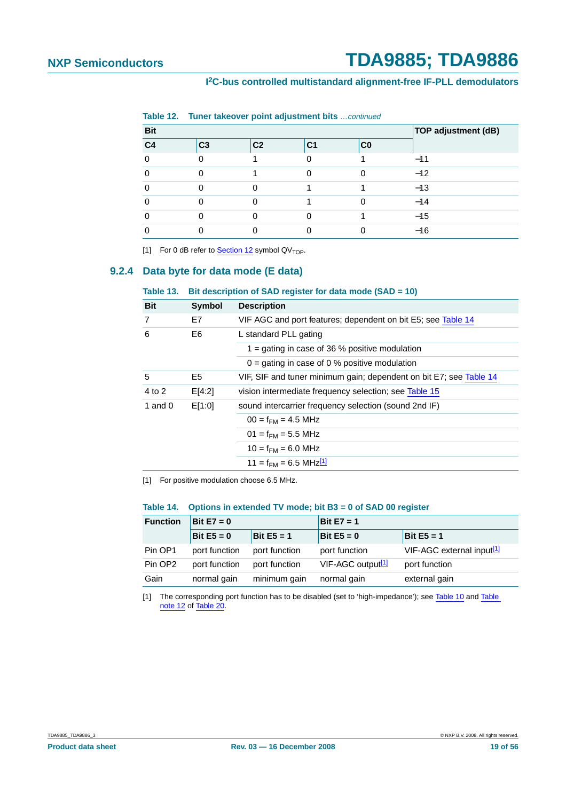#### **I 2C-bus controlled multistandard alignment-free IF-PLL demodulators**

| <b>Bit</b>     |                | TOP adjustment (dB) |                |             |       |
|----------------|----------------|---------------------|----------------|-------------|-------|
| C <sub>4</sub> | C <sub>3</sub> | C <sub>2</sub>      | C <sub>1</sub> | $_{\rm CO}$ |       |
|                |                |                     |                |             | $-11$ |
|                |                |                     |                |             | $-12$ |
|                |                |                     |                |             | $-13$ |
|                |                |                     |                |             | $-14$ |
|                |                |                     |                |             | $-15$ |
|                |                |                     |                |             | $-16$ |

**Table 12. Tuner takeover point adjustment bits** continued

<span id="page-18-1"></span>[1] For 0 dB refer to [Section](#page-21-0) 12 symbol  $QV<sub>TOP</sub>$ .

#### <span id="page-18-5"></span>**9.2.4 Data byte for data mode (E data)**

#### <span id="page-18-0"></span>**Table 13. Bit description of SAD register for data mode (SAD = 10)**

| <b>Bit</b>     | <b>Symbol</b>  | <b>Description</b>                                                 |
|----------------|----------------|--------------------------------------------------------------------|
| $\overline{7}$ | E7             | VIF AGC and port features; dependent on bit E5; see Table 14       |
| 6              | E <sub>6</sub> | L standard PLL gating                                              |
|                |                | 1 = gating in case of 36 % positive modulation                     |
|                |                | $0 =$ gating in case of 0 % positive modulation                    |
| 5              | E <sub>5</sub> | VIF, SIF and tuner minimum gain; dependent on bit E7; see Table 14 |
| 4 to 2         | E[4:2]         | vision intermediate frequency selection; see Table 15              |
| 1 and $0$      | E[1:0]         | sound intercarrier frequency selection (sound 2nd IF)              |
|                |                | $00 = f_{FMA} = 4.5 \text{ MHz}$                                   |
|                |                | $01 = f_{FM} = 5.5 \text{ MHz}$                                    |
|                |                | $10 = f_{F.M} = 6.0$ MHz                                           |
|                |                | 11 = $f_{FM}$ = 6.5 MHz <sup>[1]</sup>                             |
|                |                |                                                                    |

<span id="page-18-3"></span>[1] For positive modulation choose 6.5 MHz.

#### <span id="page-18-2"></span>**Table 14. Options in extended TV mode; bit B3 = 0 of SAD 00 register**

| <b>Function</b>     | Bit $E7 = 0$  |               | Bit $E7 = 1$                  |                                         |  |  |  |
|---------------------|---------------|---------------|-------------------------------|-----------------------------------------|--|--|--|
|                     | Bit $E5 = 0$  | Bit $E5 = 1$  | Bit $E5 = 0$<br>Bit $E5 = 1$  |                                         |  |  |  |
| Pin OP1             | port function | port function | port function                 | $VIF-AGC$ external input <sup>[1]</sup> |  |  |  |
| Pin OP <sub>2</sub> | port function | port function | VIF-AGC output <sup>[1]</sup> | port function                           |  |  |  |
| Gain                | normal gain   | minimum gain  | normal gain                   | external gain                           |  |  |  |

<span id="page-18-4"></span>[1] The corresponding port function has to be disabled (set to 'high-impedance'); see [Table](#page-16-4) 10 and [Table](#page-33-0) [note](#page-33-0) 12 of [Table](#page-21-1) 20.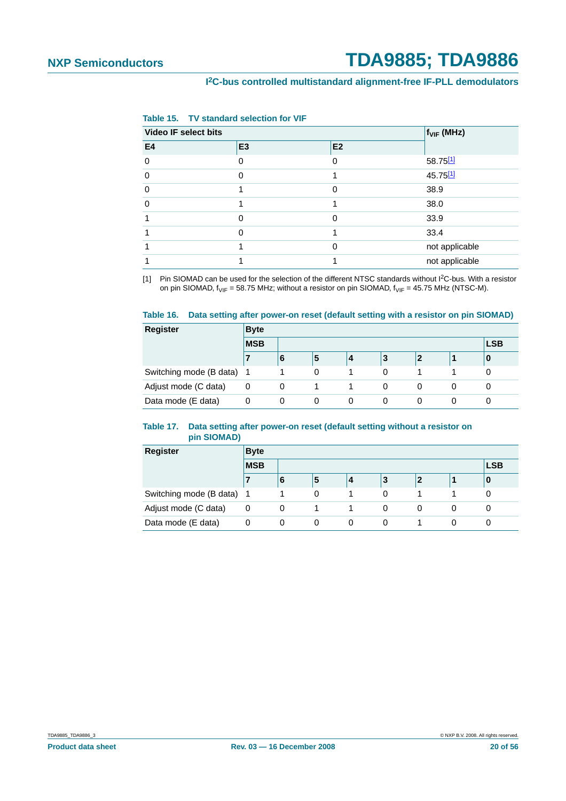<span id="page-19-2"></span>

| Table 15. |  | <b>TV standard selection for VIF</b> |  |
|-----------|--|--------------------------------------|--|
|-----------|--|--------------------------------------|--|

| Video IF select bits |                |                |  |  |
|----------------------|----------------|----------------|--|--|
| E <sub>3</sub>       | E <sub>2</sub> |                |  |  |
|                      | 0              | 58.75[1]       |  |  |
| $\Omega$             |                | 45.75[1]       |  |  |
|                      | 0              | 38.9           |  |  |
|                      |                | 38.0           |  |  |
| $\Omega$             | 0              | 33.9           |  |  |
|                      |                | 33.4           |  |  |
|                      | 0              | not applicable |  |  |
|                      |                | not applicable |  |  |
|                      |                |                |  |  |

<span id="page-19-3"></span>[1] Pin SIOMAD can be used for the selection of the different NTSC standards without I2C-bus. With a resistor on pin SIOMAD,  $f_{VIF} = 58.75$  MHz; without a resistor on pin SIOMAD,  $f_{VIF} = 45.75$  MHz (NTSC-M).

#### <span id="page-19-0"></span>**Table 16. Data setting after power-on reset (default setting with a resistor on pin SIOMAD)**

| <b>Register</b>           | <b>Byte</b> |   |   |   |   |             |   |            |  |  |
|---------------------------|-------------|---|---|---|---|-------------|---|------------|--|--|
|                           | <b>MSB</b>  |   |   |   |   |             |   | <b>LSB</b> |  |  |
|                           |             | 6 | 5 | 4 | 3 | $\mathbf 2$ |   | 0          |  |  |
| Switching mode (B data) 1 |             |   | 0 |   | 0 |             |   |            |  |  |
| Adjust mode (C data)      | 0           | 0 |   |   | 0 | 0           | 0 |            |  |  |
| Data mode (E data)        |             | 0 | 0 | 0 | 0 | 0           | 0 |            |  |  |

#### <span id="page-19-1"></span>**Table 17. Data setting after power-on reset (default setting without a resistor on pin SIOMAD)**

| <b>Register</b>           | <b>Byte</b> |   |            |   |   |             |   |   |  |  |
|---------------------------|-------------|---|------------|---|---|-------------|---|---|--|--|
|                           | <b>MSB</b>  |   | <b>LSB</b> |   |   |             |   |   |  |  |
|                           | 7           | O | 5          | 4 | 3 | $\mathbf 2$ |   | 0 |  |  |
| Switching mode (B data) 1 |             |   | 0          |   | 0 |             |   |   |  |  |
| Adjust mode (C data)      | 0           | 0 |            |   | 0 | 0           | 0 |   |  |  |
| Data mode (E data)        | 0           | 0 | 0          | 0 | 0 |             |   |   |  |  |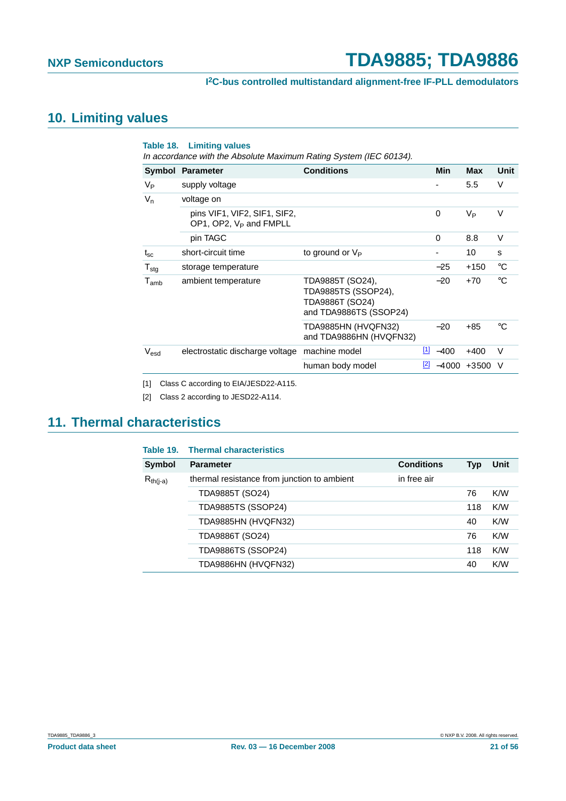## <span id="page-20-2"></span>**10. Limiting values**

|                  | <b>Table 18. Limiting values</b><br>In accordance with the Absolute Maximum Rating System (IEC 60134). |                                                                                      |             |            |                  |             |
|------------------|--------------------------------------------------------------------------------------------------------|--------------------------------------------------------------------------------------|-------------|------------|------------------|-------------|
|                  | Symbol Parameter                                                                                       | <b>Conditions</b>                                                                    |             | <b>Min</b> | <b>Max</b>       | <b>Unit</b> |
| V <sub>P</sub>   | supply voltage                                                                                         |                                                                                      |             |            | 5.5              | V           |
| $V_n$            | voltage on                                                                                             |                                                                                      |             |            |                  |             |
|                  | pins VIF1, VIF2, SIF1, SIF2,<br>OP1, OP2, V <sub>P</sub> and FMPLL                                     |                                                                                      |             | 0          | V <sub>Р</sub>   | v           |
|                  | pin TAGC                                                                                               |                                                                                      |             | 0          | 8.8              | $\vee$      |
| $t_{\rm sc}$     | short-circuit time                                                                                     | to ground or $V_P$                                                                   |             | -          | 10               | S           |
| $T_{\text{stq}}$ | storage temperature                                                                                    |                                                                                      |             | $-25$      | $+150$           | $^{\circ}C$ |
| $T_{amb}$        | ambient temperature                                                                                    | TDA9885T (SO24),<br>TDA9885TS (SSOP24),<br>TDA9886T (SO24)<br>and TDA9886TS (SSOP24) |             | $-20$      | $+70$            | °C          |
|                  |                                                                                                        | TDA9885HN (HVQFN32)<br>and TDA9886HN (HVQFN32)                                       |             | $-20$      | $+85$            | °C          |
| $V_{esd}$        | electrostatic discharge voltage                                                                        | machine model                                                                        | $\boxed{1}$ | $-400$     | $+400$           | $\vee$      |
|                  |                                                                                                        | human body model                                                                     | [2]         |            | $-4000 + 3500$ V |             |
|                  |                                                                                                        |                                                                                      |             |            |                  |             |

<span id="page-20-0"></span>[1] Class C according to EIA/JESD22-A115.

<span id="page-20-1"></span>[2] Class 2 according to JESD22-A114.

## <span id="page-20-3"></span>**11. Thermal characteristics**

| <b>Conditions</b><br><b>Symbol</b><br>Unit<br><b>Parameter</b><br><b>Typ</b><br>in free air<br>thermal resistance from junction to ambient<br>$R_{th(i-a)}$ |  |
|-------------------------------------------------------------------------------------------------------------------------------------------------------------|--|
|                                                                                                                                                             |  |
|                                                                                                                                                             |  |
| K/W<br>TDA9885T (SO24)<br>76                                                                                                                                |  |
| <b>TDA9885TS (SSOP24)</b><br>K/W<br>118                                                                                                                     |  |
| K/W<br>TDA9885HN (HVQFN32)<br>40                                                                                                                            |  |
| K/W<br>TDA9886T (SO24)<br>76                                                                                                                                |  |
| K/W<br>TDA9886TS (SSOP24)<br>118                                                                                                                            |  |
| K/W<br>TDA9886HN (HVQFN32)<br>40                                                                                                                            |  |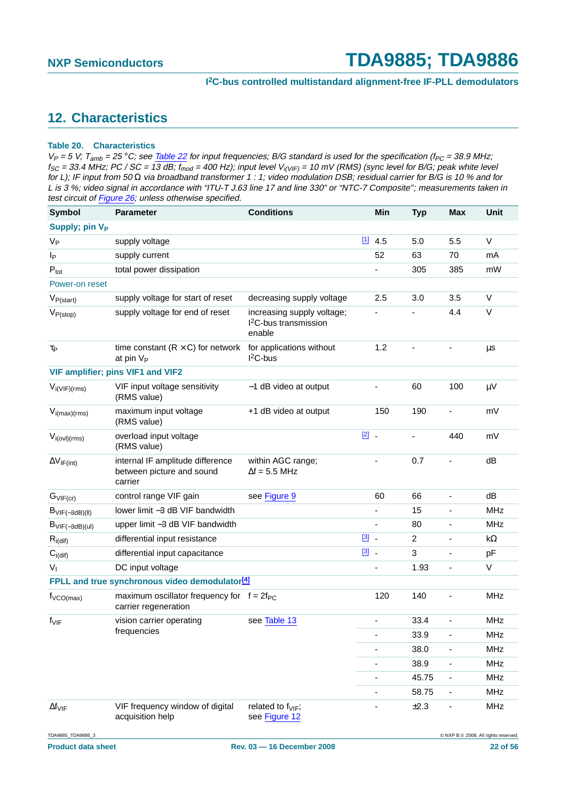## <span id="page-21-0"></span>**12. Characteristics**

#### <span id="page-21-1"></span>**Table 20. Characteristics**

| <b>Symbol</b>                  | <b>Parameter</b>                                                         | <b>Conditions</b>                                                       |                          | Min | <b>Typ</b>     | <b>Max</b>               | Unit       |
|--------------------------------|--------------------------------------------------------------------------|-------------------------------------------------------------------------|--------------------------|-----|----------------|--------------------------|------------|
| Supply; pin V <sub>P</sub>     |                                                                          |                                                                         |                          |     |                |                          |            |
| $V_{\mathsf{P}}$               | supply voltage                                                           |                                                                         | $\boxed{1}$              | 4.5 | 5.0            | 5.5                      | $\vee$     |
| Ιp                             | supply current                                                           |                                                                         |                          | 52  | 63             | 70                       | mA         |
| $\mathsf{P}_{\mathsf{tot}}$    | total power dissipation                                                  |                                                                         | $\overline{\phantom{0}}$ |     | 305            | 385                      | mW         |
| Power-on reset                 |                                                                          |                                                                         |                          |     |                |                          |            |
| $V_{P(start)}$                 | supply voltage for start of reset                                        | decreasing supply voltage                                               |                          | 2.5 | 3.0            | 3.5                      | $\vee$     |
| $V_{P(\text{stop})}$           | supply voltage for end of reset                                          | increasing supply voltage;<br><sup>2</sup> C-bus transmission<br>enable |                          |     |                | 4.4                      | $\vee$     |
| $\tau_{\mathsf{P}}$            | time constant $(R \times C)$ for network<br>at pin $V_P$                 | for applications without<br>$I2C-bus$                                   |                          | 1.2 |                | ÷,                       | μs         |
|                                | VIF amplifier; pins VIF1 and VIF2                                        |                                                                         |                          |     |                |                          |            |
| $V_{i(VIF)(rms)}$              | VIF input voltage sensitivity<br>(RMS value)                             | -1 dB video at output                                                   |                          |     | 60             | 100                      | μV         |
| $V_{i(max)(rms)}$              | maximum input voltage<br>(RMS value)                                     | +1 dB video at output                                                   |                          | 150 | 190            | $\overline{\phantom{a}}$ | mV         |
| $V_{i\text{(ovl)(rms)}}$       | overload input voltage<br>(RMS value)                                    |                                                                         | $\boxed{2}$              |     |                | 440                      | mV         |
| $\Delta V_{IF(int)}$           | internal IF amplitude difference<br>between picture and sound<br>carrier | within AGC range;<br>$\Delta f = 5.5$ MHz                               |                          |     | 0.7            |                          | dB         |
| $G_{VIF (cr)}$                 | control range VIF gain                                                   | see Figure 9                                                            |                          | 60  | 66             | $\overline{\phantom{a}}$ | dB         |
| $B_{VIF(-3dB)(II)}$            | lower limit -3 dB VIF bandwidth                                          |                                                                         |                          |     | 15             |                          | <b>MHz</b> |
| $B_{VIF(-3dB)(ul)}$            | upper limit -3 dB VIF bandwidth                                          |                                                                         | $\overline{\phantom{a}}$ |     | 80             | $\overline{\phantom{a}}$ | <b>MHz</b> |
| $R_{i(dif)}$                   | differential input resistance                                            |                                                                         | $\boxed{3}$ .            |     | $\overline{2}$ | ÷,                       | k $\Omega$ |
| $C_{i\left(\text{dif}\right)}$ | differential input capacitance                                           |                                                                         | $\boxed{3}$ .            |     | 3              | $\blacksquare$           | pF         |
| $V_{I}$                        | DC input voltage                                                         |                                                                         |                          |     | 1.93           | ÷,                       | $\vee$     |
|                                | FPLL and true synchronous video demodulator <sup>[4]</sup>               |                                                                         |                          |     |                |                          |            |
| $f_{\text{VCO(max)}}$          | maximum oscillator frequency for $f = 2f_{PC}$<br>carrier regeneration   |                                                                         |                          | 120 | 140            | ä,                       | <b>MHz</b> |
| $f_{VIF}$                      | vision carrier operating                                                 | see Table 13                                                            |                          |     | 33.4           |                          | <b>MHz</b> |
|                                | frequencies                                                              |                                                                         |                          |     | 33.9           | $\overline{\phantom{a}}$ | MHz        |
|                                |                                                                          |                                                                         |                          |     | 38.0           |                          | <b>MHz</b> |
|                                |                                                                          |                                                                         |                          |     | 38.9           | $\overline{\phantom{0}}$ | <b>MHz</b> |
|                                |                                                                          |                                                                         |                          |     | 45.75          | $\overline{\phantom{a}}$ | <b>MHz</b> |
|                                |                                                                          |                                                                         |                          |     | 58.75          | ۰                        | <b>MHz</b> |
| $\Delta f_{VIF}$               | VIF frequency window of digital<br>acquisition help                      | related to $f_{VIF}$ ;<br>see Figure 12                                 |                          |     | $\pm 2.3$      |                          | MHz        |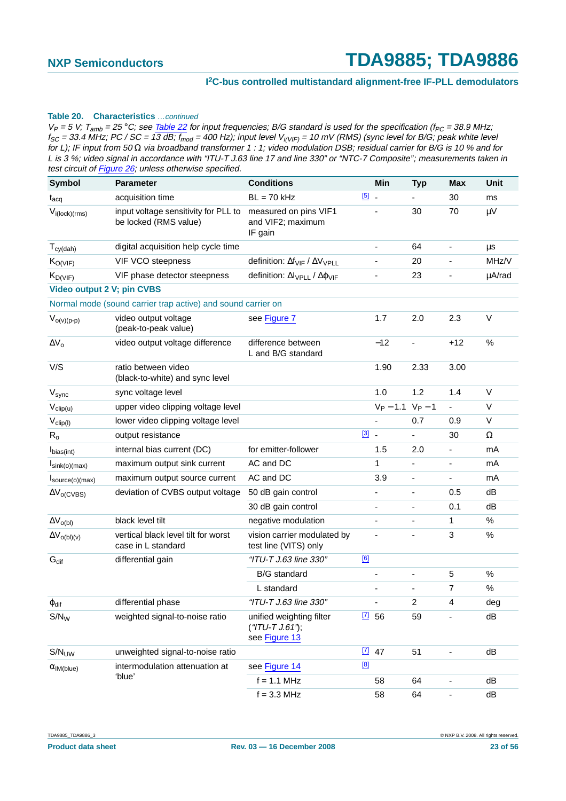#### **Table 20. Characteristics** …continued

| <b>Symbol</b>                      | <b>Parameter</b>                                              | <b>Conditions</b>                                                 |             | Min                 | <b>Typ</b>               | <b>Max</b>               | Unit     |
|------------------------------------|---------------------------------------------------------------|-------------------------------------------------------------------|-------------|---------------------|--------------------------|--------------------------|----------|
| $t_{\rm acq}$                      | acquisition time                                              | $BL = 70$ kHz                                                     | $\boxed{5}$ |                     |                          | 30                       | ms       |
| $V_{i(lock)(rms)}$                 | input voltage sensitivity for PLL to<br>be locked (RMS value) | measured on pins VIF1<br>and VIF2; maximum<br>IF gain             |             |                     | 30                       | 70                       | μV       |
| $T_{cy(dah)}$                      | digital acquisition help cycle time                           |                                                                   |             |                     | 64                       | $\overline{\phantom{a}}$ | μs       |
| $K_{O(VIF)}$                       | VIF VCO steepness                                             | definition: $\Delta f_{VIF} / \Delta V_{VPLL}$                    |             |                     | 20                       | $\overline{\phantom{a}}$ | MHz/V    |
| $K_{D(VIF)}$                       | VIF phase detector steepness                                  | definition: $\Delta I_{\text{VPLL}}$ / $\Delta \phi_{\text{VIF}}$ |             |                     | 23                       |                          | µA/rad   |
| Video output 2 V; pin CVBS         |                                                               |                                                                   |             |                     |                          |                          |          |
|                                    | Normal mode (sound carrier trap active) and sound carrier on  |                                                                   |             |                     |                          |                          |          |
| $V_{o(v)(p-p)}$                    | video output voltage<br>(peak-to-peak value)                  | see Figure 7                                                      |             | 1.7                 | 2.0                      | 2.3                      | V        |
| $\Delta V_0$                       | video output voltage difference                               | difference between<br>L and B/G standard                          |             | $-12$               | $\overline{\phantom{a}}$ | $+12$                    | $\%$     |
| V/S                                | ratio between video<br>(black-to-white) and sync level        |                                                                   |             | 1.90                | 2.33                     | 3.00                     |          |
| V <sub>sync</sub>                  | sync voltage level                                            |                                                                   |             | 1.0                 | 1.2                      | 1.4                      | V        |
| $V_{clip(u)}$                      | upper video clipping voltage level                            |                                                                   |             | $V_P - 1.1 V_P - 1$ |                          | $\overline{\phantom{a}}$ | $\vee$   |
| $V_{clip(l)}$                      | lower video clipping voltage level                            |                                                                   |             |                     | 0.7                      | 0.9                      | V        |
| $R_{o}$                            | output resistance                                             |                                                                   | $\boxed{3}$ |                     |                          | 30                       | $\Omega$ |
| I <sub>bias(int)</sub>             | internal bias current (DC)                                    | for emitter-follower                                              |             | 1.5                 | 2.0                      | $\overline{\phantom{0}}$ | mA       |
| $I_{\text{sink}(o)(\text{max})}$   | maximum output sink current                                   | AC and DC                                                         |             | 1                   |                          |                          | mA       |
| $I_{\text{source}(o)(\text{max})}$ | maximum output source current                                 | AC and DC                                                         |             | 3.9                 | $\overline{\phantom{a}}$ | $\overline{\phantom{0}}$ | mA       |
| $\Delta V_{o(CVBS)}$               | deviation of CVBS output voltage                              | 50 dB gain control                                                |             |                     |                          | 0.5                      | dB       |
|                                    |                                                               | 30 dB gain control                                                |             | -                   | $\overline{\phantom{a}}$ | 0.1                      | dB       |
| $\Delta V_{o(bI)}$                 | black level tilt                                              | negative modulation                                               |             |                     |                          | 1                        | $\%$     |
| $\Delta V_{O(bI)(v)}$              | vertical black level tilt for worst<br>case in L standard     | vision carrier modulated by<br>test line (VITS) only              |             |                     |                          | 3                        | $\%$     |
| $G_{\text{dif}}$                   | differential gain                                             | "ITU-T J.63 line 330"                                             | [6]         |                     |                          |                          |          |
|                                    |                                                               | <b>B/G</b> standard                                               |             |                     |                          | 5                        | $\%$     |
|                                    |                                                               | L standard                                                        |             |                     |                          | 7                        | $\%$     |
| $\varphi$ dif                      | differential phase                                            | "ITU-T J.63 line 330"                                             |             |                     | 2                        | 4                        | deg      |
| $S/N_W$                            | weighted signal-to-noise ratio                                | unified weighting filter<br>$("TU-T J.61")$ ;<br>see Figure 13    | $\boxed{7}$ | 56                  | 59                       |                          | dB       |
| S/N <sub>UV</sub>                  | unweighted signal-to-noise ratio                              |                                                                   | $\boxed{7}$ | 47                  | 51                       |                          | dB       |
| $\alpha$ IM(blue)                  | intermodulation attenuation at                                | see Figure 14                                                     | [8]         |                     |                          |                          |          |
|                                    | 'blue'                                                        | $f = 1.1$ MHz                                                     |             | 58                  | 64                       |                          | dB       |
|                                    |                                                               | $f = 3.3$ MHz                                                     |             | 58                  | 64                       | $\overline{\phantom{a}}$ | dB       |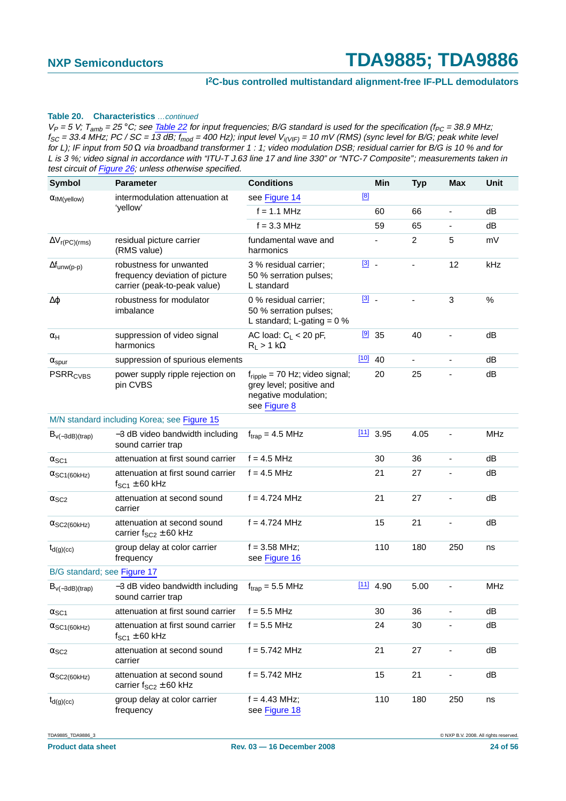#### **Table 20. Characteristics** …continued

 $V_P = 5$  V;  $T_{amb} = 25$  °C; see Table 22 for input frequencies; B/G standard is used for the specification (f<sub>PC</sub> = 38.9 MHz;  $f_{SC}$  = 33.4 MHz; PC / SC = 13 dB;  $f_{mod}$  = 400 Hz); input level  $V_{i(VIF)}$  = 10 mV (RMS) (sync level for B/G; peak white level for L); IF input from 50 Ω via broadband transformer 1 : 1; video modulation DSB; residual carrier for B/G is 10 % and for L is 3 %; video signal in accordance with "ITU-T J.63 line 17 and line 330" or "NTC-7 Composite"; measurements taken in test circuit of Figure 26; unless otherwise specified.

| <b>Symbol</b>                    | <b>Parameter</b>                                                                          | <b>Conditions</b>                                                                                              |               | Min         | <b>Typ</b>     | <b>Max</b>                   | Unit       |
|----------------------------------|-------------------------------------------------------------------------------------------|----------------------------------------------------------------------------------------------------------------|---------------|-------------|----------------|------------------------------|------------|
| $\alpha$ IM(yellow)              | intermodulation attenuation at                                                            | see Figure 14                                                                                                  | [8]           |             |                |                              |            |
|                                  | 'yellow'                                                                                  | $f = 1.1$ MHz                                                                                                  |               | 60          | 66             | $\overline{\phantom{a}}$     | dB         |
|                                  |                                                                                           | $f = 3.3$ MHz                                                                                                  |               | 59          | 65             |                              | dB         |
| $\Delta V_{r(PC)(rms)}$          | residual picture carrier<br>(RMS value)                                                   | fundamental wave and<br>harmonics                                                                              |               |             | $\overline{2}$ | 5                            | mV         |
| $\Delta f_{unw(p-p)}$            | robustness for unwanted<br>frequency deviation of picture<br>carrier (peak-to-peak value) | 3 % residual carrier;<br>50 % serration pulses;<br>L standard                                                  | $\boxed{3}$ . |             | ä,             | 12                           | kHz        |
| Δφ                               | robustness for modulator<br>imbalance                                                     | 0 % residual carrier;<br>50 % serration pulses;<br>L standard; L-gating = $0\%$                                | $\boxed{3}$   |             | ÷,             | 3                            | $\%$       |
| $\alpha_H$                       | suppression of video signal<br>harmonics                                                  | AC load: $C_L < 20$ pF,<br>$R_L > 1 k\Omega$                                                                   |               | $[9]$ 35    | 40             |                              | dB         |
| $\alpha_{spur}$                  | suppression of spurious elements                                                          |                                                                                                                | $[10]$ 40     |             | $\blacksquare$ | $\blacksquare$               | dB         |
| <b>PSRR<sub>CVBS</sub></b>       | power supply ripple rejection on<br>pin CVBS                                              | $f_{\text{ripole}}$ = 70 Hz; video signal;<br>grey level; positive and<br>negative modulation;<br>see Figure 8 |               | 20          | 25             |                              | dB         |
|                                  | M/N standard including Korea; see Figure 15                                               |                                                                                                                |               |             |                |                              |            |
| $B_{V(-3dB)(trap)}$              | -3 dB video bandwidth including<br>sound carrier trap                                     | $f_{trap} = 4.5 \text{ MHz}$                                                                                   |               | $[11]$ 3.95 | 4.05           | $\qquad \qquad \blacksquare$ | <b>MHz</b> |
| $\alpha$ <sub>SC1</sub>          | attenuation at first sound carrier                                                        | $f = 4.5$ MHz                                                                                                  |               | 30          | 36             | ÷,                           | dB         |
| $\alpha$ SC <sub>1</sub> (60kHz) | attenuation at first sound carrier<br>$f_{SC1} \pm 60$ kHz                                | $f = 4.5$ MHz                                                                                                  |               | 21          | 27             |                              | dB         |
| $\alpha$ <sub>SC2</sub>          | attenuation at second sound<br>carrier                                                    | $f = 4.724$ MHz                                                                                                |               | 21          | 27             | $\overline{\phantom{a}}$     | dB         |
| $\alpha$ SC2(60kHz)              | attenuation at second sound<br>carrier $f_{SC2} \pm 60$ kHz                               | $f = 4.724$ MHz                                                                                                |               | 15          | 21             |                              | dB         |
| $t_{d(g)(cc)}$                   | group delay at color carrier<br>frequency                                                 | $f = 3.58$ MHz;<br>see Figure 16                                                                               |               | 110         | 180            | 250                          | ns         |
| B/G standard; see Figure 17      |                                                                                           |                                                                                                                |               |             |                |                              |            |
| $B_{V(-3dB)(trap)}$              | -3 dB video bandwidth including<br>sound carrier trap                                     | $f_{trap} = 5.5$ MHz                                                                                           | $[11]$        | 4.90        | 5.00           |                              | <b>MHz</b> |
| $\alpha$ <sub>SC1</sub>          | attenuation at first sound carrier                                                        | $f = 5.5$ MHz                                                                                                  |               | 30          | 36             | $\overline{\phantom{0}}$     | dB         |
| $\alpha$ SC1(60kHz)              | attenuation at first sound carrier<br>$f_{SC1} \pm 60$ kHz                                | $f = 5.5$ MHz                                                                                                  |               | 24          | 30             |                              | dB         |
| $\alpha$ <sub>SC2</sub>          | attenuation at second sound<br>carrier                                                    | $f = 5.742$ MHz                                                                                                |               | 21          | 27             |                              | dB         |
| $\alpha$ SC2(60kHz)              | attenuation at second sound<br>carrier $f_{SC2} \pm 60$ kHz                               | $f = 5.742$ MHz                                                                                                |               | 15          | 21             | $\overline{\phantom{0}}$     | dB         |
| $t_{d(g)(cc)}$                   | group delay at color carrier<br>frequency                                                 | $f = 4.43$ MHz;<br>see Figure 18                                                                               |               | 110         | 180            | 250                          | ns         |

TDA9885\_TDA9886\_3 © NXP B.V. 2008. All rights reserved.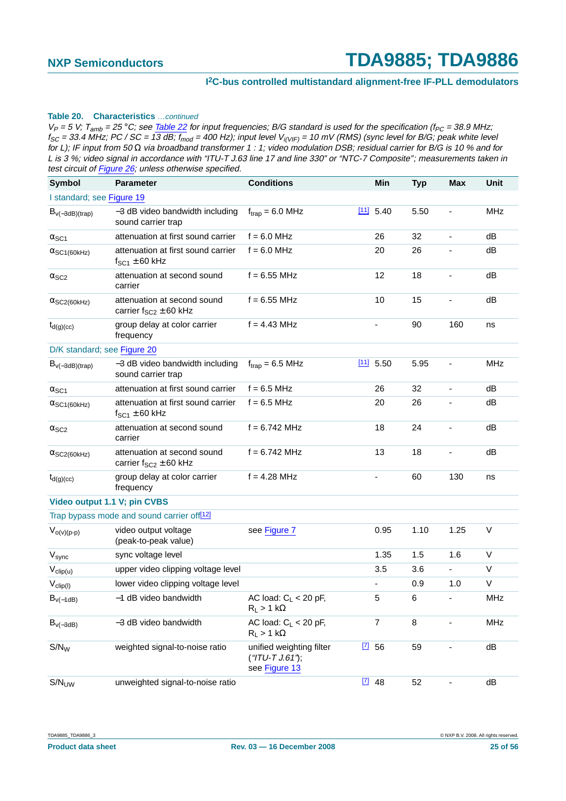#### **Table 20. Characteristics** …continued

| <b>Symbol</b>                | <b>Parameter</b>                                                  | <b>Conditions</b>                                          |      | Min                      | <b>Typ</b> | <b>Max</b>                   | Unit       |
|------------------------------|-------------------------------------------------------------------|------------------------------------------------------------|------|--------------------------|------------|------------------------------|------------|
| I standard; see Figure 19    |                                                                   |                                                            |      |                          |            |                              |            |
| $B_{V(-3dB)(trap)}$          | -3 dB video bandwidth including<br>sound carrier trap             | $f_{trap} = 6.0$ MHz                                       | [11] | 5.40                     | 5.50       | $\blacksquare$               | <b>MHz</b> |
| $\alpha$ <sub>SC1</sub>      | attenuation at first sound carrier                                | $f = 6.0$ MHz                                              |      | 26                       | 32         |                              | dB         |
| $\alpha$ SC1(60kHz)          | attenuation at first sound carrier<br>$f_{SC1} \pm 60$ kHz        | $f = 6.0$ MHz                                              |      | 20                       | 26         |                              | dB         |
| $\alpha$ <sub>SC2</sub>      | attenuation at second sound<br>carrier                            | $f = 6.55$ MHz                                             |      | 12                       | 18         | ÷,                           | dB         |
| $\alpha$ SC2(60kHz)          | attenuation at second sound<br>carrier $f_{SC2} \pm 60$ kHz       | $f = 6.55$ MHz                                             |      | 10                       | 15         |                              | dB         |
| $t_{d(g)(cc)}$               | group delay at color carrier<br>frequency                         | $f = 4.43$ MHz                                             |      | $\overline{\phantom{a}}$ | 90         | 160                          | ns         |
| D/K standard; see Figure 20  |                                                                   |                                                            |      |                          |            |                              |            |
| $B_{\nu(-3dB)(trap)}$        | -3 dB video bandwidth including<br>sound carrier trap             | $f_{trap} = 6.5 \text{ MHz}$                               |      | $\frac{[11]}{[11]}$ 5.50 | 5.95       | $\qquad \qquad \blacksquare$ | <b>MHz</b> |
| $\alpha$ <sub>SC1</sub>      | attenuation at first sound carrier                                | $f = 6.5$ MHz                                              |      | 26                       | 32         |                              | dB         |
| $\alpha$ SC1(60kHz)          | attenuation at first sound carrier<br>$f_{\text{SC1}} \pm 60$ kHz | $f = 6.5$ MHz                                              |      | 20                       | 26         |                              | dB         |
| $\alpha$ <sub>SC2</sub>      | attenuation at second sound<br>carrier                            | $f = 6.742$ MHz                                            |      | 18                       | 24         | $\overline{\phantom{a}}$     | dB         |
| $\alpha$ SC2(60kHz)          | attenuation at second sound<br>carrier $f_{SC2} \pm 60$ kHz       | $f = 6.742$ MHz                                            |      | 13                       | 18         |                              | dB         |
| $t_{d(g)(cc)}$               | group delay at color carrier<br>frequency                         | $f = 4.28$ MHz                                             |      |                          | 60         | 130                          | ns         |
| Video output 1.1 V; pin CVBS |                                                                   |                                                            |      |                          |            |                              |            |
|                              | Trap bypass mode and sound carrier off <sup>[12]</sup>            |                                                            |      |                          |            |                              |            |
| $V_{o(v)(p-p)}$              | video output voltage<br>(peak-to-peak value)                      | see Figure 7                                               |      | 0.95                     | 1.10       | 1.25                         | V          |
| V <sub>sync</sub>            | sync voltage level                                                |                                                            |      | 1.35                     | 1.5        | 1.6                          | V          |
| $V_{clip(u)}$                | upper video clipping voltage level                                |                                                            |      | 3.5                      | 3.6        | ÷,                           | V          |
| $V_{clip(l)}$                | lower video clipping voltage level                                |                                                            |      |                          | 0.9        | 1.0                          | V          |
| $B_{v(-1dB)}$                | -1 dB video bandwidth                                             | AC load: $C_L < 20$ pF,<br>$R_L > 1 k\Omega$               |      | 5                        | 6          | ٠                            | MHz        |
| $B_{V(-3dB)}$                | -3 dB video bandwidth                                             | AC load: $C_L < 20$ pF,<br>$R_L > 1 k\Omega$               |      | $\overline{7}$           | 8          |                              | MHz        |
| $S/N_W$                      | weighted signal-to-noise ratio                                    | unified weighting filter<br>$("TU-T J.61$<br>see Figure 13 |      | $\boxed{7}$ 56           | 59         |                              | dB         |
| S/N <sub>UV</sub>            | unweighted signal-to-noise ratio                                  |                                                            |      | $\boxed{7}$ 48           | 52         | $\overline{\phantom{a}}$     | dB         |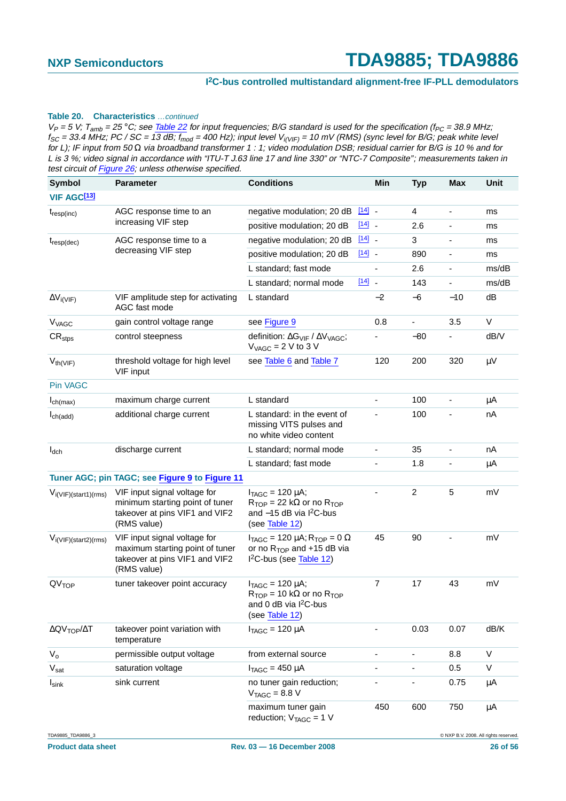#### **Table 20. Characteristics** …continued

| <b>Symbol</b>                                  | <b>Parameter</b>                                                                                                 | <b>Conditions</b>                                                                                                                                | Min                                | <b>Typ</b>     | Max                      | <b>Unit</b>                           |
|------------------------------------------------|------------------------------------------------------------------------------------------------------------------|--------------------------------------------------------------------------------------------------------------------------------------------------|------------------------------------|----------------|--------------------------|---------------------------------------|
| VIF AGC <sup>[13]</sup>                        |                                                                                                                  |                                                                                                                                                  |                                    |                |                          |                                       |
| $t_{resp(inc)}$                                | AGC response time to an                                                                                          | negative modulation; 20 dB                                                                                                                       | $\begin{bmatrix} 14 \end{bmatrix}$ | 4              | $\blacksquare$           | ms                                    |
|                                                | increasing VIF step                                                                                              | positive modulation; 20 dB                                                                                                                       | $[14]$                             | 2.6            |                          | ms                                    |
| $t_{resp(dec)}$                                | AGC response time to a                                                                                           | negative modulation; 20 dB                                                                                                                       | $[14]$                             | 3              | $\overline{\phantom{a}}$ | ms                                    |
|                                                | decreasing VIF step                                                                                              | positive modulation; 20 dB                                                                                                                       | $\begin{bmatrix} 14 \end{bmatrix}$ | 890            | $\overline{\phantom{a}}$ | ms                                    |
|                                                |                                                                                                                  | L standard; fast mode                                                                                                                            | $\blacksquare$                     | 2.6            | $\blacksquare$           | ms/dB                                 |
|                                                |                                                                                                                  | L standard; normal mode                                                                                                                          | $[14]$                             | 143            |                          | ms/dB                                 |
| $\Delta V_{i(VIF)}$                            | VIF amplitude step for activating<br>AGC fast mode                                                               | L standard                                                                                                                                       | $-2$                               | $-6$           | $-10$                    | dB                                    |
| <b>V<sub>VAGC</sub></b>                        | gain control voltage range                                                                                       | see Figure 9                                                                                                                                     | 0.8                                | $\blacksquare$ | 3.5                      | $\vee$                                |
| $CR_{\text{stps}}$                             | control steepness                                                                                                | definition: $\Delta G_{VIF} / \Delta V_{VAGC}$ ;<br>$V_{VAGC}$ = 2 V to 3 V                                                                      |                                    | $-80$          |                          | dB/V                                  |
| $V_{th(VIF)}$                                  | threshold voltage for high level<br>VIF input                                                                    | see Table 6 and Table 7                                                                                                                          | 120                                | 200            | 320                      | $\mu$ V                               |
| <b>Pin VAGC</b>                                |                                                                                                                  |                                                                                                                                                  |                                    |                |                          |                                       |
| $I_{\text{ch(max)}}$                           | maximum charge current                                                                                           | L standard                                                                                                                                       | $\overline{\phantom{a}}$           | 100            | $\overline{\phantom{a}}$ | μA                                    |
| $I_{ch(add)}$                                  | additional charge current                                                                                        | L standard: in the event of<br>missing VITS pulses and<br>no white video content                                                                 |                                    | 100            |                          | nA                                    |
| $I_{dch}$                                      | discharge current                                                                                                | L standard; normal mode                                                                                                                          | $\overline{\phantom{0}}$           | 35             | $\blacksquare$           | nA                                    |
|                                                |                                                                                                                  | L standard; fast mode                                                                                                                            |                                    | 1.8            |                          | μA                                    |
| Tuner AGC; pin TAGC; see Figure 9 to Figure 11 |                                                                                                                  |                                                                                                                                                  |                                    |                |                          |                                       |
| $V_{i(VIF)(start1)(rms)}$                      | VIF input signal voltage for<br>minimum starting point of tuner<br>takeover at pins VIF1 and VIF2<br>(RMS value) | $I_{TAGC}$ = 120 $\mu$ A;<br>$R_{\text{TOP}} = 22 \text{ k}\Omega$ or no $R_{\text{TOP}}$<br>and $-15$ dB via $1^2C$ -bus<br>(see Table 12)      |                                    | $\overline{c}$ | 5                        | mV                                    |
| $V_{i(VIF)(start2)(rms)}$                      | VIF input signal voltage for<br>maximum starting point of tuner<br>takeover at pins VIF1 and VIF2<br>(RMS value) | $I_{TAGC}$ = 120 $\mu$ A; R <sub>TOP</sub> = 0 $\Omega$<br>or no $R_{TOP}$ and $+15$ dB via<br>$12C-bus$ (see Table 12)                          | 45                                 | 90             |                          | mV                                    |
| QV <sub>TOP</sub>                              | tuner takeover point accuracy                                                                                    | $I_{TAGC}$ = 120 $\mu$ A;<br>$R_{\text{TOP}} = 10 \text{ k}\Omega$ or no $R_{\text{TOP}}$<br>and 0 dB via I <sup>2</sup> C-bus<br>(see Table 12) | $\overline{7}$                     | 17             | 43                       | mV                                    |
| $\Delta$ QV <sub>TOP</sub> / $\Delta$ T        | takeover point variation with<br>temperature                                                                     | $I_{TAGC}$ = 120 $\mu$ A                                                                                                                         |                                    | 0.03           | 0.07                     | dB/K                                  |
| $V_{o}$                                        | permissible output voltage                                                                                       | from external source                                                                                                                             | $\overline{\phantom{a}}$           |                | 8.8                      | V                                     |
| $V_{\text{sat}}$                               | saturation voltage                                                                                               | $I_{TAGC}$ = 450 µA                                                                                                                              | $\overline{\phantom{a}}$           | $\blacksquare$ | 0.5                      | V                                     |
| $I_{\textsf{sink}}$                            | sink current                                                                                                     | no tuner gain reduction;<br>$VTAGC = 8.8 V$                                                                                                      |                                    |                | 0.75                     | μA                                    |
|                                                |                                                                                                                  | maximum tuner gain<br>reduction; $V_{TAGC} = 1 V$                                                                                                | 450                                | 600            | 750                      | μA                                    |
| TDA9885_TDA9886_3                              |                                                                                                                  |                                                                                                                                                  |                                    |                |                          | C NXP B.V. 2008. All rights reserved. |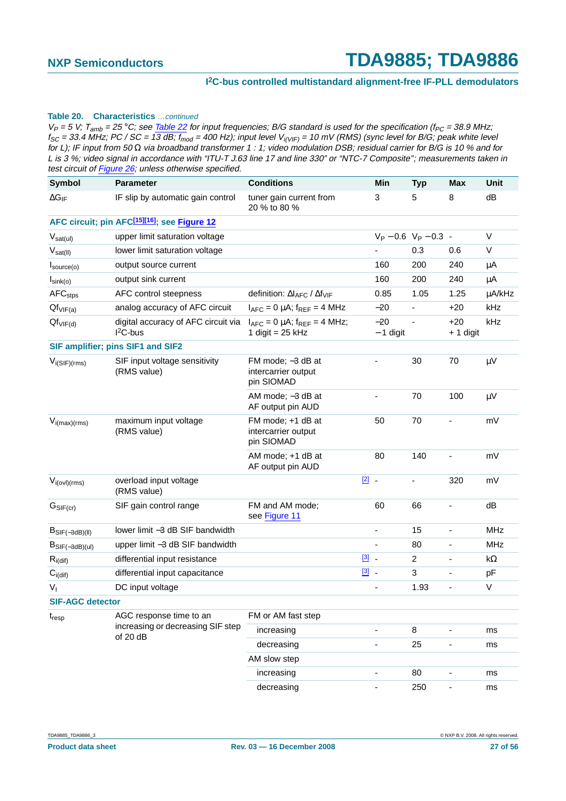#### **Table 20. Characteristics** …continued

| <b>Symbol</b>            | <b>Parameter</b>                                         | <b>Conditions</b>                                                        | Min                      | <b>Typ</b>              | Max                      | <b>Unit</b> |
|--------------------------|----------------------------------------------------------|--------------------------------------------------------------------------|--------------------------|-------------------------|--------------------------|-------------|
| $\Delta G_{IF}$          | IF slip by automatic gain control                        | tuner gain current from<br>20 % to 80 %                                  | 3                        | 5                       | 8                        | dB          |
|                          | AFC circuit; pin AFC <sup>[15][16]</sup> ; see Figure 12 |                                                                          |                          |                         |                          |             |
| $V_{sat(ul)}$            | upper limit saturation voltage                           |                                                                          |                          | $V_P - 0.6 V_P - 0.3$ - |                          | $\vee$      |
| $V_{sat(II)}$            | lower limit saturation voltage                           |                                                                          |                          | 0.3                     | 0.6                      | V           |
| $I_{\text{source}(o)}$   | output source current                                    |                                                                          | 160                      | 200                     | 240                      | $\mu$ A     |
| $I_{\text{sink}(o)}$     | output sink current                                      |                                                                          | 160                      | 200                     | 240                      | μA          |
| AFC <sub>stps</sub>      | AFC control steepness                                    | definition: $\Delta I_{\text{AFC}}$ / $\Delta f_{\text{VIF}}$            | 0.85                     | 1.05                    | 1.25                     | µA/kHz      |
| $Qf_{VIF(a)}$            | analog accuracy of AFC circuit                           | $I_{\text{AFC}} = 0$ µA; $f_{\text{REF}} = 4$ MHz                        | $-20$                    |                         | $+20$                    | kHz         |
| $Qf_{VIF(d)}$            | digital accuracy of AFC circuit via<br>$I2C-bus$         | $I_{\text{AFC}} = 0$ µA; $f_{\text{REF}} = 4$ MHz;<br>1 digit = $25$ kHz | $-20$<br>$-1$ digit      | $\blacksquare$          | $+20$<br>+ 1 digit       | kHz         |
|                          | SIF amplifier; pins SIF1 and SIF2                        |                                                                          |                          |                         |                          |             |
| $V_{i(SIF)(rms)}$        | SIF input voltage sensitivity<br>(RMS value)             | FM mode; -3 dB at<br>intercarrier output<br>pin SIOMAD                   |                          | 30                      | 70                       | μV          |
|                          |                                                          | AM mode; -3 dB at<br>AF output pin AUD                                   |                          | 70                      | 100                      | $\mu V$     |
| $V_{i(max)(rms)}$        | maximum input voltage<br>(RMS value)                     | FM mode; +1 dB at<br>intercarrier output<br>pin SIOMAD                   | 50                       | 70                      |                          | mV          |
|                          |                                                          | AM mode; +1 dB at<br>AF output pin AUD                                   | 80                       | 140                     | ÷,                       | mV          |
| $V_{i\text{(ovl)(rms)}}$ | overload input voltage<br>(RMS value)                    |                                                                          | $\boxed{2}$ .            | ä,                      | 320                      | mV          |
| G <sub>SIF(cr)</sub>     | SIF gain control range                                   | FM and AM mode;<br>see Figure 11                                         | 60                       | 66                      |                          | dB          |
| $B_{SIF(-3dB)(II)}$      | lower limit -3 dB SIF bandwidth                          |                                                                          | $\overline{\phantom{a}}$ | 15                      | $\overline{\phantom{a}}$ | <b>MHz</b>  |
| $B_{SIF(-3dB)(ul)}$      | upper limit -3 dB SIF bandwidth                          |                                                                          |                          | 80                      |                          | <b>MHz</b>  |
| $R_{i\text{(dif)}}$      | differential input resistance                            |                                                                          | $\boxed{3}$ -            | $\overline{2}$          | $\overline{\phantom{a}}$ | k $\Omega$  |
| $C_{i(\text{dif})}$      | differential input capacitance                           |                                                                          | $\boxed{3}$ .            | 3                       |                          | pF          |
| $V_{I}$                  | DC input voltage                                         |                                                                          |                          | 1.93                    | $\overline{\phantom{0}}$ | V           |
| <b>SIF-AGC detector</b>  |                                                          |                                                                          |                          |                         |                          |             |
| $t_{resp}$               | AGC response time to an                                  | FM or AM fast step                                                       |                          |                         |                          |             |
|                          | increasing or decreasing SIF step<br>of 20 dB            | increasing                                                               |                          | 8                       |                          | ms          |
|                          |                                                          | decreasing                                                               |                          | 25                      |                          | ms          |
|                          |                                                          | AM slow step                                                             |                          |                         |                          |             |
|                          |                                                          | increasing                                                               | $\overline{\phantom{0}}$ | 80                      | $\overline{\phantom{0}}$ | ms          |
|                          |                                                          | decreasing                                                               |                          | 250                     | ۰                        | ms          |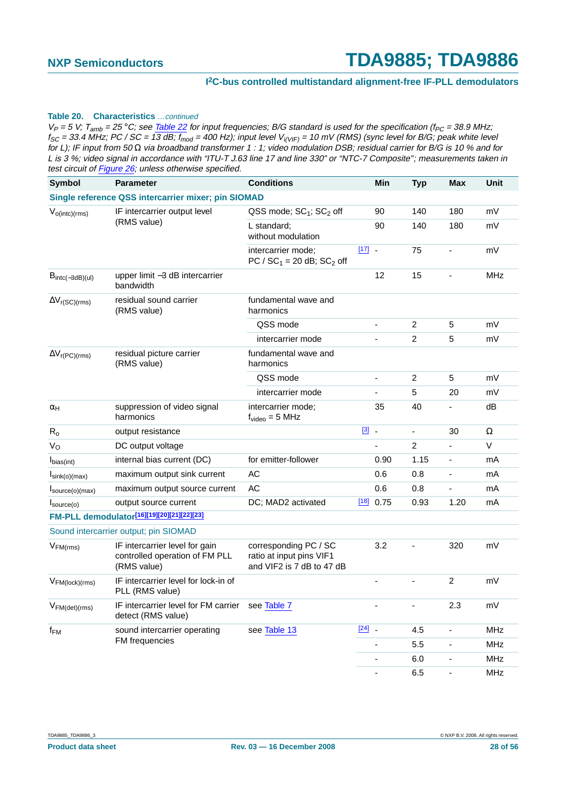#### **Table 20. Characteristics** …continued

| Symbol                             | <b>Parameter</b>                                                                | <b>Conditions</b>                                                              |                                    | Min                      | <b>Typ</b>     | <b>Max</b>               | Unit       |
|------------------------------------|---------------------------------------------------------------------------------|--------------------------------------------------------------------------------|------------------------------------|--------------------------|----------------|--------------------------|------------|
|                                    | Single reference QSS intercarrier mixer; pin SIOMAD                             |                                                                                |                                    |                          |                |                          |            |
| $V_{o(intc)(rms)}$                 | IF intercarrier output level                                                    | QSS mode; SC <sub>1</sub> ; SC <sub>2</sub> off                                |                                    | 90                       | 140            | 180                      | mV         |
|                                    | (RMS value)                                                                     | L standard;<br>without modulation                                              |                                    | 90                       | 140            | 180                      | mV         |
|                                    |                                                                                 | intercarrier mode;<br>PC / $SC_1 = 20$ dB; $SC_2$ off                          | $\begin{bmatrix} 17 \end{bmatrix}$ |                          | 75             |                          | mV         |
| $B_{\text{intc}(-3dB)(ul)}$        | upper limit -3 dB intercarrier<br>bandwidth                                     |                                                                                |                                    | 12                       | 15             |                          | <b>MHz</b> |
| $\Delta V_{r(SC)(rms)}$            | residual sound carrier<br>(RMS value)                                           | fundamental wave and<br>harmonics                                              |                                    |                          |                |                          |            |
|                                    |                                                                                 | QSS mode                                                                       |                                    | $\overline{\phantom{a}}$ | $\overline{2}$ | 5                        | mV         |
|                                    |                                                                                 | intercarrier mode                                                              |                                    |                          | $\overline{c}$ | 5                        | mV         |
| $\Delta V_{r(PC)(rms)}$            | residual picture carrier<br>(RMS value)                                         | fundamental wave and<br>harmonics                                              |                                    |                          |                |                          |            |
|                                    |                                                                                 | QSS mode                                                                       |                                    | ÷,                       | $\overline{c}$ | 5                        | mV         |
|                                    |                                                                                 | intercarrier mode                                                              |                                    |                          | 5              | 20                       | mV         |
| $\alpha_H$                         | suppression of video signal<br>harmonics                                        | intercarrier mode;<br>$f_{video} = 5 MHz$                                      |                                    | 35                       | 40             |                          | dB         |
| $R_0$                              | output resistance                                                               |                                                                                | $\boxed{3}$ .                      |                          | $\blacksquare$ | 30                       | Ω          |
| $V_{\rm O}$                        | DC output voltage                                                               |                                                                                |                                    |                          | $\overline{c}$ |                          | $\vee$     |
| I <sub>bias(int)</sub>             | internal bias current (DC)                                                      | for emitter-follower                                                           |                                    | 0.90                     | 1.15           | $\overline{\phantom{a}}$ | mA         |
| $I_{\text{sink}(o)(\text{max})}$   | maximum output sink current                                                     | <b>AC</b>                                                                      |                                    | 0.6                      | 0.8            | $\overline{\phantom{a}}$ | mA         |
| $I_{\text{source}(o)(\text{max})}$ | maximum output source current                                                   | AC                                                                             |                                    | 0.6                      | 0.8            |                          | mA         |
| $I_{\text{source}(o)}$             | output source current                                                           | DC; MAD2 activated                                                             | $[18]$                             | 0.75                     | 0.93           | 1.20                     | mA         |
|                                    | FM-PLL demodulator[16][19][20][21][22][23]                                      |                                                                                |                                    |                          |                |                          |            |
|                                    | Sound intercarrier output; pin SIOMAD                                           |                                                                                |                                    |                          |                |                          |            |
| $V_{FM(rms)}$                      | IF intercarrier level for gain<br>controlled operation of FM PLL<br>(RMS value) | corresponding PC / SC<br>ratio at input pins VIF1<br>and VIF2 is 7 dB to 47 dB |                                    | 3.2                      |                | 320                      | mV         |
| $V_{FM(lock)(rms)}$                | IF intercarrier level for lock-in of<br>PLL (RMS value)                         |                                                                                |                                    |                          |                | $\overline{c}$           | mV         |
| VFM(det)(rms)                      | IF intercarrier level for FM carrier<br>detect (RMS value)                      | see Table 7                                                                    |                                    |                          |                | 2.3                      | mV         |
| $f_{FM}$                           | sound intercarrier operating                                                    | see Table 13                                                                   | $[24]$ $-$                         |                          | 4.5            |                          | MHz        |
|                                    | FM frequencies                                                                  |                                                                                |                                    |                          | 5.5            | $\overline{\phantom{a}}$ | MHz        |
|                                    |                                                                                 |                                                                                |                                    | ÷                        | 6.0            | $\overline{\phantom{a}}$ | MHz        |
|                                    |                                                                                 |                                                                                |                                    | $\overline{\phantom{a}}$ | 6.5            | $\overline{\phantom{a}}$ | MHz        |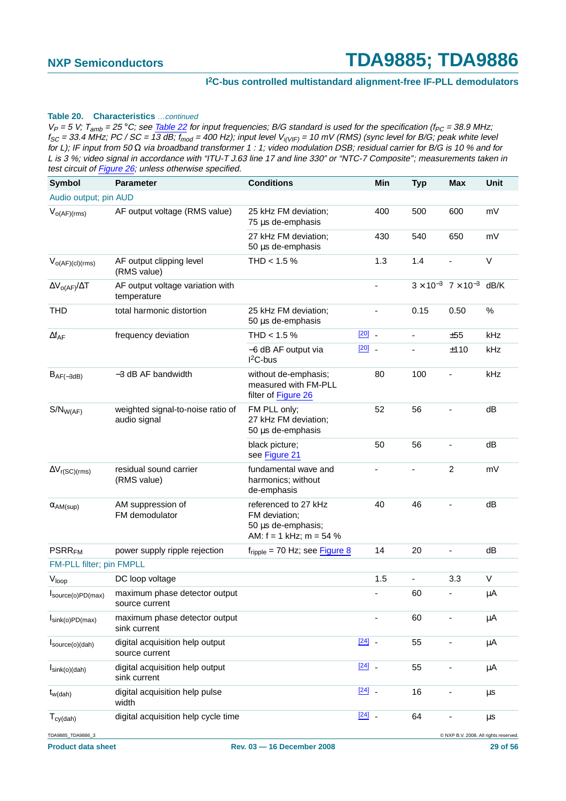#### **Table 20. Characteristics** …continued

| <b>Symbol</b>                    | <b>Parameter</b>                                  | <b>Conditions</b>                                                                        |            | Min | <b>Typ</b>               | <b>Max</b>                                   | Unit    |
|----------------------------------|---------------------------------------------------|------------------------------------------------------------------------------------------|------------|-----|--------------------------|----------------------------------------------|---------|
| Audio output; pin AUD            |                                                   |                                                                                          |            |     |                          |                                              |         |
| $V_{O(AF)(rms)}$                 | AF output voltage (RMS value)                     | 25 kHz FM deviation;<br>75 µs de-emphasis                                                |            | 400 | 500                      | 600                                          | mV      |
|                                  |                                                   | 27 kHz FM deviation;<br>50 µs de-emphasis                                                |            | 430 | 540                      | 650                                          | mV      |
| $V_{O(AF)(cl)(rms)}$             | AF output clipping level<br>(RMS value)           | THD < $1.5%$                                                                             |            | 1.3 | 1.4                      |                                              | V       |
| $\Delta V_{O(AF)}/\Delta T$      | AF output voltage variation with<br>temperature   |                                                                                          |            |     |                          | $3 \times 10^{-3}$ 7 × 10 <sup>-3</sup> dB/K |         |
| <b>THD</b>                       | total harmonic distortion                         | 25 kHz FM deviation;<br>50 µs de-emphasis                                                |            |     | 0.15                     | 0.50                                         | $\%$    |
| $\Delta f_{AF}$                  | frequency deviation                               | THD < $1.5%$                                                                             | $[20]$ $-$ |     | $\overline{\phantom{a}}$ | ±55                                          | kHz     |
|                                  |                                                   | -6 dB AF output via<br>$I2C-bus$                                                         | $[20]$ $-$ |     | $\blacksquare$           | ±110                                         | kHz     |
| $B_{AF(-3dB)}$                   | -3 dB AF bandwidth                                | without de-emphasis;<br>measured with FM-PLL<br>filter of Figure 26                      |            | 80  | 100                      |                                              | kHz     |
| $S/N_{W(AF)}$                    | weighted signal-to-noise ratio of<br>audio signal | FM PLL only;<br>27 kHz FM deviation;<br>50 µs de-emphasis                                |            | 52  | 56                       |                                              | dB      |
|                                  |                                                   | black picture;<br>see Figure 21                                                          |            | 50  | 56                       |                                              | dB      |
| $\Delta V_{r(SC)(rms)}$          | residual sound carrier<br>(RMS value)             | fundamental wave and<br>harmonics; without<br>de-emphasis                                |            | ٠   |                          | $\overline{c}$                               | mV      |
| $\alpha$ <sub>AM</sub> (sup)     | AM suppression of<br>FM demodulator               | referenced to 27 kHz<br>FM deviation;<br>50 µs de-emphasis;<br>AM: $f = 1$ kHz; m = 54 % |            | 40  | 46                       |                                              | dB      |
| <b>PSRR<sub>FM</sub></b>         | power supply ripple rejection                     | $f_{\text{ripole}}$ = 70 Hz; see Figure 8                                                |            | 14  | 20                       | L,                                           | dB      |
| FM-PLL filter; pin FMPLL         |                                                   |                                                                                          |            |     |                          |                                              |         |
| V <sub>loop</sub>                | DC loop voltage                                   |                                                                                          |            | 1.5 | $\blacksquare$           | 3.3                                          | $\vee$  |
| source(o)PD(max)                 | maximum phase detector output<br>source current   |                                                                                          |            |     | 60                       |                                              | μA      |
| $I_{\text{sink}(o)PD(max)}$      | maximum phase detector output<br>sink current     |                                                                                          |            |     | 60                       |                                              | μA      |
| $I_{source(o)(dah)}$             | digital acquisition help output<br>source current |                                                                                          | $[24]$ $-$ |     | 55                       |                                              | μA      |
| $I_{\text{sink}(o)(\text{dah})}$ | digital acquisition help output<br>sink current   |                                                                                          | $[24]$ $-$ |     | 55                       |                                              | μA      |
| $t_{w(dah)}$                     | digital acquisition help pulse<br>width           |                                                                                          | $[24]$ $-$ |     | 16                       |                                              | μs      |
| $T_{cy(dah)}$                    | digital acquisition help cycle time               |                                                                                          | $[24]$     |     | 64                       |                                              | $\mu$ s |
| TDA9885_TDA9886_3                |                                                   |                                                                                          |            |     |                          | C NXP B.V. 2008. All rights reserved.        |         |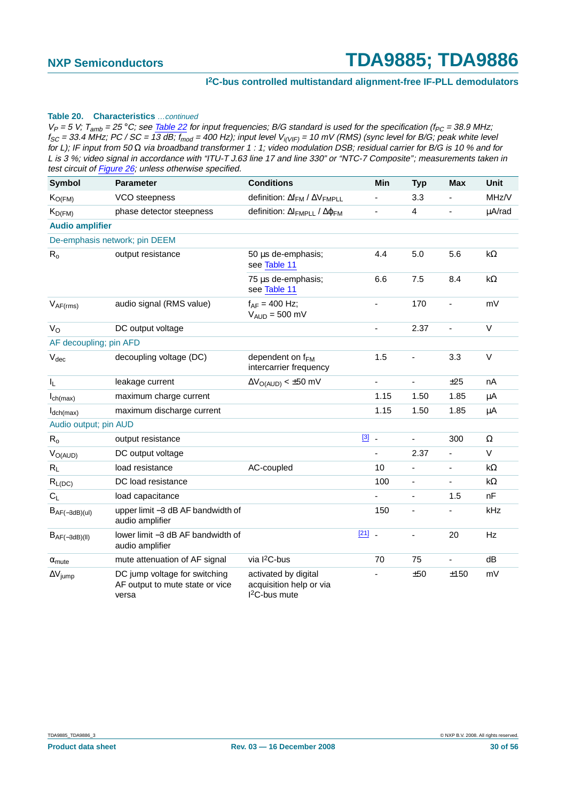#### **Table 20. Characteristics** …continued

| <b>Symbol</b>             | <b>Parameter</b>                                                          | <b>Conditions</b>                                                  | Min                      | <b>Typ</b>     | <b>Max</b>               | <b>Unit</b> |
|---------------------------|---------------------------------------------------------------------------|--------------------------------------------------------------------|--------------------------|----------------|--------------------------|-------------|
| $K_{O(FM)}$               | VCO steepness                                                             | definition: $\Delta f_{FM}$ / $\Delta V_{FMPLL}$                   |                          | 3.3            |                          | MHz/V       |
| $K_{D(FM)}$               | phase detector steepness                                                  | definition: ΔΙ <sub>ΕΜΡLL</sub> / Δφ <sub>ΕΜ</sub>                 | $\overline{\phantom{0}}$ | 4              | $\overline{\phantom{0}}$ | µA/rad      |
| <b>Audio amplifier</b>    |                                                                           |                                                                    |                          |                |                          |             |
|                           | De-emphasis network; pin DEEM                                             |                                                                    |                          |                |                          |             |
| $R_{o}$                   | output resistance                                                         | 50 µs de-emphasis;<br>see Table 11                                 | 4.4                      | 5.0            | 5.6                      | k $\Omega$  |
|                           |                                                                           | 75 µs de-emphasis;<br>see Table 11                                 | 6.6                      | 7.5            | 8.4                      | k $\Omega$  |
| $V_{AF(rms)}$             | audio signal (RMS value)                                                  | $f_{AF} = 400$ Hz;<br>$V_{AUD} = 500$ mV                           | $\overline{a}$           | 170            | $\blacksquare$           | mV          |
| $V_{\rm O}$               | DC output voltage                                                         |                                                                    | $\overline{a}$           | 2.37           | $\blacksquare$           | V           |
| AF decoupling; pin AFD    |                                                                           |                                                                    |                          |                |                          |             |
| $V_{\text{dec}}$          | decoupling voltage (DC)                                                   | dependent on f <sub>FM</sub><br>intercarrier frequency             | 1.5                      |                | 3.3                      | V           |
| $\mathsf{I}_\mathsf{L}$   | leakage current                                                           | $\Delta V_{O(AUD)} < \pm 50$ mV                                    | $\blacksquare$           | $\blacksquare$ | ±25                      | nA          |
| $I_{\text{ch(max)}}$      | maximum charge current                                                    |                                                                    | 1.15                     | 1.50           | 1.85                     | μA          |
| $I_{dch(max)}$            | maximum discharge current                                                 |                                                                    | 1.15                     | 1.50           | 1.85                     | μA          |
| Audio output; pin AUD     |                                                                           |                                                                    |                          |                |                          |             |
| $\mathsf{R}_{\mathsf{o}}$ | output resistance                                                         |                                                                    | $\boxed{3}$ .            | $\blacksquare$ | 300                      | $\Omega$    |
| $V_{O(AUD)}$              | DC output voltage                                                         |                                                                    |                          | 2.37           |                          | V           |
| $R_L$                     | load resistance                                                           | AC-coupled                                                         | 10                       |                | $\blacksquare$           | k $\Omega$  |
| $R_{L(DC)}$               | DC load resistance                                                        |                                                                    | 100                      |                |                          | k $\Omega$  |
| $C_L$                     | load capacitance                                                          |                                                                    |                          | $\blacksquare$ | 1.5                      | nF          |
| $B_{AF(-3dB)(ul)}$        | upper limit -3 dB AF bandwidth of<br>audio amplifier                      |                                                                    | 150                      |                |                          | kHz         |
| $B_{AF(-3dB)(II)}$        | lower limit -3 dB AF bandwidth of<br>audio amplifier                      |                                                                    | $[21]$                   | ä,             | 20                       | Hz          |
| $\alpha_{\text{mute}}$    | mute attenuation of AF signal                                             | via l <sup>2</sup> C-bus                                           | 70                       | 75             | $\blacksquare$           | dB          |
| $\Delta V_{jump}$         | DC jump voltage for switching<br>AF output to mute state or vice<br>versa | activated by digital<br>acquisition help or via<br>$I2C$ -bus mute |                          | ±50            | ±150                     | mV          |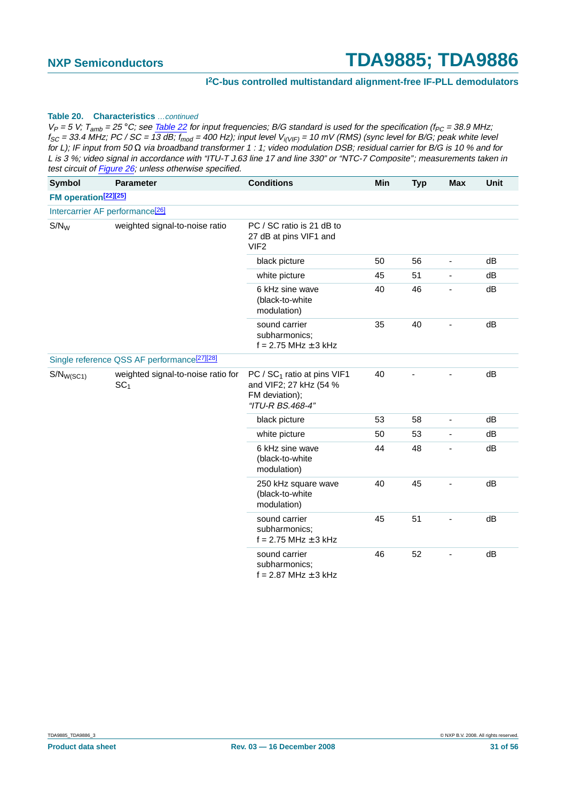#### **Table 20. Characteristics** …continued

| Symbol                           | <b>Parameter</b>                                        | <b>Conditions</b>                                                                             | Min | <b>Typ</b> | <b>Max</b>     | Unit |
|----------------------------------|---------------------------------------------------------|-----------------------------------------------------------------------------------------------|-----|------------|----------------|------|
| FM operation <sup>[22][25]</sup> |                                                         |                                                                                               |     |            |                |      |
|                                  | Intercarrier AF performance <sup>[26]</sup>             |                                                                                               |     |            |                |      |
| $S/N_W$                          | weighted signal-to-noise ratio                          | PC / SC ratio is 21 dB to<br>27 dB at pins VIF1 and<br>VIF <sub>2</sub>                       |     |            |                |      |
|                                  |                                                         | black picture                                                                                 | 50  | 56         | $\blacksquare$ | dB   |
|                                  |                                                         | white picture                                                                                 | 45  | 51         | $\blacksquare$ | dB   |
|                                  |                                                         | 6 kHz sine wave<br>(black-to-white<br>modulation)                                             | 40  | 46         |                | dB   |
|                                  |                                                         | sound carrier<br>subharmonics;<br>$f = 2.75$ MHz $\pm$ 3 kHz                                  | 35  | 40         |                | dB   |
|                                  | Single reference QSS AF performance <sup>[27][28]</sup> |                                                                                               |     |            |                |      |
| $S/N_{W(SC1)}$                   | weighted signal-to-noise ratio for<br>SC <sub>1</sub>   | PC / $SC1$ ratio at pins VIF1<br>and VIF2; 27 kHz (54 %<br>FM deviation);<br>"ITU-R BS.468-4" | 40  |            |                | dB   |
|                                  |                                                         | black picture                                                                                 | 53  | 58         | $\blacksquare$ | dB   |
|                                  |                                                         | white picture                                                                                 | 50  | 53         | $\blacksquare$ | dB   |
|                                  |                                                         | 6 kHz sine wave<br>(black-to-white<br>modulation)                                             | 44  | 48         | ä,             | dB   |
|                                  |                                                         | 250 kHz square wave<br>(black-to-white<br>modulation)                                         | 40  | 45         |                | dB   |
|                                  |                                                         | sound carrier<br>subharmonics;<br>$f = 2.75$ MHz $\pm$ 3 kHz                                  | 45  | 51         |                | dB   |
|                                  |                                                         | sound carrier<br>subharmonics;<br>$f = 2.87$ MHz $\pm$ 3 kHz                                  | 46  | 52         |                | dB   |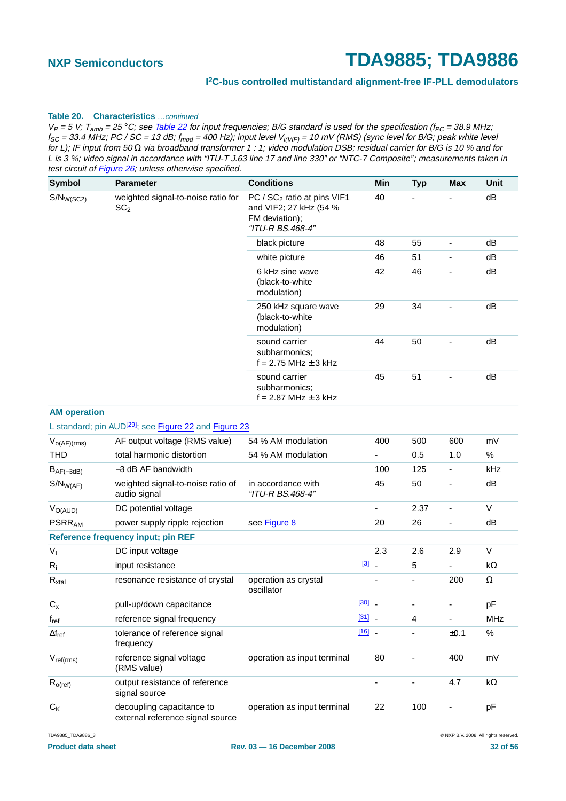#### **I 2C-bus controlled multistandard alignment-free IF-PLL demodulators**

#### **Table 20. Characteristics** …continued

| <b>Symbol</b>       | <b>Parameter</b>                                                  | <b>Conditions</b>                                                                                       | Min                      | <b>Typ</b> | <b>Max</b> | <b>Unit</b> |
|---------------------|-------------------------------------------------------------------|---------------------------------------------------------------------------------------------------------|--------------------------|------------|------------|-------------|
| $S/N_{W(SC2)}$      | weighted signal-to-noise ratio for<br>SC <sub>2</sub>             | PC / SC <sub>2</sub> ratio at pins VIF1<br>and VIF2; 27 kHz (54 %<br>FM deviation);<br>"ITU-R BS.468-4" | 40                       |            |            | dB          |
|                     |                                                                   | black picture                                                                                           | 48                       | 55         |            | dB          |
|                     |                                                                   | white picture                                                                                           | 46                       | 51         |            | dB          |
|                     |                                                                   | 6 kHz sine wave<br>(black-to-white)<br>modulation)                                                      | 42                       | 46         |            | dB          |
|                     |                                                                   | 250 kHz square wave<br>(black-to-white<br>modulation)                                                   | 29                       | 34         |            | dB          |
|                     |                                                                   | sound carrier<br>subharmonics:<br>$f = 2.75$ MHz $\pm$ 3 kHz                                            | 44                       | 50         |            | dB          |
|                     |                                                                   | sound carrier<br>subharmonics:<br>$f = 2.87$ MHz $\pm$ 3 kHz                                            | 45                       | 51         |            | dB          |
| <b>AM</b> operation |                                                                   |                                                                                                         |                          |            |            |             |
|                     | L standard; pin AUD <sup>[29]</sup> ; see Figure 22 and Figure 23 |                                                                                                         |                          |            |            |             |
| $V_{O(AF)(rms)}$    | AF output voltage (RMS value)                                     | 54 % AM modulation                                                                                      | 400                      | 500        | 600        | mV          |
| <b>THD</b>          | total harmonic distortion                                         | 54 % AM modulation                                                                                      | $\overline{\phantom{0}}$ | 0.5        | 1.0        | $\%$        |
| $B_{AF(-3dB)}$      | $-3$ dB AF bandwidth                                              |                                                                                                         | 100                      | 125        | -          | kHz         |
| $S/N_{W(AF)}$       | weighted signal-to-noise ratio of<br>audio signal                 | in accordance with<br>"ITU-R BS.468-4"                                                                  | 45                       | 50         |            | dB          |

| $V_{O(AUD)}$             | DC potential voltage                                          |                                    |                         | $\overline{\phantom{0}}$ | 2.37 |      | V          |
|--------------------------|---------------------------------------------------------------|------------------------------------|-------------------------|--------------------------|------|------|------------|
| <b>PSRR<sub>AM</sub></b> | power supply ripple rejection                                 | see Figure 8                       |                         | 20                       | 26   |      | dB         |
|                          | <b>Reference frequency input; pin REF</b>                     |                                    |                         |                          |      |      |            |
| $V_{I}$                  | DC input voltage                                              |                                    |                         | 2.3                      | 2.6  | 2.9  | V          |
| $R_i$                    | input resistance                                              |                                    | $\boxed{3}$ $\boxed{3}$ |                          | 5    |      | $k\Omega$  |
| $R_{xtal}$               | resonance resistance of crystal                               | operation as crystal<br>oscillator |                         |                          |      | 200  | Ω          |
| $C_{x}$                  | pull-up/down capacitance                                      |                                    | $[30]$ $-$              |                          |      |      | pF         |
| $f_{ref}$                | reference signal frequency                                    |                                    | $[31]$ $-$              |                          | 4    |      | <b>MHz</b> |
| $\Delta f_{ref}$         | tolerance of reference signal<br>frequency                    |                                    | $[16]$ $-$              |                          |      | ±0.1 | $\%$       |
| $V_{ref(rms)}$           | reference signal voltage<br>(RMS value)                       | operation as input terminal        |                         | 80                       |      | 400  | mV         |
| $R_{o(ref)}$             | output resistance of reference<br>signal source               |                                    |                         |                          |      | 4.7  | $k\Omega$  |
| $C_{K}$                  | decoupling capacitance to<br>external reference signal source | operation as input terminal        |                         | 22                       | 100  |      | pF         |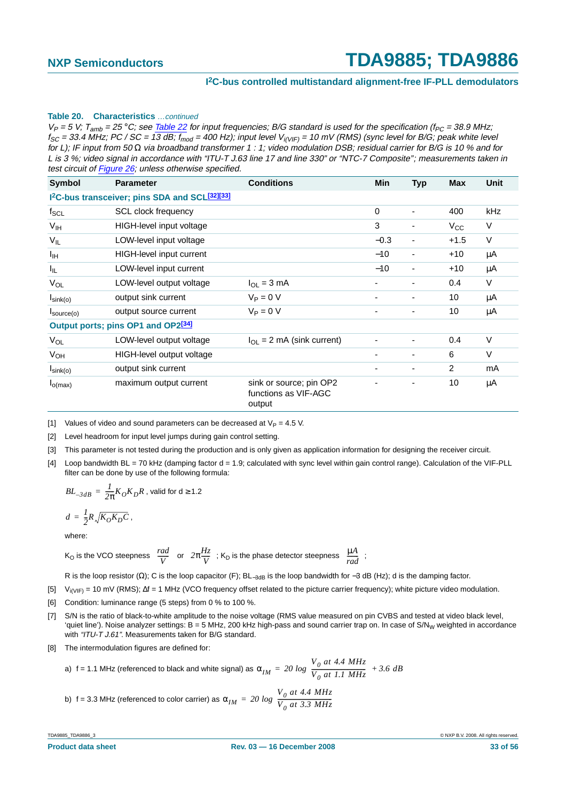#### **Table 20. Characteristics** …continued

 $V_P = 5$  V; T<sub>amb</sub> = 25 °C; see Table 22 for input frequencies; B/G standard is used for the specification (f<sub>PC</sub> = 38.9 MHz;  $f_{SC}$  = 33.4 MHz; PC / SC = 13 dB;  $f_{mod}$  = 400 Hz); input level  $V_{i(VIF)}$  = 10 mV (RMS) (sync level for B/G; peak white level for L); IF input from 50  $\Omega$  via broadband transformer 1 : 1; video modulation DSB; residual carrier for B/G is 10 % and for L is 3 %; video signal in accordance with "ITU-T J.63 line 17 and line 330" or "NTC-7 Composite"; measurements taken in test circuit of Figure 26; unless otherwise specified.

| <b>Symbol</b>          | <b>Parameter</b>                                                       | <b>Conditions</b>                                         | <b>Min</b>     | <b>Typ</b> | <b>Max</b>   | Unit   |
|------------------------|------------------------------------------------------------------------|-----------------------------------------------------------|----------------|------------|--------------|--------|
|                        | I <sup>2</sup> C-bus transceiver; pins SDA and SCL <sup>[32][33]</sup> |                                                           |                |            |              |        |
| $f_{SCL}$              | SCL clock frequency                                                    |                                                           | 0              |            | 400          | kHz    |
| V <sub>IH</sub>        | HIGH-level input voltage                                               |                                                           | 3              | ۰          | $V_{\rm CC}$ | V      |
| $V_{IL}$               | LOW-level input voltage                                                |                                                           | $-0.3$         | -          | $+1.5$       | $\vee$ |
| $I_{\text{IH}}$        | HIGH-level input current                                               |                                                           | $-10$          | -          | $+10$        | μA     |
| I <sub>IL</sub>        | LOW-level input current                                                |                                                           | $-10$          |            | $+10$        | μA     |
| VOL                    | LOW-level output voltage                                               | $I_{\Omega I} = 3 \text{ mA}$                             | ٠              | ٠          | 0.4          | V      |
| $I_{\text{sink}(o)}$   | output sink current                                                    | $V_P = 0 V$                                               | -              | ۰          | 10           | μA     |
| $I_{\text{source}(o)}$ | output source current                                                  | $V_P = 0 V$                                               | -              | ۰          | 10           | μA     |
|                        | Output ports; pins OP1 and OP2[34]                                     |                                                           |                |            |              |        |
| VOL                    | LOW-level output voltage                                               | $I_{OL}$ = 2 mA (sink current)                            |                |            | 0.4          | $\vee$ |
| V <sub>OH</sub>        | HIGH-level output voltage                                              |                                                           | -              | Ξ.         | 6            | V      |
| $I_{\text{sink}(o)}$   | output sink current                                                    |                                                           |                |            | 2            | mA     |
| $I_{O(max)}$           | maximum output current                                                 | sink or source; pin OP2<br>functions as VIF-AGC<br>output | $\overline{a}$ | Ξ.         | 10           | μA     |

<span id="page-32-0"></span>[1] Values of video and sound parameters can be decreased at  $V_P = 4.5$  V.

<span id="page-32-1"></span>[2] Level headroom for input level jumps during gain control setting.

<span id="page-32-2"></span>[3] This parameter is not tested during the production and is only given as application information for designing the receiver circuit.

<span id="page-32-3"></span>[4] Loop bandwidth BL = 70 kHz (damping factor d = 1.9; calculated with sync level within gain control range). Calculation of the VIF-PLL filter can be done by use of the following formula:

$$
BL_{-3dB} = \frac{1}{2\pi} K_O K_D R
$$
, valid for  $d \ge 1.2$   

$$
d = \frac{1}{2} R \sqrt{K_O K_D C}
$$
,

where:

K<sub>O</sub> is the VCO steepness  $\left(\frac{rad}{V}\right)$  or  $\left(2\pi\frac{Hz}{V}\right)$ ; K<sub>D</sub> is the phase detector steepness  $\left(\frac{\mu A}{r}\right)$ ;  $\left(\frac{rad}{V}\right)$  or  $\left(2\pi\frac{Hz}{V}\right)$  $\left(2\pi\frac{Hz}{V}\right)$ ; K<sub>D</sub> is the phase detector steepness  $\left(\frac{\mu A}{rad}\right)$ 

R is the loop resistor (Ω); C is the loop capacitor (F); BL<sub>-3dB</sub> is the loop bandwidth for -3 dB (Hz); d is the damping factor.

<span id="page-32-4"></span>[5] Vi(VIF) = 10 mV (RMS); ∆f = 1 MHz (VCO frequency offset related to the picture carrier frequency); white picture video modulation.

<span id="page-32-5"></span>[6] Condition: luminance range (5 steps) from 0 % to 100 %.

- <span id="page-32-6"></span>[7] S/N is the ratio of black-to-white amplitude to the noise voltage (RMS value measured on pin CVBS and tested at video black level, 'quiet line'). Noise analyzer settings:  $B = 5$  MHz, 200 kHz high-pass and sound carrier trap on. In case of  $S/N_W$  weighted in accordance with "ITU-T J.61". Measurements taken for B/G standard.
- <span id="page-32-7"></span>[8] The intermodulation figures are defined for:

a) f = 1.1 MHz (referenceed to black and white signal) as 
$$
\alpha_{IM} = 20 \log \left( \frac{V_0 \text{ at } 4.4 \text{ MHz}}{V_0 \text{ at } 1.1 \text{ MHz}} \right) + 3.6 \text{ dB}
$$

b) f = 3.3 MHz (referenceed to color carrier) as 
$$
\alpha_{IM} = 20 \log \left( \frac{V_0 \text{ at } 4.4 \text{ MHz}}{V_0 \text{ at } 3.3 \text{ MHz}} \right)
$$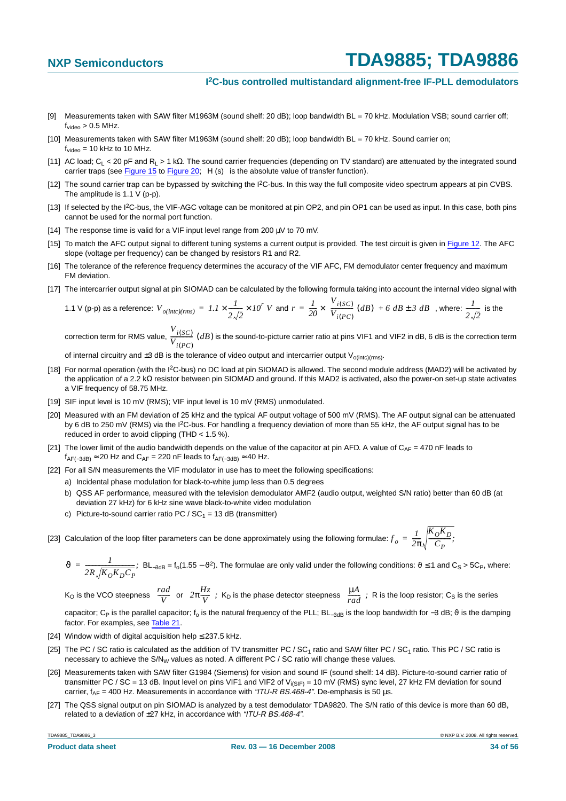#### **I 2C-bus controlled multistandard alignment-free IF-PLL demodulators**

- <span id="page-33-1"></span>[9] Measurements taken with SAW filter M1963M (sound shelf: 20 dB); loop bandwidth BL = 70 kHz. Modulation VSB; sound carrier off;  $f_{video} > 0.5$  MHz.
- <span id="page-33-2"></span>[10] Measurements taken with SAW filter M1963M (sound shelf: 20 dB); loop bandwidth BL = 70 kHz. Sound carrier on;  $f_{\text{video}} = 10$  kHz to 10 MHz.
- <span id="page-33-3"></span>[11] AC load; CL < 20 pF and RL >1kΩ. The sound carrier frequencies (depending on TV standard) are attenuated by the integrated sound carrier traps (see [Figure](#page-40-0) 15 to Figure 20;  $|H(s)|$  is the absolute value of transfer function).
- <span id="page-33-0"></span>[12] The sound carrier trap can be bypassed by switching the I<sup>2</sup>C-bus. In this way the full composite video spectrum appears at pin CVBS. The amplitude is 1.1 V (p-p).
- <span id="page-33-4"></span>[13] If selected by the I<sup>2</sup>C-bus, the VIF-AGC voltage can be monitored at pin OP2, and pin OP1 can be used as input. In this case, both pins cannot be used for the normal port function.
- <span id="page-33-5"></span>[14] The response time is valid for a VIF input level range from 200  $\mu$ V to 70 mV.
- <span id="page-33-6"></span>[15] To match the AFC output signal to different tuning systems a current output is provided. The test circuit is given in [Figure](#page-37-0) 12. The AFC slope (voltage per frequency) can be changed by resistors R1 and R2.
- <span id="page-33-7"></span>[16] The tolerance of the reference frequency determines the accuracy of the VIF AFC, FM demodulator center frequency and maximum FM deviation.
- <span id="page-33-8"></span>[17] The intercarrier output signal at pin SIOMAD can be calculated by the following formula taking into account the internal video signal with

1.1 V (p-p) as a reference: 
$$
V_{o(intc)(rms)} = 1.1 \times \frac{1}{2\sqrt{2}} \times 10^r
$$
 V and  $r = \frac{1}{20} \times (\frac{V_{i(SC)}}{V_{i(PC)}} (dB) + 6 dB \pm 3 dB)$ , where:  $\frac{1}{2\sqrt{2}}$  is the

correction term for RMS value,  $\frac{V_{i(SC)} }{V_{i(SC)}}$  (*dB*) is the sound-to-picture carrier ratio at pins VIF1 and VIF2 in dB, 6 dB is the correction term  $\frac{i(3C)}{V_{i(PC)}}$  (*dB*)

of internal circuitry and  $\pm 3$  dB is the tolerance of video output and intercarrier output V<sub>o(intc)(rms)</sub>.

- <span id="page-33-9"></span>[18] For normal operation (with the I<sup>2</sup>C-bus) no DC load at pin SIOMAD is allowed. The second module address (MAD2) will be activated by the application of a 2.2 kΩ resistor between pin SIOMAD and ground. If this MAD2 is activated, also the power-on set-up state activates a VIF frequency of 58.75 MHz.
- <span id="page-33-10"></span>[19] SIF input level is 10 mV (RMS); VIF input level is 10 mV (RMS) unmodulated.
- <span id="page-33-11"></span>[20] Measured with an FM deviation of 25 kHz and the typical AF output voltage of 500 mV (RMS). The AF output signal can be attenuated by 6 dB to 250 mV (RMS) via the I2C-bus. For handling a frequency deviation of more than 55 kHz, the AF output signal has to be reduced in order to avoid clipping (THD < 1.5 %).
- <span id="page-33-12"></span>[21] The lower limit of the audio bandwidth depends on the value of the capacitor at pin AFD. A value of  $C_{AF} = 470$  nF leads to  $f_{AF(-3dB)} \approx 20$  Hz and C<sub>AF</sub> = 220 nF leads to  $f_{AF(-3dB)} \approx 40$  Hz.
- <span id="page-33-13"></span>[22] For all S/N measurements the VIF modulator in use has to meet the following specifications:
	- a) Incidental phase modulation for black-to-white jump less than 0.5 degrees
	- b) QSS AF performance, measured with the television demodulator AMF2 (audio output, weighted S/N ratio) better than 60 dB (at deviation 27 kHz) for 6 kHz sine wave black-to-white video modulation
	- c) Picture-to-sound carrier ratio PC /  $SC_1 = 13$  dB (transmitter)
- <span id="page-33-14"></span>[23] Calculation of the loop filter parameters can be done approximately using the following formulae:  $f_o = \frac{I}{2\pi}$  $\frac{1}{2\pi} \sqrt{\frac{K_0 K_D}{C_P}}$  $=\frac{1}{2\pi}\sqrt{\frac{O}{C_P}L}$ ;

$$
\vartheta = \frac{1}{2R\sqrt{K_0K_DC_P}}
$$
; BL<sub>-3dB</sub> = f<sub>0</sub>(1.55 -  $\vartheta^2$ ). The formulae are only valid under the following conditions:  $\vartheta \le 1$  and C<sub>S</sub> > 5C<sub>P</sub>, where:

K<sub>O</sub> is the VCO steepness  $\left(\frac{rad}{V}\right)$  or  $\left(2\pi\frac{Hz}{V}\right)$ ; K<sub>D</sub> is the phase detector steepness  $\left(\frac{\mu A}{r^2}\right)$ ; R is the loop resistor; C<sub>S</sub> is the series  $\left(\frac{rad}{V}\right)$ or  $\left(2\pi\frac{Hz}{V}\right)$  $\left(2\pi\frac{Hz}{V}\right)$ ; K<sub>D</sub> is the phase detector steepness  $\left(\frac{\mu A}{rad}\right)$ ;

capacitor; C<sub>P</sub> is the parallel capacitor; f<sub>o</sub> is the natural frequency of the PLL; BL<sub>-3dB</sub> is the loop bandwidth for -3 dB;  $\vartheta$  is the damping factor. For examples, see [Table](#page-34-9) 21.

- <span id="page-33-15"></span>[24] Window width of digital acquisition help  $\leq$  237.5 kHz.
- <span id="page-33-16"></span>[25] The PC / SC ratio is calculated as the addition of TV transmitter PC / SC<sub>1</sub> ratio and SAW filter PC / SC<sub>1</sub> ratio. This PC / SC ratio is necessary to achieve the S/N<sub>W</sub> values as noted. A different PC / SC ratio will change these values.
- <span id="page-33-17"></span>[26] Measurements taken with SAW filter G1984 (Siemens) for vision and sound IF (sound shelf: 14 dB). Picture-to-sound carrier ratio of transmitter PC / SC = 13 dB. Input level on pins VIF1 and VIF2 of  $V_{i(S|F)} = 10$  mV (RMS) sync level, 27 kHz FM deviation for sound carrier,  $f_{AF}$  = 400 Hz. Measurements in accordance with "ITU-R BS.468-4". De-emphasis is 50 µs.
- <span id="page-33-18"></span>[27] The QSS signal output on pin SIOMAD is analyzed by a test demodulator TDA9820. The S/N ratio of this device is more than 60 dB, related to a deviation of ±27 kHz, in accordance with "ITU-R BS.468-4".

TDA9885\_TDA9886\_3 © NXP B.V. 2008. All rights reserved.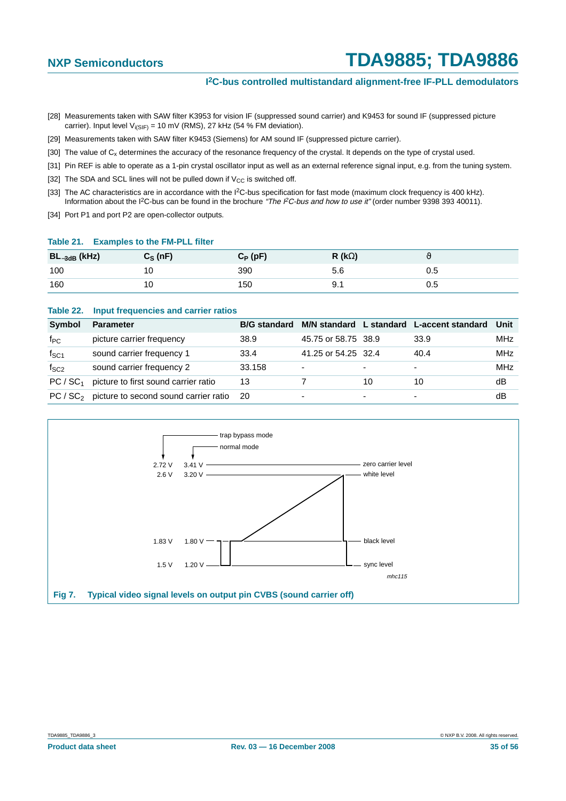#### **I 2C-bus controlled multistandard alignment-free IF-PLL demodulators**

- <span id="page-34-2"></span>[28] Measurements taken with SAW filter K3953 for vision IF (suppressed sound carrier) and K9453 for sound IF (suppressed picture carrier). Input level  $V_{i(SIF)} = 10$  mV (RMS), 27 kHz (54 % FM deviation).
- <span id="page-34-3"></span>[29] Measurements taken with SAW filter K9453 (Siemens) for AM sound IF (suppressed picture carrier).
- <span id="page-34-4"></span>[30] The value of C<sub>x</sub> determines the accuracy of the resonance frequency of the crystal. It depends on the type of crystal used.
- <span id="page-34-5"></span>[31] Pin REF is able to operate as a 1-pin crystal oscillator input as well as an external reference signal input, e.g. from the tuning system.
- <span id="page-34-6"></span>[32] The SDA and SCL lines will not be pulled down if  $V_{CC}$  is switched off.
- <span id="page-34-7"></span>[33] The AC characteristics are in accordance with the I<sup>2</sup>C-bus specification for fast mode (maximum clock frequency is 400 kHz). Information about the I<sup>2</sup>C-bus can be found in the brochure "The I<sup>2</sup>C-bus and how to use it" (order number 9398 393 40011).
- <span id="page-34-8"></span>[34] Port P1 and port P2 are open-collector outputs.

#### <span id="page-34-9"></span>**Table 21. Examples to the FM-PLL filter**

| $BL_{-3dB}$ (kHz) | $C_S(nF)$ | $C_P$ (pF) | R ( $k\Omega$ ) |     |
|-------------------|-----------|------------|-----------------|-----|
| 100               | 10        | 390        | 5.6             | U.5 |
| 160               | 10        | 150        | $\mathsf{v}$ .  | U.5 |

#### <span id="page-34-1"></span>**Table 22. Input frequencies and carrier ratios**

| Symbol               | <b>Parameter</b>                                 | <b>B/G</b> standard |                     |                          | M/N standard L standard L-accent standard | Unit |
|----------------------|--------------------------------------------------|---------------------|---------------------|--------------------------|-------------------------------------------|------|
| $f_{PC}$             | picture carrier frequency                        | 38.9                | 45.75 or 58.75 38.9 |                          | 33.9                                      | MHz  |
| $f_{SC1}$            | sound carrier frequency 1                        | 33.4                | 41.25 or 54.25 32.4 |                          | 40.4                                      | MHz  |
| $f_{SC2}$            | sound carrier frequency 2                        | 33.158              | $\overline{a}$      | $\overline{\phantom{a}}$ | $\overline{\phantom{0}}$                  | MHz  |
| PC / SC <sub>1</sub> | picture to first sound carrier ratio             | 13                  |                     | 10                       | 10                                        | dB   |
|                      | $PC / SC2$ picture to second sound carrier ratio | -20                 | -                   |                          | ۰                                         | dB   |

<span id="page-34-0"></span>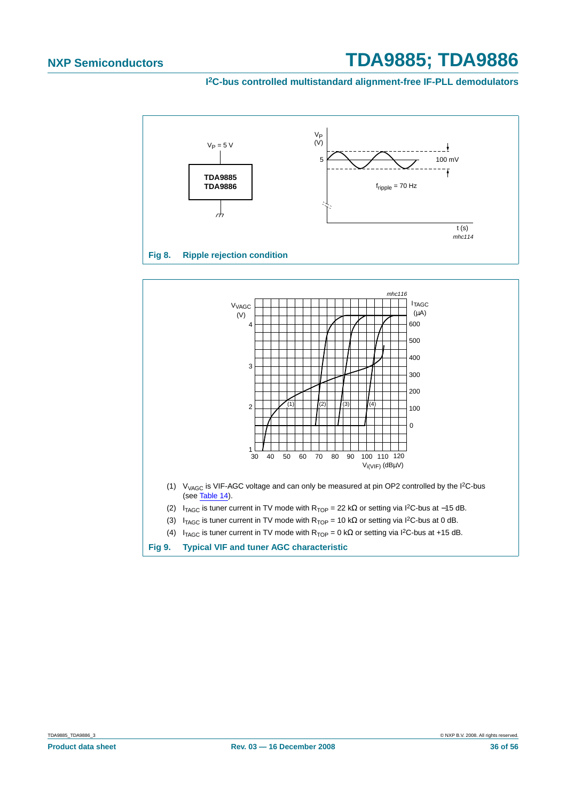

<span id="page-35-1"></span><span id="page-35-0"></span>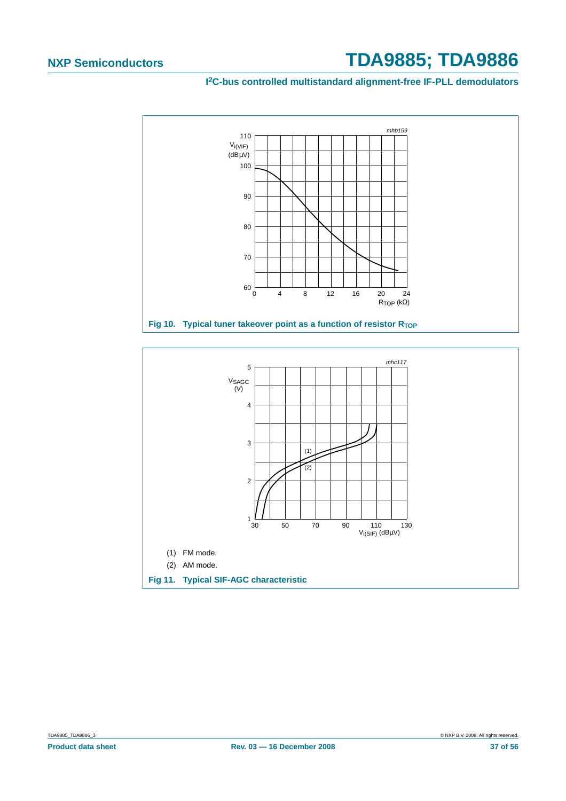

<span id="page-36-0"></span>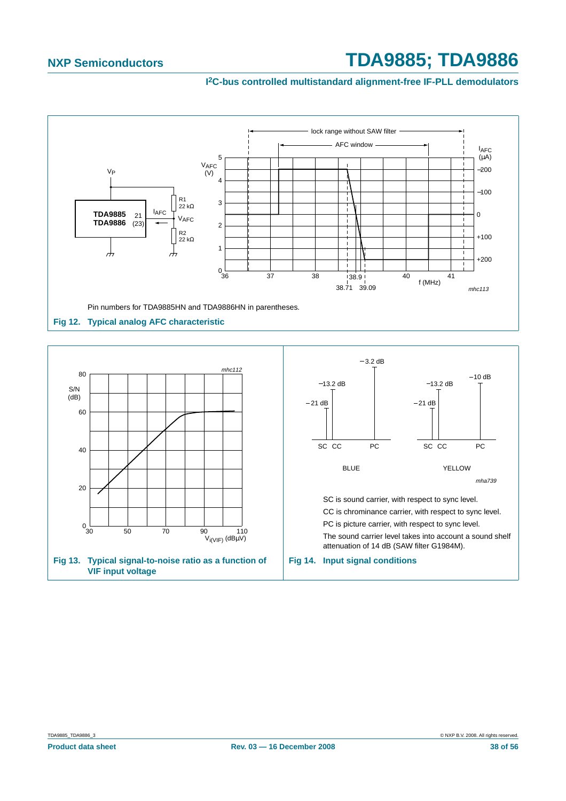

<span id="page-37-2"></span><span id="page-37-1"></span><span id="page-37-0"></span>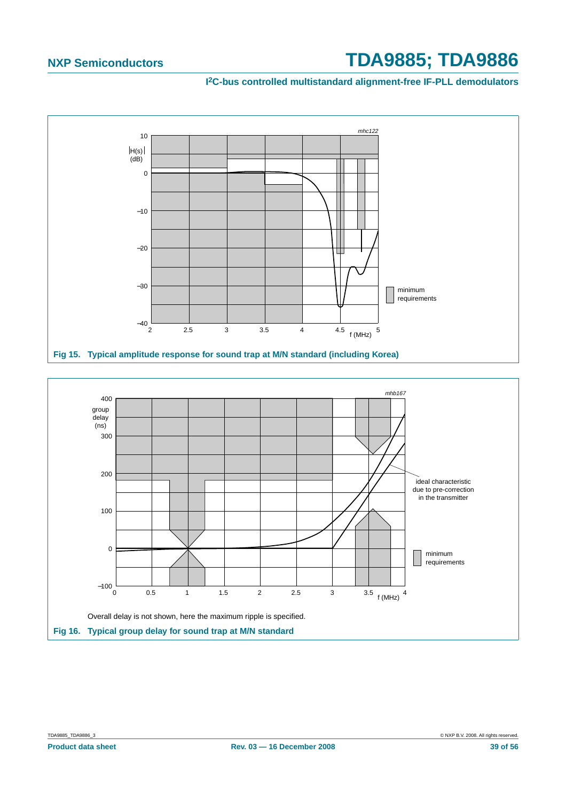

<span id="page-38-1"></span><span id="page-38-0"></span>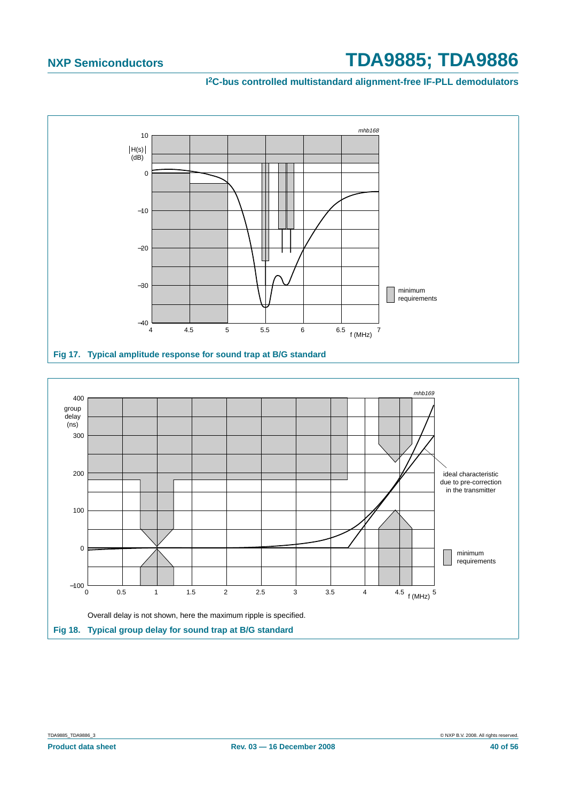

<span id="page-39-0"></span>

<span id="page-39-1"></span>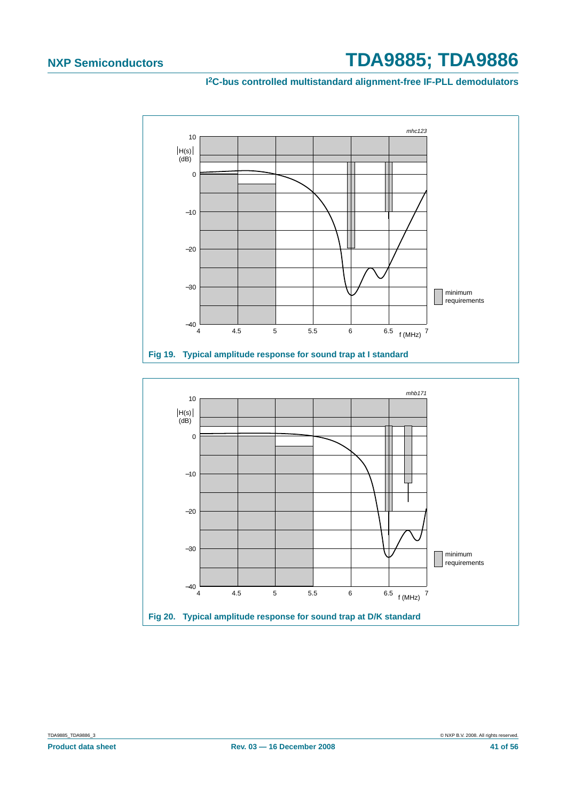

<span id="page-40-1"></span>

<span id="page-40-0"></span>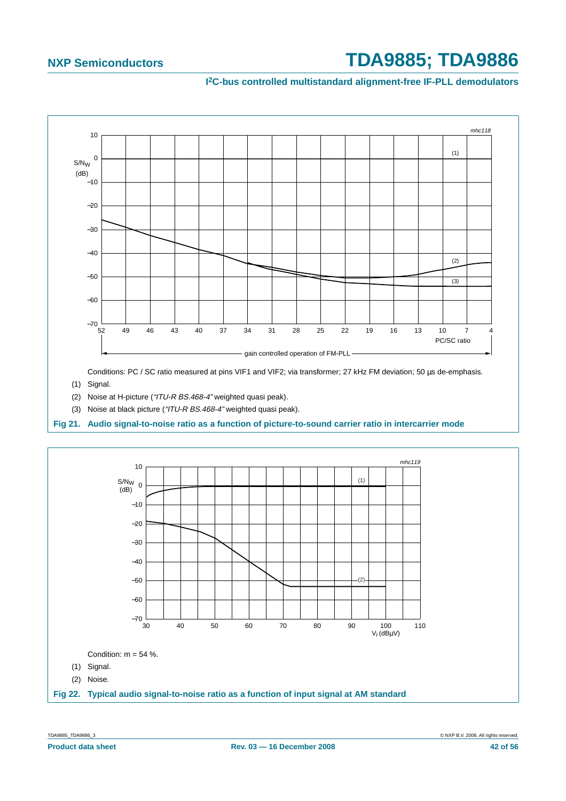#### **I 2C-bus controlled multistandard alignment-free IF-PLL demodulators**



Conditions: PC / SC ratio measured at pins VIF1 and VIF2; via transformer; 27 kHz FM deviation; 50 us de-emphasis.

- (1) Signal.
- (2) Noise at H-picture ("ITU-R BS.468-4" weighted quasi peak).
- (3) Noise at black picture ("ITU-R BS.468-4" weighted quasi peak).

<span id="page-41-0"></span>**Fig 21. Audio signal-to-noise ratio as a function of picture-to-sound carrier ratio in intercarrier mode**



<span id="page-41-1"></span>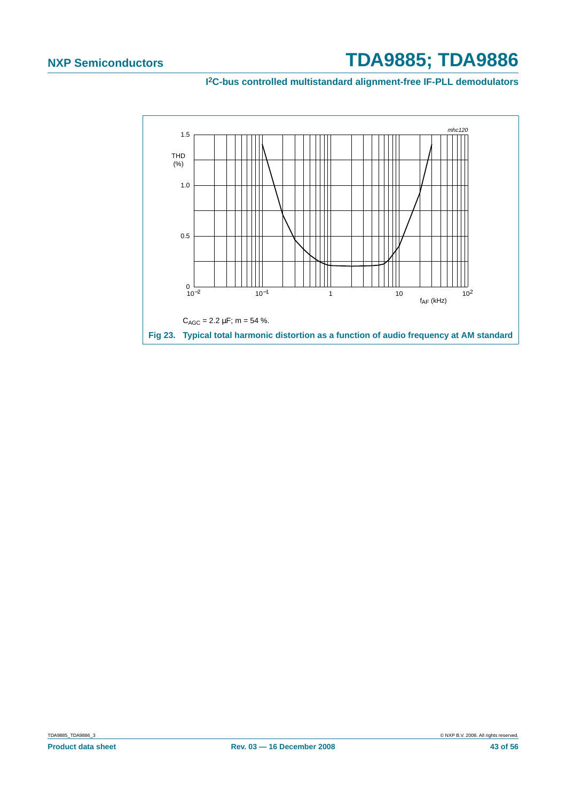<span id="page-42-0"></span>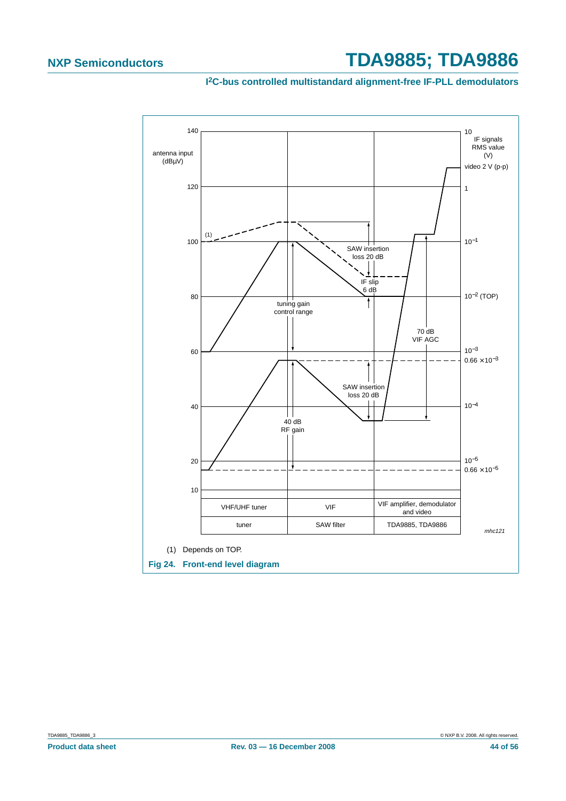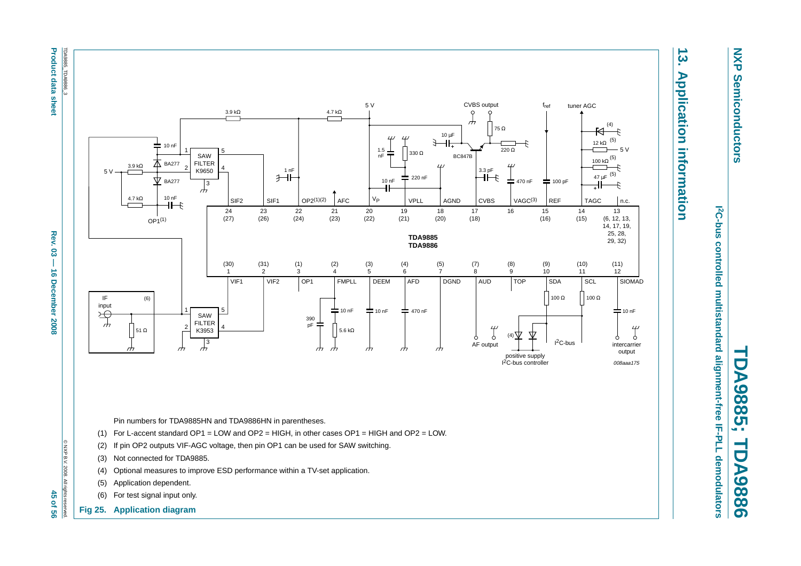<span id="page-44-1"></span>**Product data sheet** TDA9885\_TDA9886\_3 TDA9885\_TDA9886\_3



(4) Optional measures to improve ESD performance within a TV-set application.

# $\overline{3}.$ **13. Application information Application information**

<span id="page-44-0"></span>**TDA9885; TDA9886** ber 1 DA9885;  $\equiv$ **DA9886** 

*<u><b>I*</u>C-bus controlled multistandard alignment-free IF-PLL demodulators **2C-bus controlled multistandard alignment-free IF-PLL demodulators**

(5) Application dependent. (6) For test signal input only. **Fig 25. Application diagram**

**NXP NXP Semiconductors Semiconductors**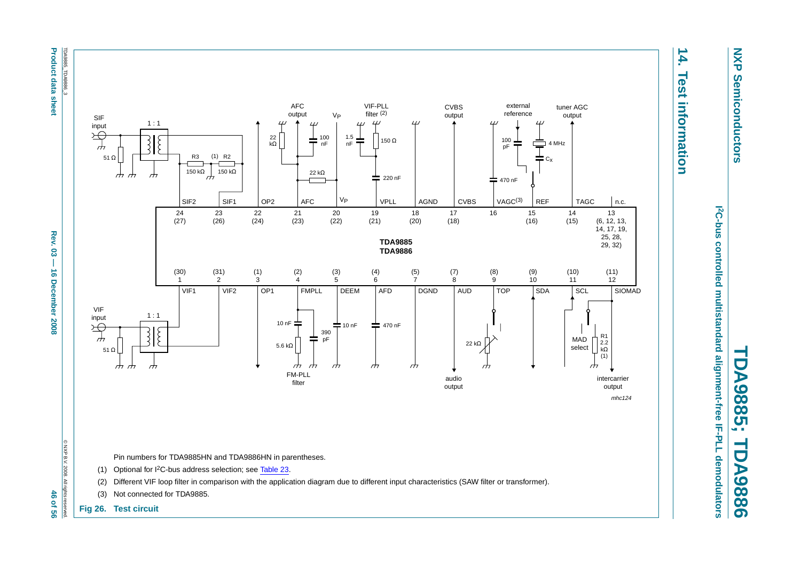**Product data sheet** 

<span id="page-45-1"></span>**Product data sheet Appel 20**  $\rightarrow$  **16 December 2008 46 of 56**  $\rightarrow$  **46**  $\rightarrow$  **56 of 56** Rev.  $03 -$ 16 December 2008

<span id="page-45-0"></span>46 of 56



**NXP Semiconductors Semiconductors** 

**NXP** 

**14. Test information**

**Test information** 

14.

*<u><b>I*</u>C-bus controlled multistandard alignment-free IF-PLL demodulators **2C-bus controlled multistandard alignment-free IF-PLL demodulators**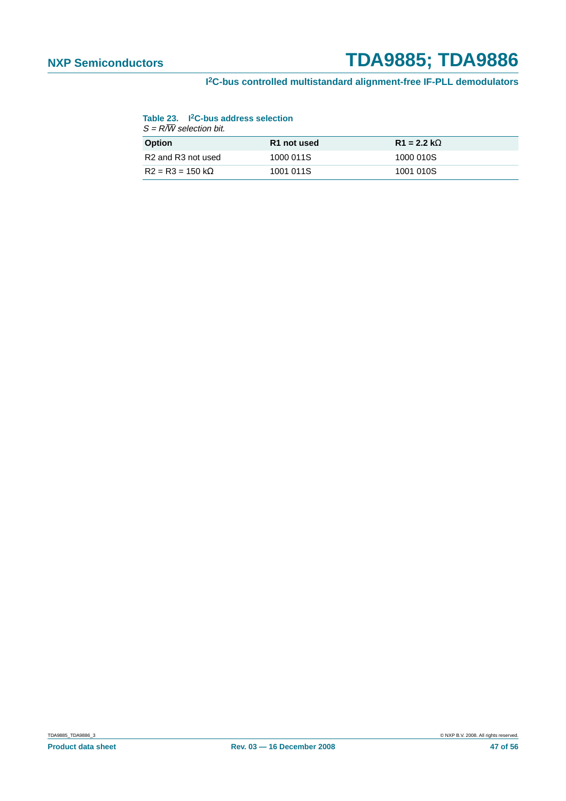#### <span id="page-46-0"></span>**I 2C-bus controlled multistandard alignment-free IF-PLL demodulators**

#### **Table 23. I2C-bus address selection**

| $S = R/W$ selection bit.                   |             |                    |  |  |
|--------------------------------------------|-------------|--------------------|--|--|
| <b>Option</b>                              | R1 not used | $R1 = 2.2 k\Omega$ |  |  |
| R <sub>2</sub> and R <sub>3</sub> not used | 1000 011S   | 1000 010S          |  |  |
| $R2 = R3 = 150 k\Omega$                    | 1001 011S   | 1001 010S          |  |  |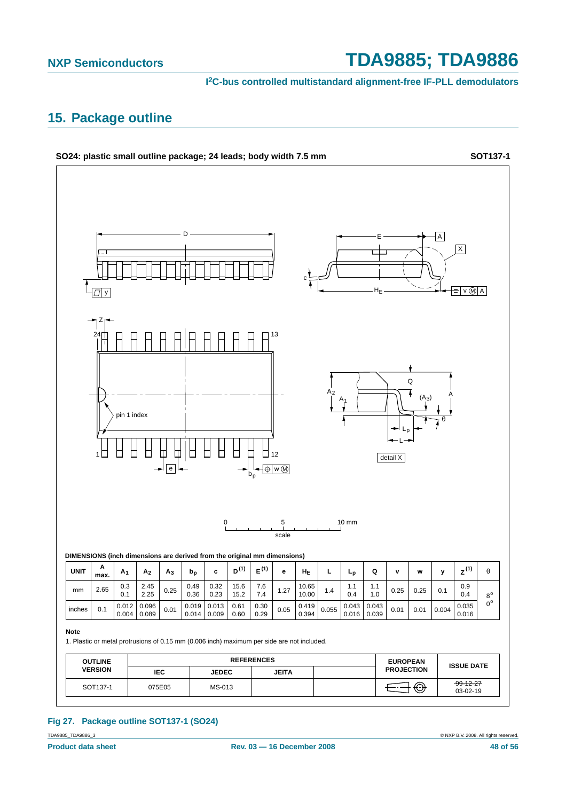**I 2C-bus controlled multistandard alignment-free IF-PLL demodulators**

## <span id="page-47-0"></span>**15. Package outline**



#### **Fig 27. Package outline SOT137-1 (SO24)**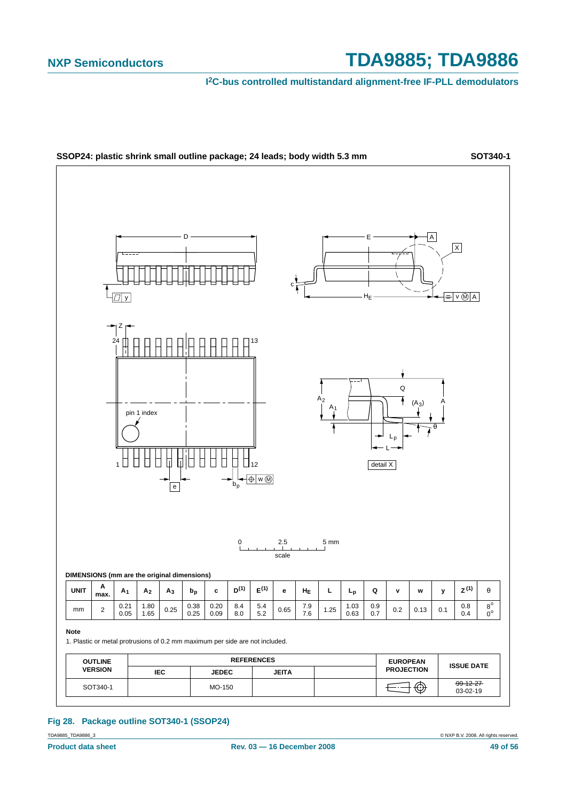**I 2C-bus controlled multistandard alignment-free IF-PLL demodulators**



#### **Fig 28. Package outline SOT340-1 (SSOP24)**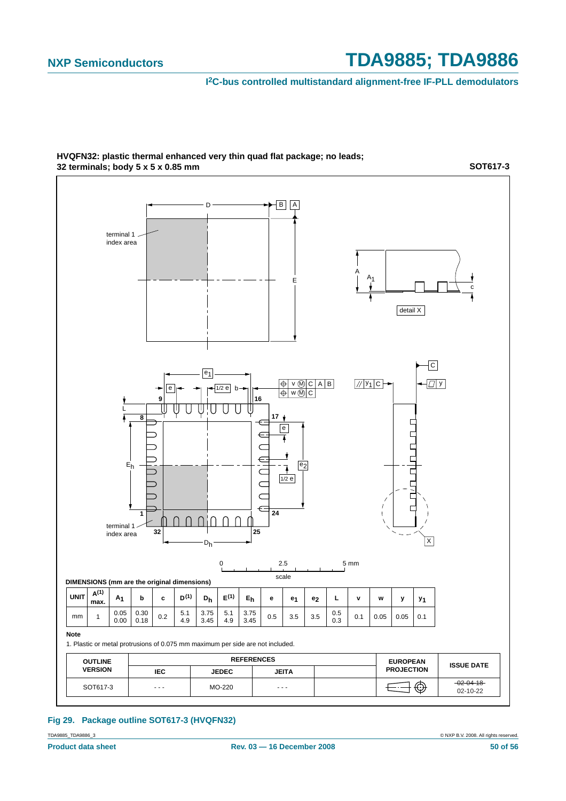**I 2C-bus controlled multistandard alignment-free IF-PLL demodulators**



**HVQFN32: plastic thermal enhanced very thin quad flat package; no leads; 32 terminals; body 5 x 5 x 0.85 mm**

**SOT617-3**

**Fig 29. Package outline SOT617-3 (HVQFN32)**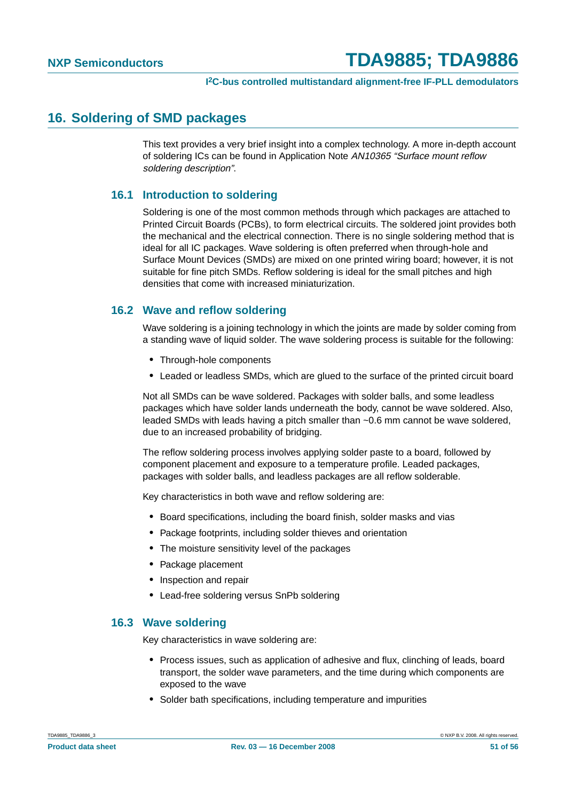### <span id="page-50-0"></span>**16. Soldering of SMD packages**

This text provides a very brief insight into a complex technology. A more in-depth account of soldering ICs can be found in Application Note AN10365 "Surface mount reflow soldering description".

#### <span id="page-50-1"></span>**16.1 Introduction to soldering**

Soldering is one of the most common methods through which packages are attached to Printed Circuit Boards (PCBs), to form electrical circuits. The soldered joint provides both the mechanical and the electrical connection. There is no single soldering method that is ideal for all IC packages. Wave soldering is often preferred when through-hole and Surface Mount Devices (SMDs) are mixed on one printed wiring board; however, it is not suitable for fine pitch SMDs. Reflow soldering is ideal for the small pitches and high densities that come with increased miniaturization.

#### <span id="page-50-2"></span>**16.2 Wave and reflow soldering**

Wave soldering is a joining technology in which the joints are made by solder coming from a standing wave of liquid solder. The wave soldering process is suitable for the following:

- **•** Through-hole components
- **•** Leaded or leadless SMDs, which are glued to the surface of the printed circuit board

Not all SMDs can be wave soldered. Packages with solder balls, and some leadless packages which have solder lands underneath the body, cannot be wave soldered. Also, leaded SMDs with leads having a pitch smaller than ~0.6 mm cannot be wave soldered, due to an increased probability of bridging.

The reflow soldering process involves applying solder paste to a board, followed by component placement and exposure to a temperature profile. Leaded packages, packages with solder balls, and leadless packages are all reflow solderable.

Key characteristics in both wave and reflow soldering are:

- **•** Board specifications, including the board finish, solder masks and vias
- **•** Package footprints, including solder thieves and orientation
- **•** The moisture sensitivity level of the packages
- **•** Package placement
- **•** Inspection and repair
- **•** Lead-free soldering versus SnPb soldering

#### <span id="page-50-3"></span>**16.3 Wave soldering**

Key characteristics in wave soldering are:

- **•** Process issues, such as application of adhesive and flux, clinching of leads, board transport, the solder wave parameters, and the time during which components are exposed to the wave
- **•** Solder bath specifications, including temperature and impurities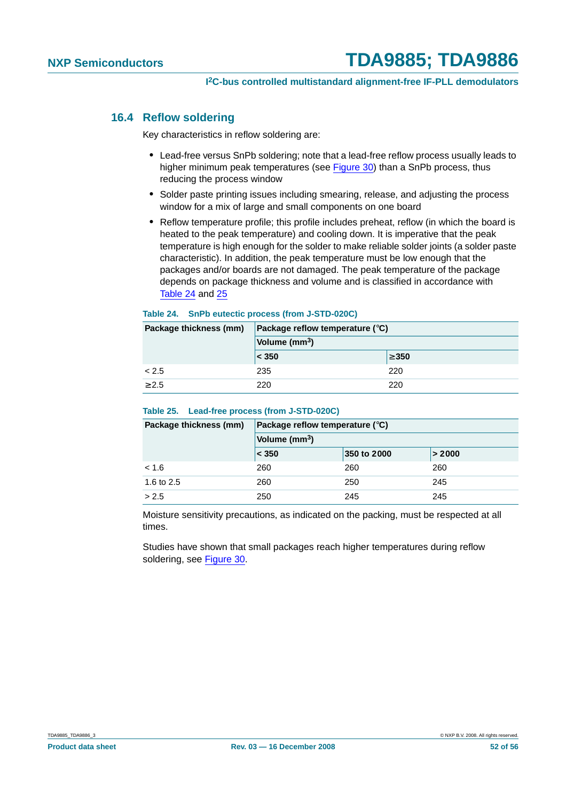#### <span id="page-51-0"></span>**16.4 Reflow soldering**

Key characteristics in reflow soldering are:

- **•** Lead-free versus SnPb soldering; note that a lead-free reflow process usually leads to higher minimum peak temperatures (see Figure 30) than a SnPb process, thus reducing the process window
- **•** Solder paste printing issues including smearing, release, and adjusting the process window for a mix of large and small components on one board
- **•** Reflow temperature profile; this profile includes preheat, reflow (in which the board is heated to the peak temperature) and cooling down. It is imperative that the peak temperature is high enough for the solder to make reliable solder joints (a solder paste characteristic). In addition, the peak temperature must be low enough that the packages and/or boards are not damaged. The peak temperature of the package depends on package thickness and volume and is classified in accordance with Table 24 and 25

#### **Table 24. SnPb eutectic process (from J-STD-020C)**

| Package thickness (mm) | Package reflow temperature $(^\circ \text{C})$ |            |  |
|------------------------|------------------------------------------------|------------|--|
|                        | Volume (mm <sup>3</sup> )                      |            |  |
|                        | $ <$ 350                                       | $\geq 350$ |  |
| < 2.5                  | 235                                            | 220        |  |
| > 2.5                  | 220                                            | 220        |  |

#### **Table 25. Lead-free process (from J-STD-020C)**

| Package thickness (mm) | Package reflow temperature $(^\circ \text{C})$ |             |        |  |
|------------------------|------------------------------------------------|-------------|--------|--|
|                        | Volume (mm <sup>3</sup> )                      |             |        |  |
|                        | $ <$ 350                                       | 350 to 2000 | > 2000 |  |
| < 1.6                  | 260                                            | 260         | 260    |  |
| 1.6 to 2.5             | 260                                            | 250         | 245    |  |
| > 2.5                  | 250                                            | 245         | 245    |  |

Moisture sensitivity precautions, as indicated on the packing, must be respected at all times.

Studies have shown that small packages reach higher temperatures during reflow soldering, see Figure 30.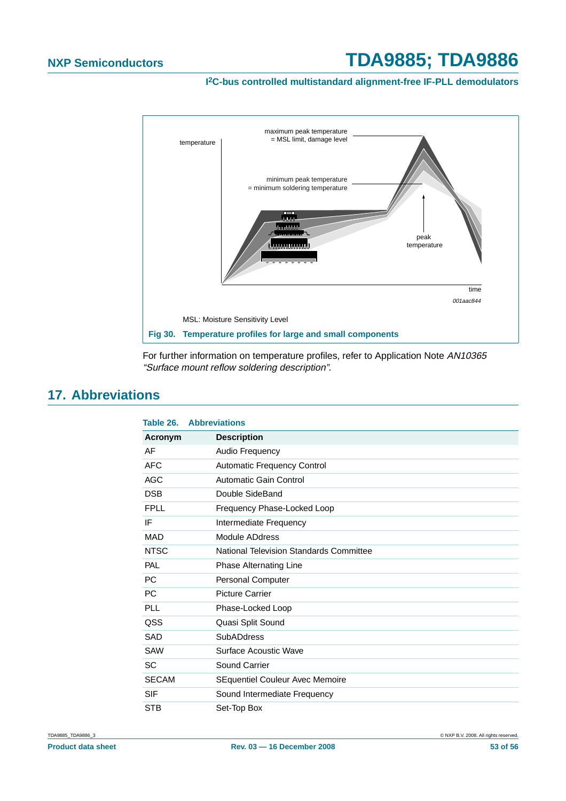**I 2C-bus controlled multistandard alignment-free IF-PLL demodulators**



For further information on temperature profiles, refer to Application Note AN10365 "Surface mount reflow soldering description".

## <span id="page-52-0"></span>**17. Abbreviations**

| Table 26.    | <b>Abbreviations</b>                    |
|--------------|-----------------------------------------|
| Acronym      | <b>Description</b>                      |
| AF           | Audio Frequency                         |
| <b>AFC</b>   | Automatic Frequency Control             |
| <b>AGC</b>   | Automatic Gain Control                  |
| <b>DSB</b>   | Double SideBand                         |
| <b>FPLL</b>  | Frequency Phase-Locked Loop             |
| IF           | Intermediate Frequency                  |
| <b>MAD</b>   | Module ADdress                          |
| <b>NTSC</b>  | National Television Standards Committee |
| PAL          | Phase Alternating Line                  |
| <b>PC</b>    | Personal Computer                       |
| <b>PC</b>    | <b>Picture Carrier</b>                  |
| PLL          | Phase-Locked Loop                       |
| QSS          | Quasi Split Sound                       |
| SAD          | <b>SubADdress</b>                       |
| <b>SAW</b>   | Surface Acoustic Wave                   |
| <b>SC</b>    | Sound Carrier                           |
| <b>SECAM</b> | SEquentiel Couleur Avec Memoire         |
| <b>SIF</b>   | Sound Intermediate Frequency            |
| <b>STB</b>   | Set-Top Box                             |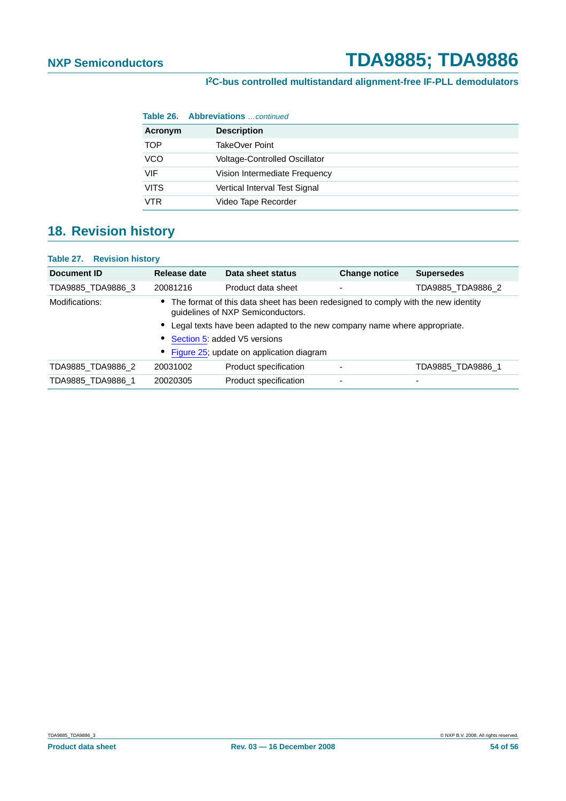#### **I 2C-bus controlled multistandard alignment-free IF-PLL demodulators**

|             | <b>Table 26. Abbreviations</b> continued |
|-------------|------------------------------------------|
| Acronym     | <b>Description</b>                       |
| <b>TOP</b>  | TakeOver Point                           |
| VCO         | <b>Voltage-Controlled Oscillator</b>     |
| VIF         | Vision Intermediate Frequency            |
| <b>VITS</b> | Vertical Interval Test Signal            |
| VTR         | Video Tape Recorder                      |

## <span id="page-53-0"></span>**18. Revision history**

#### **Table 27. Revision history**

| Document ID                              | Release date                                                                                                                                                                                                                       | Data sheet status     | <b>Change notice</b> | <b>Supersedes</b> |
|------------------------------------------|------------------------------------------------------------------------------------------------------------------------------------------------------------------------------------------------------------------------------------|-----------------------|----------------------|-------------------|
| TDA9885 TDA9886 3                        | 20081216                                                                                                                                                                                                                           | Product data sheet    | -                    | TDA9885_TDA9886_2 |
| Modifications:                           | The format of this data sheet has been redesigned to comply with the new identity<br>guidelines of NXP Semiconductors.<br>Legal texts have been adapted to the new company name where appropriate.<br>Section 5: added V5 versions |                       |                      |                   |
|                                          |                                                                                                                                                                                                                                    |                       |                      |                   |
|                                          |                                                                                                                                                                                                                                    |                       |                      |                   |
| Figure 25; update on application diagram |                                                                                                                                                                                                                                    |                       |                      |                   |
| TDA9885 TDA9886 2                        | 20031002                                                                                                                                                                                                                           | Product specification |                      | TDA9885 TDA9886 1 |
| TDA9885 TDA9886 1                        | 20020305                                                                                                                                                                                                                           | Product specification | ۰                    | -                 |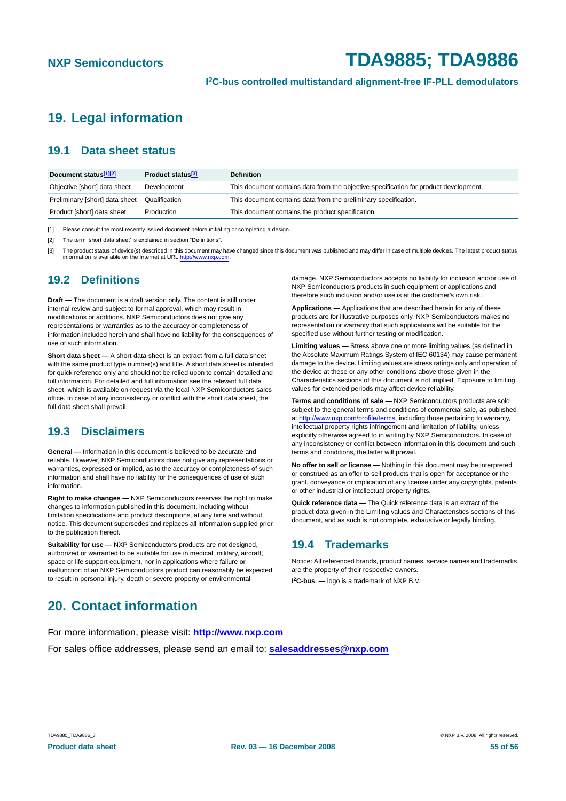## <span id="page-54-0"></span>**19. Legal information**

#### <span id="page-54-1"></span>**19.1 Data sheet status**

| Document status <sup>[1][2]</sup> | Product status <sup>[3]</sup> | <b>Definition</b>                                                                     |
|-----------------------------------|-------------------------------|---------------------------------------------------------------------------------------|
| Objective [short] data sheet      | Development                   | This document contains data from the objective specification for product development. |
| Preliminary [short] data sheet    | Qualification                 | This document contains data from the preliminary specification.                       |
| Product [short] data sheet        | Production                    | This document contains the product specification.                                     |

[1] Please consult the most recently issued document before initiating or completing a design.

[2] The term 'short data sheet' is explained in section "Definitions".

The product status of device(s) described in this document may have changed since this document was published and may differ in case of multiple devices. The latest product status information is available on the Internet at URL <http://www.nxp.com>.

#### <span id="page-54-2"></span>**19.2 Definitions**

**Draft —** The document is a draft version only. The content is still under internal review and subject to formal approval, which may result in modifications or additions. NXP Semiconductors does not give any representations or warranties as to the accuracy or completeness of information included herein and shall have no liability for the consequences of use of such information.

**Short data sheet —** A short data sheet is an extract from a full data sheet with the same product type number(s) and title. A short data sheet is intended for quick reference only and should not be relied upon to contain detailed and full information. For detailed and full information see the relevant full data sheet, which is available on request via the local NXP Semiconductors sales office. In case of any inconsistency or conflict with the short data sheet, the full data sheet shall prevail.

#### <span id="page-54-3"></span>**19.3 Disclaimers**

**General —** Information in this document is believed to be accurate and reliable. However, NXP Semiconductors does not give any representations or warranties, expressed or implied, as to the accuracy or completeness of such information and shall have no liability for the consequences of use of such information.

**Right to make changes —** NXP Semiconductors reserves the right to make changes to information published in this document, including without limitation specifications and product descriptions, at any time and without notice. This document supersedes and replaces all information supplied prior to the publication hereof.

**Suitability for use - NXP** Semiconductors products are not designed, authorized or warranted to be suitable for use in medical, military, aircraft, space or life support equipment, nor in applications where failure or malfunction of an NXP Semiconductors product can reasonably be expected to result in personal injury, death or severe property or environmental

damage. NXP Semiconductors accepts no liability for inclusion and/or use of NXP Semiconductors products in such equipment or applications and therefore such inclusion and/or use is at the customer's own risk.

**Applications —** Applications that are described herein for any of these products are for illustrative purposes only. NXP Semiconductors makes no representation or warranty that such applications will be suitable for the specified use without further testing or modification.

**Limiting values —** Stress above one or more limiting values (as defined in the Absolute Maximum Ratings System of IEC 60134) may cause permanent damage to the device. Limiting values are stress ratings only and operation of the device at these or any other conditions above those given in the Characteristics sections of this document is not implied. Exposure to limiting values for extended periods may affect device reliability.

**Terms and conditions of sale —** NXP Semiconductors products are sold subject to the general terms and conditions of commercial sale, as published at <http://www.nxp.com/profile/terms>, including those pertaining to warranty, intellectual property rights infringement and limitation of liability, unless explicitly otherwise agreed to in writing by NXP Semiconductors. In case of any inconsistency or conflict between information in this document and such terms and conditions, the latter will prevail.

**No offer to sell or license —** Nothing in this document may be interpreted or construed as an offer to sell products that is open for acceptance or the grant, conveyance or implication of any license under any copyrights, patents or other industrial or intellectual property rights.

**Quick reference data —** The Quick reference data is an extract of the product data given in the Limiting values and Characteristics sections of this document, and as such is not complete, exhaustive or legally binding.

#### <span id="page-54-4"></span>**19.4 Trademarks**

Notice: All referenced brands, product names, service names and trademarks are the property of their respective owners.

**I 2C-bus —** logo is a trademark of NXP B.V.

### <span id="page-54-5"></span>**20. Contact information**

For more information, please visit: **http://www.nxp.com**

For sales office addresses, please send an email to: **salesaddresses@nxp.com**